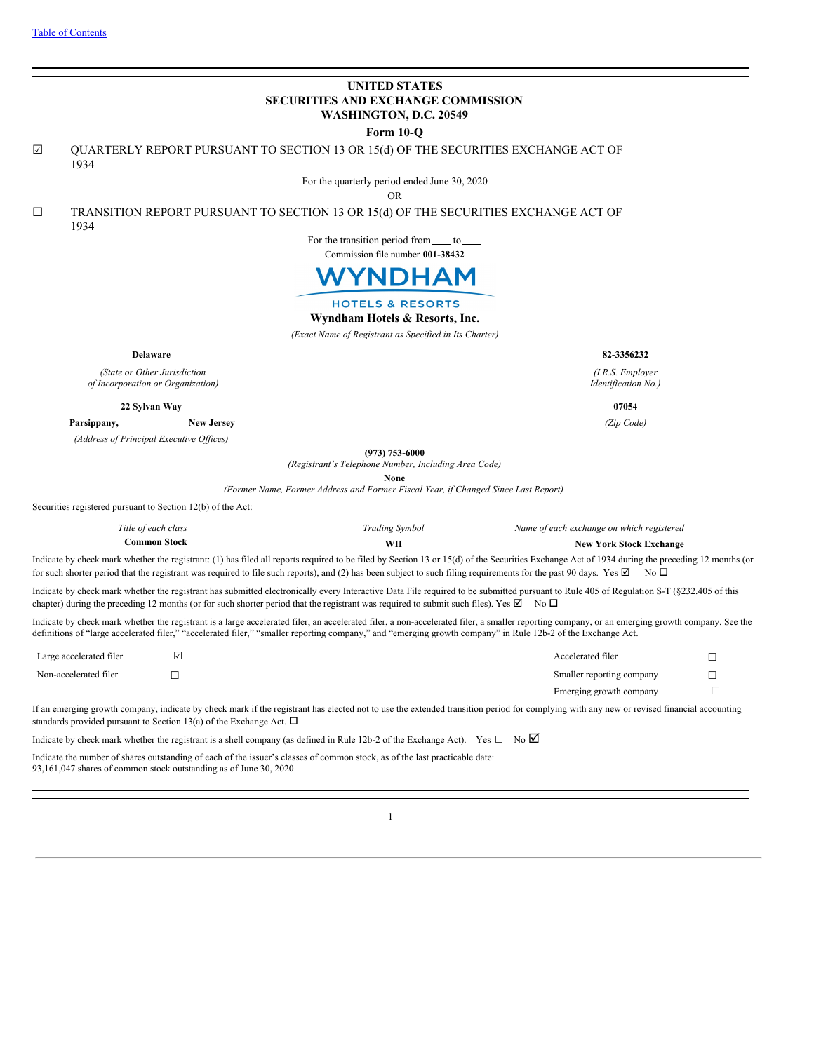# **UNITED STATES SECURITIES AND EXCHANGE COMMISSION WASHINGTON, D.C. 20549**

# **Form 10-Q**

<span id="page-0-0"></span>☑ QUARTERLY REPORT PURSUANT TO SECTION 13 OR 15(d) OF THE SECURITIES EXCHANGE ACT OF 1934

For the quarterly period ended June 30, 2020

OR

☐ TRANSITION REPORT PURSUANT TO SECTION 13 OR 15(d) OF THE SECURITIES EXCHANGE ACT OF 1934

> For the transition period from  $_$ to Commission file number **001-38432**



# **HOTELS & RESORTS**

**Wyndham Hotels & Resorts, Inc.**

*(Exact Name of Registrant as Specified in Its Charter)*

*(State or Other Jurisdiction of Incorporation or Organization)*

**22 Sylvan Way 07054**

#### **Parsippany, New Jersey** *(Zip Code)*

*(Address of Principal Executive Of ices)*

**(973) 753-6000**

*(Registrant's Telephone Number, Including Area Code)*

**None**

*(Former Name, Former Address and Former Fiscal Year, if Changed Since Last Report)*

Securities registered pursuant to Section 12(b) of the Act:

| Title of each class                                                                                                                                                                            | <b>Trading Symbol</b> | Name of each exchange on which registered |
|------------------------------------------------------------------------------------------------------------------------------------------------------------------------------------------------|-----------------------|-------------------------------------------|
| Common Stock                                                                                                                                                                                   | WН                    | <b>New York Stock Exchange</b>            |
| Indicate by check mark whether the registrant: (1) has filed all reports required to be filed by Section 13 or 15(d) of the Securities Exchange Act of 1934 during the preceding 12 months (or |                       |                                           |
| for such shorter period that the registrant was required to file such reports), and (2) has been subject to such filing requirements for the past 90 days. Yes $\boxtimes$                     |                       | No □                                      |

Indicate by check mark whether the registrant has submitted electronically every Interactive Data File required to be submitted pursuant to Rule 405 of Regulation S-T (§232.405 of this chapter) during the preceding 12 months (or for such shorter period that the registrant was required to submit such files). Yes  $\boxtimes$  No  $\Box$ 

Indicate by check mark whether the registrant is a large accelerated filer, an accelerated filer, a non-accelerated filer, a smaller reporting company, or an emerging growth company. See the definitions of "large accelerated filer," "accelerated filer," "smaller reporting company," and "emerging growth company" in Rule 12b-2 of the Exchange Act.

| Large accelerated filer | ⊻ | Accelerated filer         |  |
|-------------------------|---|---------------------------|--|
| Non-accelerated filer   |   | Smaller reporting company |  |
|                         |   | Emerging growth company   |  |

If an emerging growth company, indicate by check mark if the registrant has elected not to use the extended transition period for complying with any new or revised financial accounting standards provided pursuant to Section 13(a) of the Exchange Act.  $\Box$ 

Indicate by check mark whether the registrant is a shell company (as defined in Rule 12b-2 of the Exchange Act). Yes  $\Box$  No  $\Box$ 

Indicate the number of shares outstanding of each of the issuer's classes of common stock, as of the last practicable date: 93,161,047 shares of common stock outstanding as of June 30, 2020.

1

**Delaware 82-3356232**

*(I.R.S. Employer Identification No.)*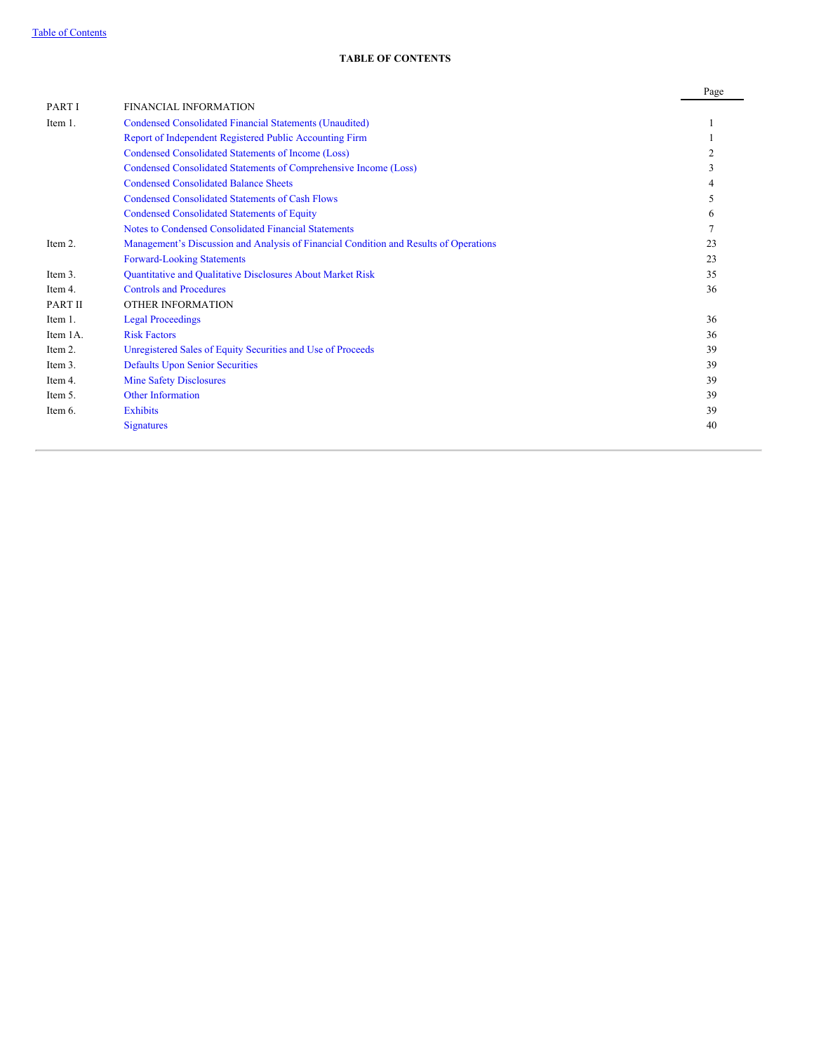# **TABLE OF CONTENTS**

|              |                                                                                       | Page |
|--------------|---------------------------------------------------------------------------------------|------|
| <b>PARTI</b> | <b>FINANCIAL INFORMATION</b>                                                          |      |
| Item 1.      | <b>Condensed Consolidated Financial Statements (Unaudited)</b>                        |      |
|              | Report of Independent Registered Public Accounting Firm                               |      |
|              | Condensed Consolidated Statements of Income (Loss)                                    |      |
|              | Condensed Consolidated Statements of Comprehensive Income (Loss)                      | 3    |
|              | <b>Condensed Consolidated Balance Sheets</b>                                          |      |
|              | <b>Condensed Consolidated Statements of Cash Flows</b>                                | 5    |
|              | <b>Condensed Consolidated Statements of Equity</b>                                    | 6    |
|              | Notes to Condensed Consolidated Financial Statements                                  |      |
| Item 2.      | Management's Discussion and Analysis of Financial Condition and Results of Operations | 23   |
|              | <b>Forward-Looking Statements</b>                                                     | 23   |
| Item 3.      | Quantitative and Qualitative Disclosures About Market Risk                            | 35   |
| Item 4.      | <b>Controls and Procedures</b>                                                        | 36   |
| PART II      | OTHER INFORMATION                                                                     |      |
| Item 1.      | <b>Legal Proceedings</b>                                                              | 36   |
| Item 1A.     | <b>Risk Factors</b>                                                                   | 36   |
| Item 2.      | Unregistered Sales of Equity Securities and Use of Proceeds                           | 39   |
| Item 3.      | <b>Defaults Upon Senior Securities</b>                                                | 39   |
| Item 4.      | <b>Mine Safety Disclosures</b>                                                        | 39   |
| Item 5.      | <b>Other Information</b>                                                              | 39   |
| Item 6.      | <b>Exhibits</b>                                                                       | 39   |
|              | <b>Signatures</b>                                                                     | 40   |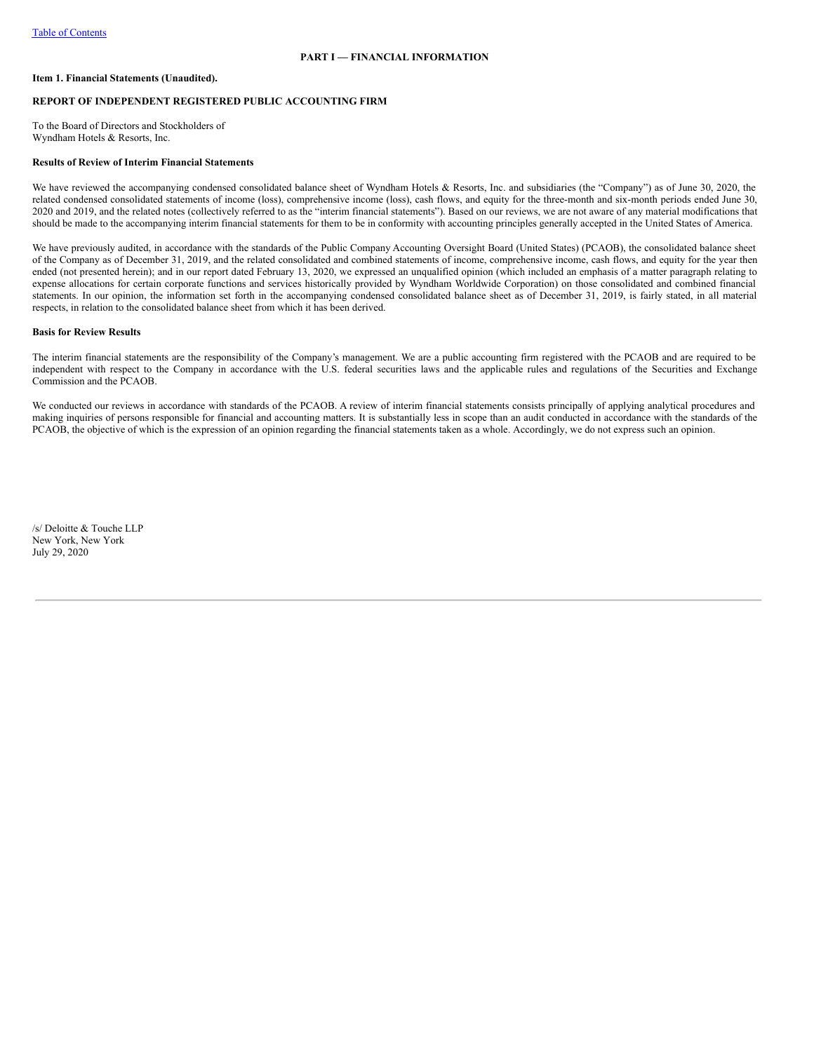# **Item 1. Financial Statements (Unaudited).**

# **REPORT OF INDEPENDENT REGISTERED PUBLIC ACCOUNTING FIRM**

To the Board of Directors and Stockholders of Wyndham Hotels & Resorts, Inc.

#### **Results of Review of Interim Financial Statements**

We have reviewed the accompanying condensed consolidated balance sheet of Wyndham Hotels & Resorts, Inc. and subsidiaries (the "Company") as of June 30, 2020, the related condensed consolidated statements of income (loss), comprehensive income (loss), cash flows, and equity for the three-month and six-month periods ended June 30, 2020 and 2019, and the related notes (collectively referred to as the "interim financial statements"). Based on our reviews, we are not aware of any material modifications that should be made to the accompanying interim financial statements for them to be in conformity with accounting principles generally accepted in the United States of America.

We have previously audited, in accordance with the standards of the Public Company Accounting Oversight Board (United States) (PCAOB), the consolidated balance sheet of the Company as of December 31, 2019, and the related consolidated and combined statements of income, comprehensive income, cash flows, and equity for the year then ended (not presented herein); and in our report dated February 13, 2020, we expressed an unqualified opinion (which included an emphasis of a matter paragraph relating to expense allocations for certain corporate functions and services historically provided by Wyndham Worldwide Corporation) on those consolidated and combined financial statements. In our opinion, the information set forth in the accompanying condensed consolidated balance sheet as of December 31, 2019, is fairly stated, in all material respects, in relation to the consolidated balance sheet from which it has been derived.

#### **Basis for Review Results**

The interim financial statements are the responsibility of the Company's management. We are a public accounting firm registered with the PCAOB and are required to be independent with respect to the Company in accordance with the U.S. federal securities laws and the applicable rules and regulations of the Securities and Exchange Commission and the PCAOB.

We conducted our reviews in accordance with standards of the PCAOB. A review of interim financial statements consists principally of applying analytical procedures and making inquiries of persons responsible for financial and accounting matters. It is substantially less in scope than an audit conducted in accordance with the standards of the PCAOB, the objective of which is the expression of an opinion regarding the financial statements taken as a whole. Accordingly, we do not express such an opinion.

/s/ Deloitte & Touche LLP New York, New York July 29, 2020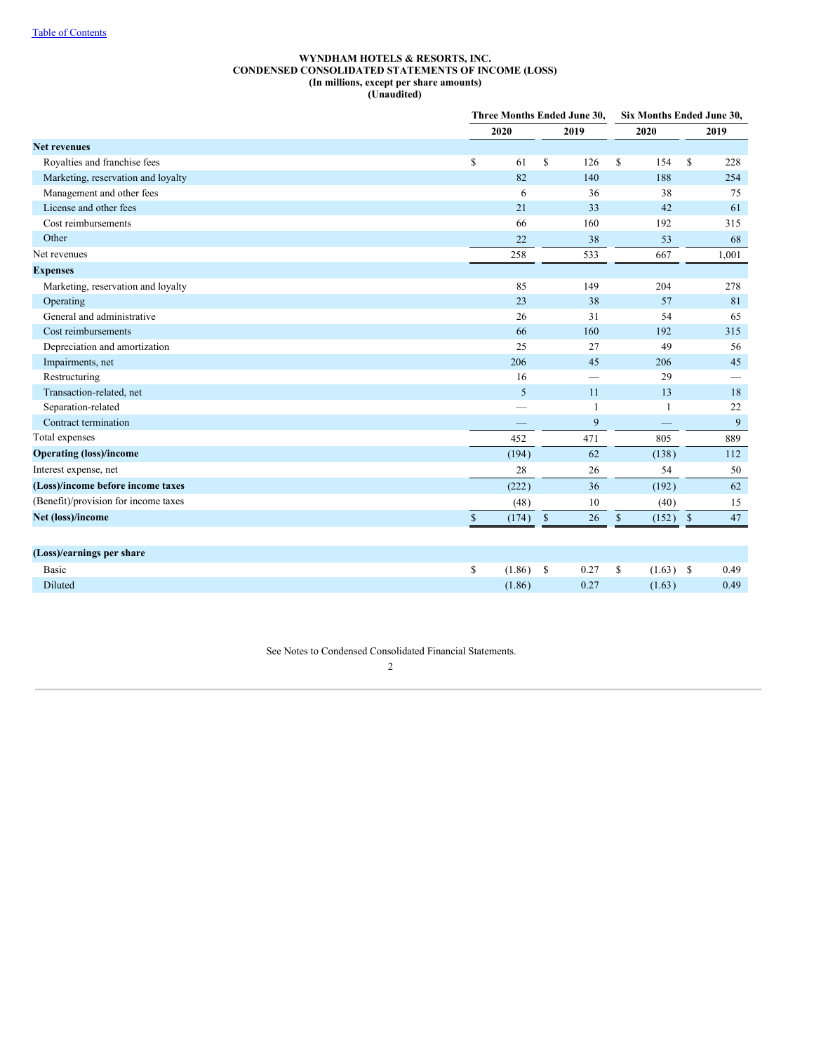#### **WYNDHAM HOTELS & RESORTS, INC. CONDENSED CONSOLIDATED STATEMENTS OF INCOME (LOSS) (In millions, except per share amounts) (Unaudited)**

|                                      | Three Months Ended June 30, |        |               |                               |              | Six Months Ended June 30, |               |       |  |  |
|--------------------------------------|-----------------------------|--------|---------------|-------------------------------|--------------|---------------------------|---------------|-------|--|--|
|                                      |                             | 2020   |               | 2019                          |              | 2020                      |               | 2019  |  |  |
| <b>Net revenues</b>                  |                             |        |               |                               |              |                           |               |       |  |  |
| Royalties and franchise fees         | \$                          | 61     | <sup>\$</sup> | 126                           | \$           | 154                       | <sup>\$</sup> | 228   |  |  |
| Marketing, reservation and loyalty   |                             | 82     |               | 140                           |              | 188                       |               | 254   |  |  |
| Management and other fees            |                             | 6      |               | 36                            |              | 38                        |               | 75    |  |  |
| License and other fees               |                             | 21     |               | 33                            |              | 42                        |               | 61    |  |  |
| Cost reimbursements                  |                             | 66     |               | 160                           |              | 192                       |               | 315   |  |  |
| Other                                |                             | 22     |               | 38                            |              | 53                        |               | 68    |  |  |
| Net revenues                         |                             | 258    |               | 533                           |              | 667                       |               | 1,001 |  |  |
| <b>Expenses</b>                      |                             |        |               |                               |              |                           |               |       |  |  |
| Marketing, reservation and loyalty   |                             | 85     |               | 149                           |              | 204                       |               | 278   |  |  |
| Operating                            |                             | 23     |               | 38                            |              | 57                        |               | 81    |  |  |
| General and administrative           |                             | 26     |               | 31                            |              | 54                        |               | 65    |  |  |
| Cost reimbursements                  |                             | 66     |               | 160                           |              | 192                       |               | 315   |  |  |
| Depreciation and amortization        |                             | 25     |               | 27                            |              | 49                        |               | 56    |  |  |
| Impairments, net                     |                             | 206    |               | 45                            |              | 206                       |               | 45    |  |  |
| Restructuring                        |                             | 16     |               | $\overbrace{\phantom{12332}}$ |              | 29                        |               |       |  |  |
| Transaction-related, net             |                             | 5      |               | 11                            |              | 13                        |               | 18    |  |  |
| Separation-related                   |                             |        |               | 1                             |              | 1                         |               | 22    |  |  |
| Contract termination                 |                             |        |               | 9                             |              |                           |               | 9     |  |  |
| Total expenses                       |                             | 452    |               | 471                           |              | 805                       |               | 889   |  |  |
| <b>Operating (loss)/income</b>       |                             | (194)  |               | 62                            |              | (138)                     |               | 112   |  |  |
| Interest expense, net                |                             | 28     |               | 26                            |              | 54                        |               | 50    |  |  |
| (Loss)/income before income taxes    |                             | (222)  |               | 36                            |              | (192)                     |               | 62    |  |  |
| (Benefit)/provision for income taxes |                             | (48)   |               | 10                            |              | (40)                      |               | 15    |  |  |
| Net (loss)/income                    | \$                          | (174)  | $\mathbb{S}$  | 26                            | $\mathbb{S}$ | $(152)$ \$                |               | 47    |  |  |
|                                      |                             |        |               |                               |              |                           |               |       |  |  |
| (Loss)/earnings per share            |                             |        |               |                               |              |                           |               |       |  |  |
| <b>Basic</b>                         | \$                          | (1.86) | <sup>\$</sup> | 0.27                          | S            | $(1.63)$ \$               |               | 0.49  |  |  |
| Diluted                              |                             | (1.86) |               | 0.27                          |              | (1.63)                    |               | 0.49  |  |  |

See Notes to Condensed Consolidated Financial Statements.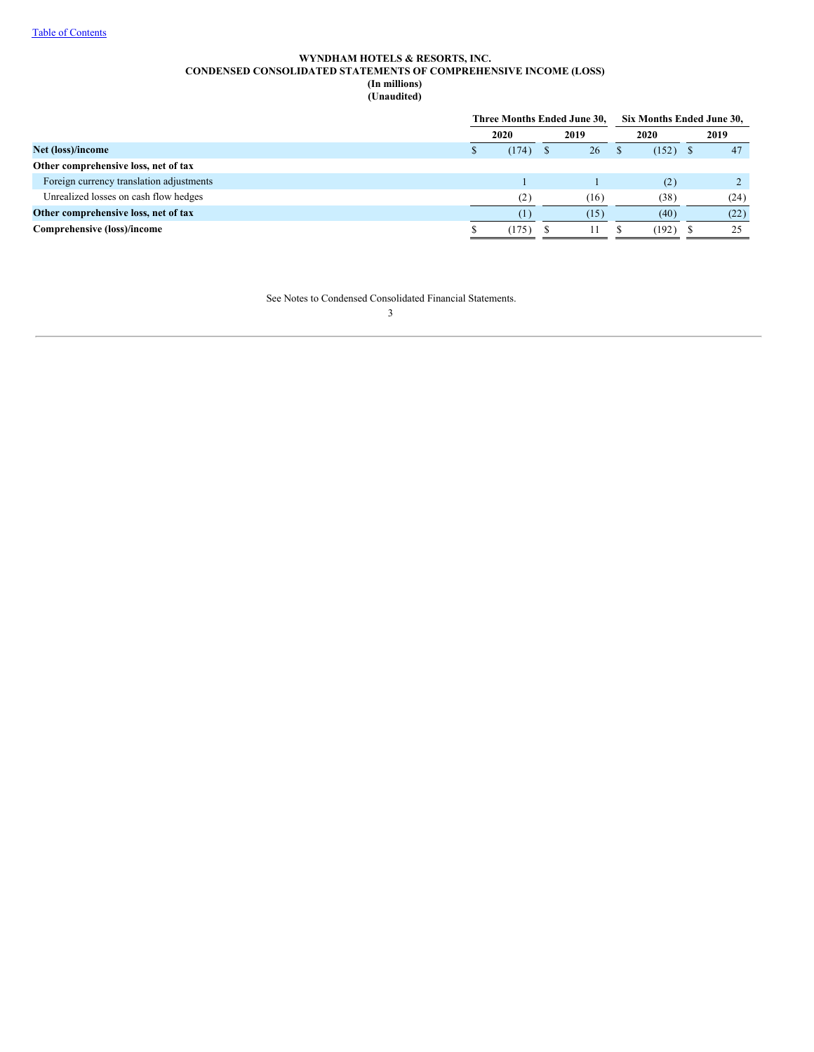# **WYNDHAM HOTELS & RESORTS, INC. CONDENSED CONSOLIDATED STATEMENTS OF COMPREHENSIVE INCOME (LOSS) (In millions) (Unaudited)**

|                                          | Three Months Ended June 30. |       |  |      |  | Six Months Ended June 30, |  |      |  |
|------------------------------------------|-----------------------------|-------|--|------|--|---------------------------|--|------|--|
|                                          | 2020<br>2019                |       |  | 2020 |  | 2019                      |  |      |  |
| Net (loss)/income                        |                             | (174) |  | 26   |  | $(152)$ \$                |  | 47   |  |
| Other comprehensive loss, net of tax     |                             |       |  |      |  |                           |  |      |  |
| Foreign currency translation adjustments |                             |       |  |      |  | (2)                       |  |      |  |
| Unrealized losses on cash flow hedges    |                             | (2)   |  | (16) |  | (38)                      |  | (24) |  |
| Other comprehensive loss, net of tax     |                             | (1)   |  | (15) |  | (40)                      |  | (22) |  |
| Comprehensive (loss)/income              |                             | (175) |  |      |  | (192)                     |  | 25   |  |

See Notes to Condensed Consolidated Financial Statements.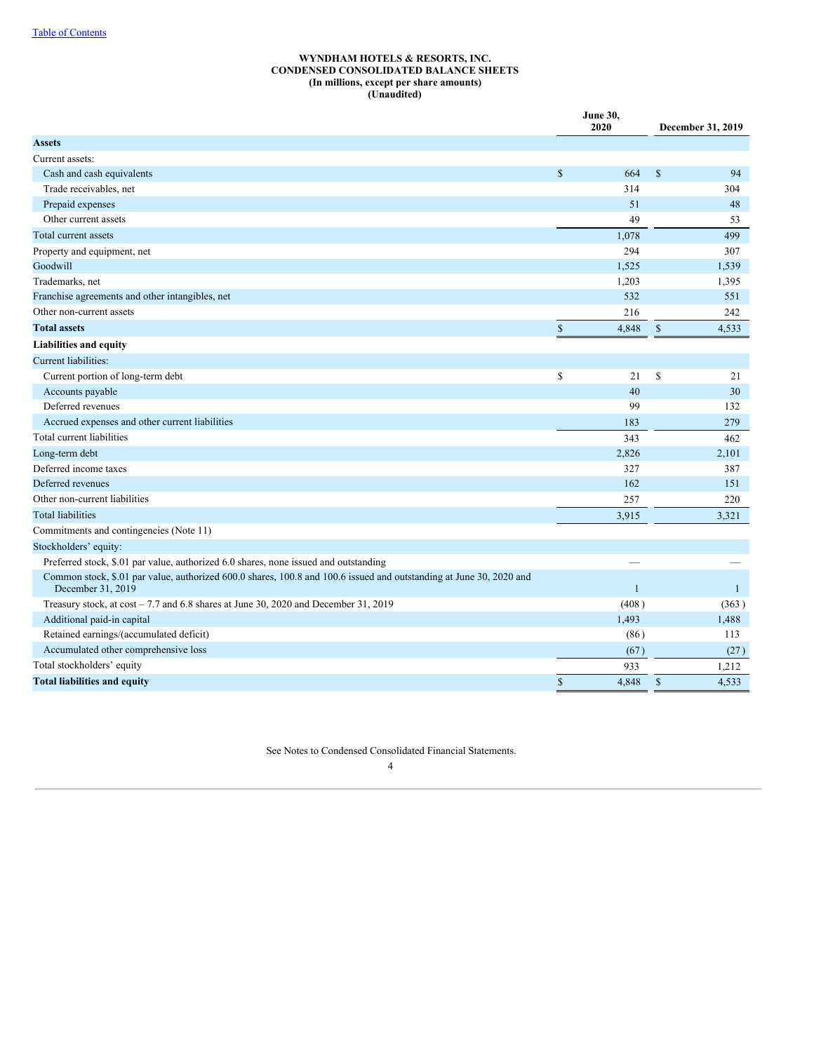### **WYNDHAM HOTELS & RESORTS, INC. CONDENSED CONSOLIDATED BALANCE SHEETS (In millions, except per share amounts) (Unaudited)**

|                                                                                                                                          |              | <b>June 30,</b><br>2020 |               | December 31, 2019 |
|------------------------------------------------------------------------------------------------------------------------------------------|--------------|-------------------------|---------------|-------------------|
| <b>Assets</b>                                                                                                                            |              |                         |               |                   |
| Current assets:                                                                                                                          |              |                         |               |                   |
| Cash and cash equivalents                                                                                                                | $\mathbb{S}$ | 664                     | $\mathcal{S}$ | 94                |
| Trade receivables, net                                                                                                                   |              | 314                     |               | 304               |
| Prepaid expenses                                                                                                                         |              | 51                      |               | 48                |
| Other current assets                                                                                                                     |              | 49                      |               | 53                |
| Total current assets                                                                                                                     |              | 1,078                   |               | 499               |
| Property and equipment, net                                                                                                              |              | 294                     |               | 307               |
| Goodwill                                                                                                                                 |              | 1,525                   |               | 1,539             |
| Trademarks, net                                                                                                                          |              | 1,203                   |               | 1,395             |
| Franchise agreements and other intangibles, net                                                                                          |              | 532                     |               | 551               |
| Other non-current assets                                                                                                                 |              | 216                     |               | 242               |
| <b>Total assets</b>                                                                                                                      | $\mathbb{S}$ | 4,848                   | $\mathbf S$   | 4,533             |
| <b>Liabilities and equity</b>                                                                                                            |              |                         |               |                   |
| Current liabilities:                                                                                                                     |              |                         |               |                   |
| Current portion of long-term debt                                                                                                        | \$           | 21                      | $\mathbb{S}$  | 21                |
| Accounts payable                                                                                                                         |              | 40                      |               | 30                |
| Deferred revenues                                                                                                                        |              | 99                      |               | 132               |
| Accrued expenses and other current liabilities                                                                                           |              | 183                     |               | 279               |
| Total current liabilities                                                                                                                |              | 343                     |               | 462               |
| Long-term debt                                                                                                                           |              | 2,826                   |               | 2,101             |
| Deferred income taxes                                                                                                                    |              | 327                     |               | 387               |
| Deferred revenues                                                                                                                        |              | 162                     |               | 151               |
| Other non-current liabilities                                                                                                            |              | 257                     |               | 220               |
| Total liabilities                                                                                                                        |              | 3,915                   |               | 3,321             |
| Commitments and contingencies (Note 11)                                                                                                  |              |                         |               |                   |
| Stockholders' equity:                                                                                                                    |              |                         |               |                   |
| Preferred stock, \$.01 par value, authorized 6.0 shares, none issued and outstanding                                                     |              |                         |               |                   |
| Common stock, \$.01 par value, authorized 600.0 shares, 100.8 and 100.6 issued and outstanding at June 30, 2020 and<br>December 31, 2019 |              | $\mathbf{1}$            |               | $\mathbf{1}$      |
| Treasury stock, at cost - 7.7 and 6.8 shares at June 30, 2020 and December 31, 2019                                                      |              | (408)                   |               | (363)             |
| Additional paid-in capital                                                                                                               |              | 1,493                   |               | 1,488             |
| Retained earnings/(accumulated deficit)                                                                                                  |              | (86)                    |               | 113               |
| Accumulated other comprehensive loss                                                                                                     |              | (67)                    |               | (27)              |
| Total stockholders' equity                                                                                                               |              | 933                     |               | 1,212             |
| <b>Total liabilities and equity</b>                                                                                                      | $\mathbb{S}$ | 4,848                   | $\mathbf S$   | 4,533             |

See Notes to Condensed Consolidated Financial Statements.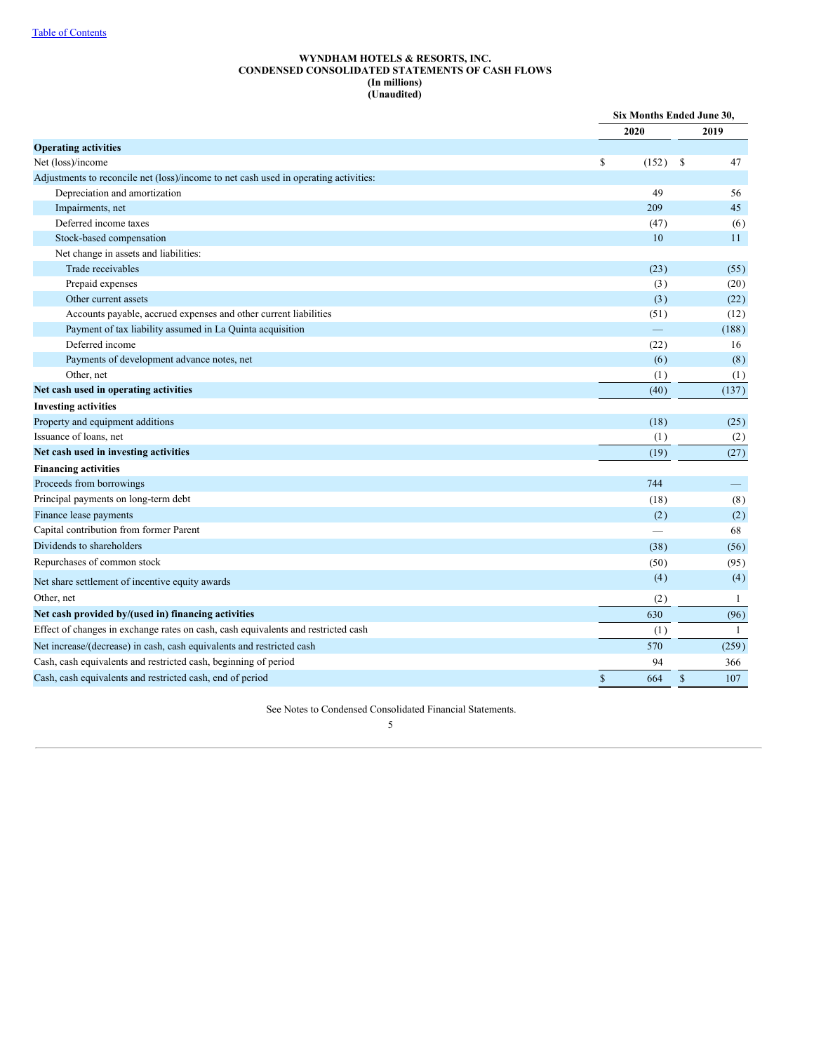# **WYNDHAM HOTELS & RESORTS, INC. CONDENSED CONSOLIDATED STATEMENTS OF CASH FLOWS (In millions) (Unaudited)**

|                                                                                      |                          | Six Months Ended June 30, |  |
|--------------------------------------------------------------------------------------|--------------------------|---------------------------|--|
|                                                                                      | 2020                     | 2019                      |  |
| <b>Operating activities</b>                                                          |                          |                           |  |
| Net (loss)/income                                                                    | \$<br>(152)              | - \$<br>47                |  |
| Adjustments to reconcile net (loss)/income to net cash used in operating activities: |                          |                           |  |
| Depreciation and amortization                                                        | 49                       | 56                        |  |
| Impairments, net                                                                     | 209                      | 45                        |  |
| Deferred income taxes                                                                | (47)                     | (6)                       |  |
| Stock-based compensation                                                             | 10                       | 11                        |  |
| Net change in assets and liabilities:                                                |                          |                           |  |
| Trade receivables                                                                    | (23)                     | (55)                      |  |
| Prepaid expenses                                                                     | (3)                      | (20)                      |  |
| Other current assets                                                                 | (3)                      | (22)                      |  |
| Accounts payable, accrued expenses and other current liabilities                     | (51)                     | (12)                      |  |
| Payment of tax liability assumed in La Quinta acquisition                            | $\overline{\phantom{0}}$ | (188)                     |  |
| Deferred income                                                                      | (22)                     | 16                        |  |
| Payments of development advance notes, net                                           | (6)                      | (8)                       |  |
| Other, net                                                                           | (1)                      | (1)                       |  |
| Net cash used in operating activities                                                | (40)                     | (137)                     |  |
| <b>Investing activities</b>                                                          |                          |                           |  |
| Property and equipment additions                                                     | (18)                     | (25)                      |  |
| Issuance of loans, net                                                               | (1)                      | (2)                       |  |
| Net cash used in investing activities                                                | (19)                     | (27)                      |  |
| <b>Financing activities</b>                                                          |                          |                           |  |
| Proceeds from borrowings                                                             | 744                      | -                         |  |
| Principal payments on long-term debt                                                 | (18)                     | (8)                       |  |
| Finance lease payments                                                               | (2)                      | (2)                       |  |
| Capital contribution from former Parent                                              |                          | 68                        |  |
| Dividends to shareholders                                                            | (38)                     | (56)                      |  |
| Repurchases of common stock                                                          | (50)                     | (95)                      |  |
| Net share settlement of incentive equity awards                                      | (4)                      | (4)                       |  |
| Other, net                                                                           | (2)                      | 1                         |  |
| Net cash provided by/(used in) financing activities                                  | 630                      | (96)                      |  |
| Effect of changes in exchange rates on cash, cash equivalents and restricted cash    | (1)                      | -1                        |  |
| Net increase/(decrease) in cash, cash equivalents and restricted cash                | 570                      | (259)                     |  |
| Cash, cash equivalents and restricted cash, beginning of period                      | 94                       | 366                       |  |
| Cash, cash equivalents and restricted cash, end of period                            | $\mathbb{S}$<br>664      | $\mathbb{S}$<br>107       |  |

See Notes to Condensed Consolidated Financial Statements.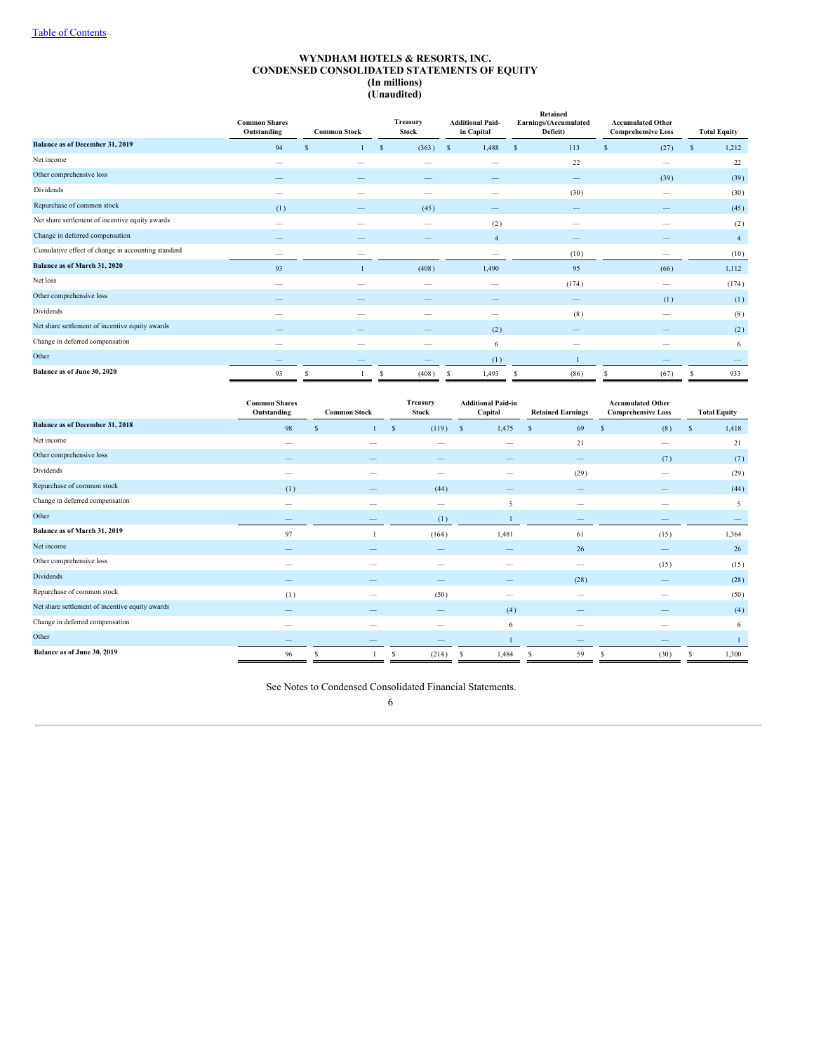# **WYNDHAM HOTELS & RESORTS, INC. CONDENSED CONSOLIDATED STATEMENTS OF EQUITY (In millions) (Unaudited)**

|                                                    | <b>Common Shares</b><br>Outstanding | <b>Common Stock</b>      | Treasury<br><b>Stock</b> | <b>Additional Paid-</b><br>in Capital | <b>Retained</b><br>Earnings/(Accumulated<br>Deficit) | <b>Accumulated Other</b><br><b>Comprehensive Loss</b> | <b>Total Equity</b> |
|----------------------------------------------------|-------------------------------------|--------------------------|--------------------------|---------------------------------------|------------------------------------------------------|-------------------------------------------------------|---------------------|
| Balance as of December 31, 2019                    | 94                                  | S                        | (363)<br>S               | 1,488<br>$\mathbf{s}$                 | 113<br>$\mathbf{s}$                                  | (27)<br>\$.                                           | 1,212<br>s          |
| Net income                                         | $\overline{\phantom{a}}$            |                          | $\overline{\phantom{a}}$ | $\sim$                                | 22                                                   | $\overline{\phantom{a}}$                              | 22                  |
| Other comprehensive loss                           |                                     |                          |                          |                                       |                                                      | (39)                                                  | (39)                |
| Dividends                                          | -                                   | -                        |                          | $\overline{\phantom{a}}$              | (30)                                                 |                                                       | (30)                |
| Repurchase of common stock                         | (1)                                 |                          | (45)                     |                                       |                                                      |                                                       | (45)                |
| Net share settlement of incentive equity awards    |                                     |                          |                          | (2)                                   | $\overline{\phantom{a}}$                             | -                                                     | (2)                 |
| Change in deferred compensation                    |                                     |                          |                          | $\overline{4}$                        | _                                                    |                                                       | $\overline{4}$      |
| Cumulative effect of change in accounting standard | --                                  | $\overline{\phantom{a}}$ |                          | $\sim$                                | (10)                                                 | --                                                    | (10)                |
| Balance as of March 31, 2020                       | 93                                  |                          | (408)                    | 1,490                                 | 95                                                   | (66)                                                  | 1,112               |
| Net loss                                           | $\overline{\phantom{a}}$            | --                       |                          | $\overline{\phantom{a}}$              | (174)                                                | -                                                     | (174)               |
| Other comprehensive loss                           |                                     | _                        | $\overline{\phantom{a}}$ | $\overline{\phantom{a}}$              |                                                      | (1)                                                   | (1)                 |
| Dividends                                          | $\overline{\phantom{a}}$            |                          | $\overline{\phantom{a}}$ | $\overline{\phantom{a}}$              | (8)                                                  |                                                       | (8)                 |
| Net share settlement of incentive equity awards    |                                     |                          |                          | (2)                                   |                                                      |                                                       | (2)                 |
| Change in deferred compensation                    | --                                  |                          | $\overline{\phantom{a}}$ | 6                                     |                                                      |                                                       | 6                   |
| Other                                              |                                     | --                       | $\overline{\phantom{a}}$ | (1)                                   |                                                      | _                                                     |                     |
| Balance as of June 30, 2020                        | 93                                  |                          | (408)                    | 1,493                                 | (86)                                                 | (67)<br>S                                             | 933                 |

|                                                 | <b>Common Shares</b><br>Outstanding | <b>Common Stock</b> |                          | Treasury<br><b>Stock</b> |       | <b>Additional Paid-in</b><br>Capital |                   | <b>Retained Earnings</b> |                                 |    | <b>Accumulated Other</b><br><b>Comprehensive Loss</b> | <b>Total Equity</b> |       |
|-------------------------------------------------|-------------------------------------|---------------------|--------------------------|--------------------------|-------|--------------------------------------|-------------------|--------------------------|---------------------------------|----|-------------------------------------------------------|---------------------|-------|
| Balance as of December 31, 2018                 | 98                                  | $\mathbf{\hat{S}}$  |                          | s.                       | (119) | $\mathbf{s}$                         | 1,475             | $\mathbf{s}$             | 69                              | S  | (8)                                                   | S                   | 1,418 |
| Net income                                      | $\sim$                              |                     | -                        |                          |       |                                      | $\hspace{0.05cm}$ |                          | 21                              |    | --                                                    |                     | 21    |
| Other comprehensive loss                        |                                     |                     |                          |                          |       |                                      |                   |                          |                                 |    | (7)                                                   |                     | (7)   |
| Dividends                                       |                                     |                     | $\overline{\phantom{a}}$ |                          |       |                                      |                   |                          | (29)                            |    |                                                       |                     | (29)  |
| Repurchase of common stock                      | (1)                                 |                     |                          |                          | (44)  |                                      |                   |                          |                                 |    |                                                       |                     | (44)  |
| Change in deferred compensation                 |                                     |                     |                          |                          |       |                                      | 5                 |                          |                                 |    |                                                       |                     | 5     |
| Other                                           |                                     |                     |                          |                          | (1)   |                                      |                   |                          |                                 |    |                                                       |                     |       |
| Balance as of March 31, 2019                    | 97                                  |                     |                          |                          | (164) |                                      | 1,481             |                          | 61                              |    | (15)                                                  |                     | 1,364 |
| Net income                                      |                                     |                     |                          |                          |       |                                      |                   |                          | 26                              |    |                                                       |                     | 26    |
| Other comprehensive loss                        |                                     |                     |                          |                          |       |                                      |                   |                          | $\hspace{0.05cm}$               |    | (15)                                                  |                     | (15)  |
| Dividends                                       |                                     |                     |                          |                          |       |                                      |                   |                          | (28)                            |    |                                                       |                     | (28)  |
| Repurchase of common stock                      | (1)                                 |                     |                          |                          | (50)  |                                      |                   |                          | $\hspace{0.1mm}-\hspace{0.1mm}$ |    |                                                       |                     | (50)  |
| Net share settlement of incentive equity awards |                                     |                     |                          |                          | _     |                                      | (4)               |                          |                                 |    |                                                       |                     | (4)   |
| Change in deferred compensation                 | $\overline{\phantom{a}}$            |                     | --                       |                          | -     |                                      | 6                 |                          |                                 |    |                                                       |                     | 6     |
| Other                                           |                                     |                     |                          |                          |       |                                      |                   |                          |                                 |    |                                                       |                     |       |
| Balance as of June 30, 2019                     | 96                                  | <b>S</b>            |                          | s                        | (214) | S                                    | 1,484             | S                        | 59                              | £. | (30)                                                  | s                   | 1,300 |

See Notes to Condensed Consolidated Financial Statements.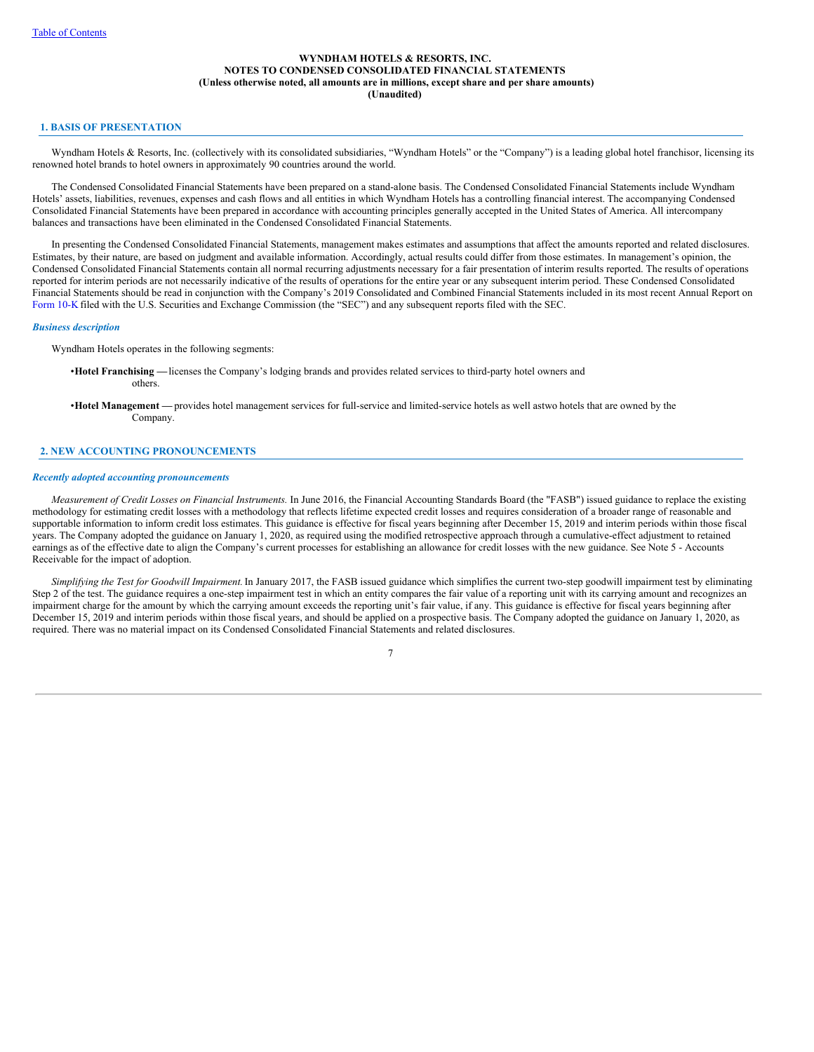### **WYNDHAM HOTELS & RESORTS, INC. NOTES TO CONDENSED CONSOLIDATED FINANCIAL STATEMENTS (Unless otherwise noted, all amounts are in millions, except share and per share amounts) (Unaudited)**

#### **1. BASIS OF PRESENTATION**

Wyndham Hotels & Resorts, Inc. (collectively with its consolidated subsidiaries, "Wyndham Hotels" or the "Company") is a leading global hotel franchisor, licensing its renowned hotel brands to hotel owners in approximately 90 countries around the world.

The Condensed Consolidated Financial Statements have been prepared on a stand-alone basis. The Condensed Consolidated Financial Statements include Wyndham Hotels' assets, liabilities, revenues, expenses and cash flows and all entities in which Wyndham Hotels has a controlling financial interest. The accompanying Condensed Consolidated Financial Statements have been prepared in accordance with accounting principles generally accepted in the United States of America. All intercompany balances and transactions have been eliminated in the Condensed Consolidated Financial Statements.

In presenting the Condensed Consolidated Financial Statements, management makes estimates and assumptions that affect the amounts reported and related disclosures. Estimates, by their nature, are based on judgment and available information. Accordingly, actual results could differ from those estimates. In management's opinion, the Condensed Consolidated Financial Statements contain all normal recurring adjustments necessary for a fair presentation of interim results reported. The results of operations reported for interim periods are not necessarily indicative of the results of operations for the entire year or any subsequent interim period. These Condensed Consolidated Financial Statements should be read in conjunction with the Company's 2019 Consolidated and Combined Financial Statements included in its most recent Annual Report on [Form](http://www.sec.gov/Archives/edgar/data/1722684/000172268420000007/wh-20191231x10k.htm) 10-K filed with the U.S. Securities and Exchange Commission (the "SEC") and any subsequent reports filed with the SEC.

#### *Business description*

Wyndham Hotels operates in the following segments:

- •**Hotel Franchising —**licenses the Company's lodging brands and provides related services to third-party hotel owners and others.
- •**Hotel Management —** provides hotel management services for full-service and limited-service hotels as well astwo hotels that are owned by the Company.

#### **2. NEW ACCOUNTING PRONOUNCEMENTS**

# *Recently adopted accounting pronouncements*

*Measurement of Credit Losses on Financial Instruments.* In June 2016, the Financial Accounting Standards Board (the "FASB") issued guidance to replace the existing methodology for estimating credit losses with a methodology that reflects lifetime expected credit losses and requires consideration of a broader range of reasonable and supportable information to inform credit loss estimates. This guidance is effective for fiscal years beginning after December 15, 2019 and interim periods within those fiscal years. The Company adopted the guidance on January 1, 2020, as required using the modified retrospective approach through a cumulative-effect adjustment to retained earnings as of the effective date to align the Company's current processes for establishing an allowance for credit losses with the new guidance. See Note 5 - Accounts Receivable for the impact of adoption.

*Simplifying the Test for Goodwill Impairment.*In January 2017, the FASB issued guidance which simplifies the current two-step goodwill impairment test by eliminating Step 2 of the test. The guidance requires a one-step impairment test in which an entity compares the fair value of a reporting unit with its carrying amount and recognizes an impairment charge for the amount by which the carrying amount exceeds the reporting unit's fair value, if any. This guidance is effective for fiscal years beginning after December 15, 2019 and interim periods within those fiscal years, and should be applied on a prospective basis. The Company adopted the guidance on January 1, 2020, as required. There was no material impact on its Condensed Consolidated Financial Statements and related disclosures.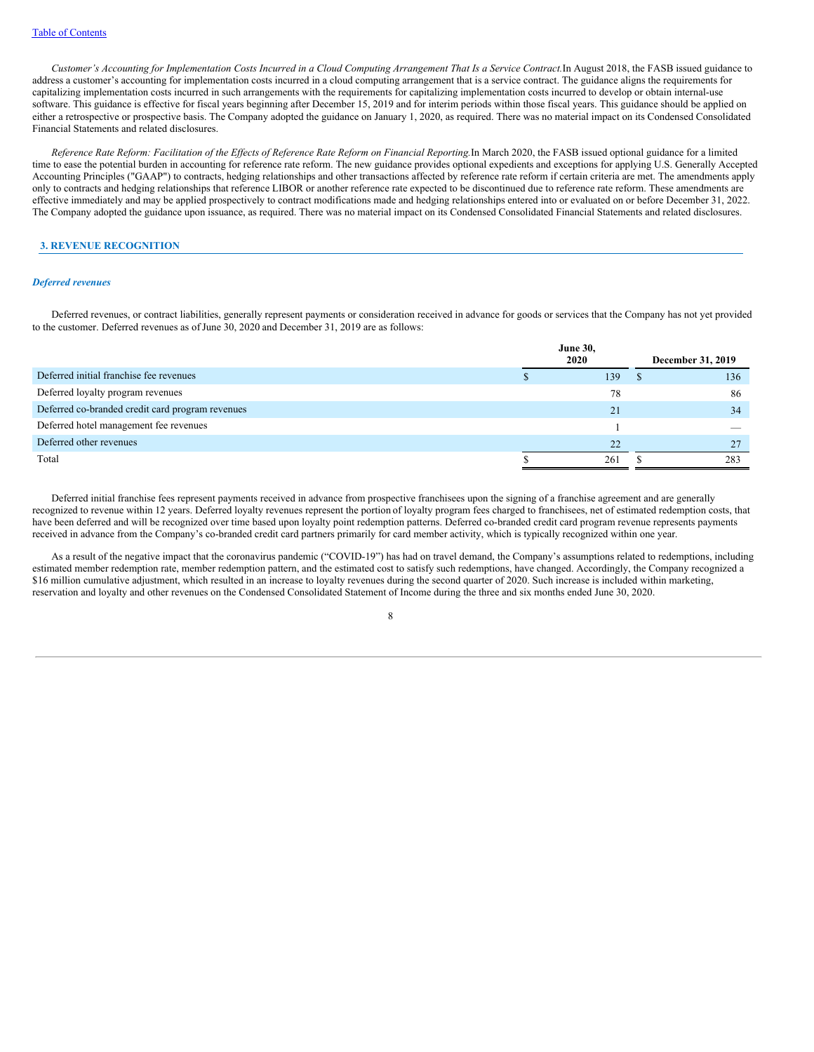Customer's Accounting for Implementation Costs Incurred in a Cloud Computing Arrangement That Is a Service Contract. In August 2018, the FASB issued guidance to address a customer's accounting for implementation costs incurred in a cloud computing arrangement that is a service contract. The guidance aligns the requirements for capitalizing implementation costs incurred in such arrangements with the requirements for capitalizing implementation costs incurred to develop or obtain internal-use software. This guidance is effective for fiscal years beginning after December 15, 2019 and for interim periods within those fiscal years. This guidance should be applied on either a retrospective or prospective basis. The Company adopted the guidance on January 1, 2020, as required. There was no material impact on its Condensed Consolidated Financial Statements and related disclosures.

Reference Rate Reform: Facilitation of the Effects of Reference Rate Reform on Financial Reporting.In March 2020, the FASB issued optional guidance for a limited time to ease the potential burden in accounting for reference rate reform. The new guidance provides optional expedients and exceptions for applying U.S. Generally Accepted Accounting Principles ("GAAP") to contracts, hedging relationships and other transactions affected by reference rate reform if certain criteria are met. The amendments apply only to contracts and hedging relationships that reference LIBOR or another reference rate expected to be discontinued due to reference rate reform. These amendments are effective immediately and may be applied prospectively to contract modifications made and hedging relationships entered into or evaluated on or before December 31, 2022. The Company adopted the guidance upon issuance, as required. There was no material impact on its Condensed Consolidated Financial Statements and related disclosures.

# **3. REVENUE RECOGNITION**

#### *Deferred revenues*

Deferred revenues, or contract liabilities, generally represent payments or consideration received in advance for goods or services that the Company has not yet provided to the customer. Deferred revenues as of June 30, 2020 and December 31, 2019 are as follows:

|                                                  | <b>June 30,</b><br>2020 | December 31, 2019 |
|--------------------------------------------------|-------------------------|-------------------|
| Deferred initial franchise fee revenues          | 139                     | 136               |
| Deferred loyalty program revenues                | 78                      | 86                |
| Deferred co-branded credit card program revenues | 21                      | 34                |
| Deferred hotel management fee revenues           |                         |                   |
| Deferred other revenues                          | 22                      | 27                |
| Total                                            | 261                     | 283               |

Deferred initial franchise fees represent payments received in advance from prospective franchisees upon the signing of a franchise agreement and are generally recognized to revenue within 12 years. Deferred loyalty revenues represent the portion of loyalty program fees charged to franchisees, net of estimated redemption costs, that have been deferred and will be recognized over time based upon loyalty point redemption patterns. Deferred co-branded credit card program revenue represents payments received in advance from the Company's co-branded credit card partners primarily for card member activity, which is typically recognized within one year.

As a result of the negative impact that the coronavirus pandemic ("COVID-19") has had on travel demand, the Company's assumptions related to redemptions, including estimated member redemption rate, member redemption pattern, and the estimated cost to satisfy such redemptions, have changed. Accordingly, the Company recognized a \$16 million cumulative adjustment, which resulted in an increase to loyalty revenues during the second quarter of 2020. Such increase is included within marketing, reservation and loyalty and other revenues on the Condensed Consolidated Statement of Income during the three and six months ended June 30, 2020.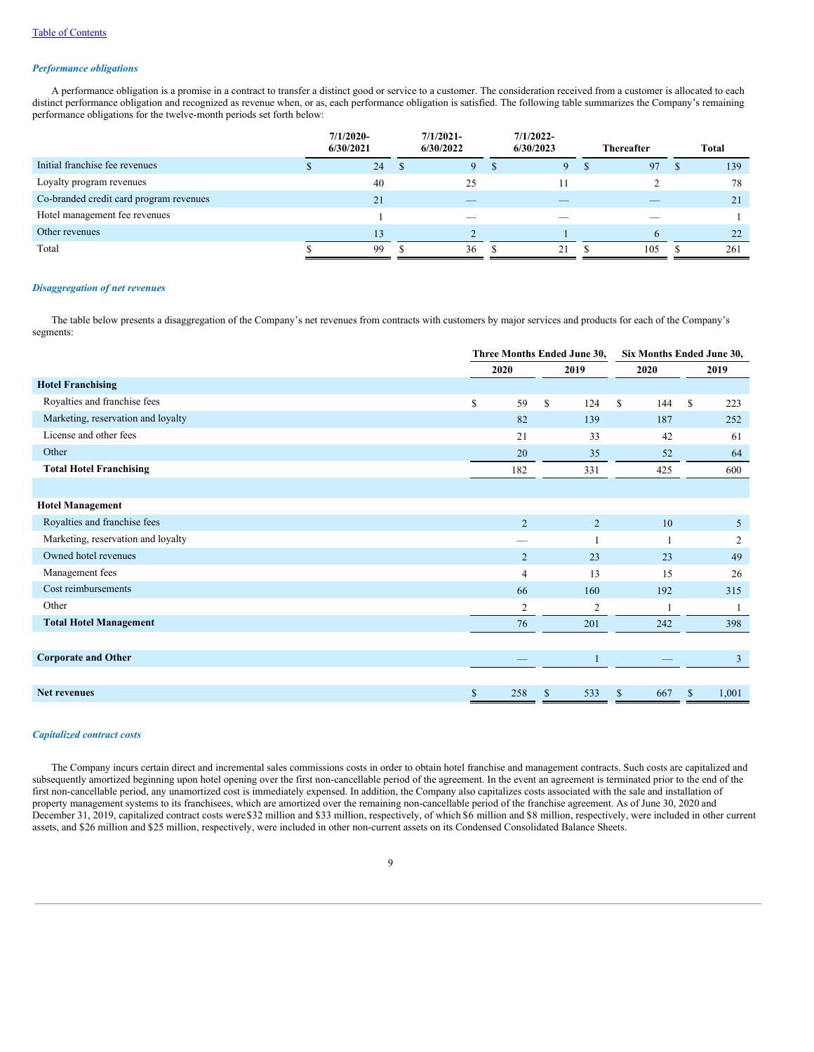# *Performance obligations*

A performance obligation is a promise in a contract to transfer a distinct good or service to a customer. The consideration received from a customer is allocated to each distinct performance obligation and recognized as revenue when, or as, each performance obligation is satisfied. The following table summarizes the Company's remaining performance obligations for the twelve-month periods set forth below:

|                                         | $7/1/2020$ -<br>6/30/2021 | $7/1/2021 -$<br>6/30/2022 |     | $7/1/2022$ -<br>6/30/2023 |     | <b>Thereafter</b> |              | <b>Total</b> |
|-----------------------------------------|---------------------------|---------------------------|-----|---------------------------|-----|-------------------|--------------|--------------|
| Initial franchise fee revenues          | 24                        | 9                         | - D | 9                         | - 8 | 97                | <sup>8</sup> | 139          |
| Loyalty program revenues                | 40                        | 25                        |     | 11                        |     |                   |              | 78           |
| Co-branded credit card program revenues | 21                        | $-$                       |     | _                         |     |                   |              | 21           |
| Hotel management fee revenues           |                           | $\overline{\phantom{a}}$  |     | __                        |     |                   |              |              |
| Other revenues                          | 13                        |                           |     |                           |     | 6                 |              | 22           |
| Total                                   | 99                        | 36                        |     | 21                        |     | 105               |              | 261          |

#### *Disaggregation of net revenues*

The table below presents a disaggregation of the Company's net revenues from contracts with customers by major services and products for each of the Company's segments:

|                                    | Three Months Ended June 30, |              |                | Six Months Ended June 30, |    |                |  |  |
|------------------------------------|-----------------------------|--------------|----------------|---------------------------|----|----------------|--|--|
|                                    | 2020                        |              | 2019           | 2020                      |    | 2019           |  |  |
| <b>Hotel Franchising</b>           |                             |              |                |                           |    |                |  |  |
| Royalties and franchise fees       | \$<br>59                    | $\mathbb{S}$ | 124            | <sup>\$</sup><br>144      | S  | 223            |  |  |
| Marketing, reservation and loyalty | 82                          |              | 139            | 187                       |    | 252            |  |  |
| License and other fees             | 21                          |              | 33             | 42                        |    | 61             |  |  |
| Other                              | 20                          |              | 35             | 52                        |    | 64             |  |  |
| <b>Total Hotel Franchising</b>     | 182                         |              | 331            | 425                       |    | 600            |  |  |
|                                    |                             |              |                |                           |    |                |  |  |
| <b>Hotel Management</b>            |                             |              |                |                           |    |                |  |  |
| Royalties and franchise fees       | $\overline{2}$              |              | $\overline{2}$ | 10                        |    | 5 <sup>5</sup> |  |  |
| Marketing, reservation and loyalty | --                          |              |                |                           |    | 2              |  |  |
| Owned hotel revenues               | $\overline{2}$              |              | 23             | 23                        |    | 49             |  |  |
| Management fees                    | $\overline{4}$              |              | 13             | 15                        |    | 26             |  |  |
| Cost reimbursements                | 66                          |              | 160            | 192                       |    | 315            |  |  |
| Other                              | $\overline{c}$              |              | $\overline{2}$ |                           |    | -1             |  |  |
| <b>Total Hotel Management</b>      | 76                          |              | 201            | 242                       |    | 398            |  |  |
|                                    |                             |              |                |                           |    |                |  |  |
| <b>Corporate and Other</b>         |                             |              |                |                           |    | $\overline{3}$ |  |  |
|                                    |                             |              |                |                           |    |                |  |  |
| <b>Net revenues</b>                | $\mathbb{S}$<br>258         | <sup>S</sup> | 533            | $\mathbb{S}$<br>667       | -S | 1,001          |  |  |

#### *Capitalized contract costs*

The Company incurs certain direct and incremental sales commissions costs in order to obtain hotel franchise and management contracts. Such costs are capitalized and subsequently amortized beginning upon hotel opening over the first non-cancellable period of the agreement. In the event an agreement is terminated prior to the end of the first non-cancellable period, any unamortized cost is immediately expensed. In addition, the Company also capitalizes costs associated with the sale and installation of property management systems to its franchisees, which are amortized over the remaining non-cancellable period of the franchise agreement. As of June 30, 2020 and December 31, 2019, capitalized contract costs were\$32 million and \$33 million, respectively, of which \$6 million and \$8 million, respectively, were included in other current assets, and \$26 million and \$25 million, respectively, were included in other non-current assets on its Condensed Consolidated Balance Sheets.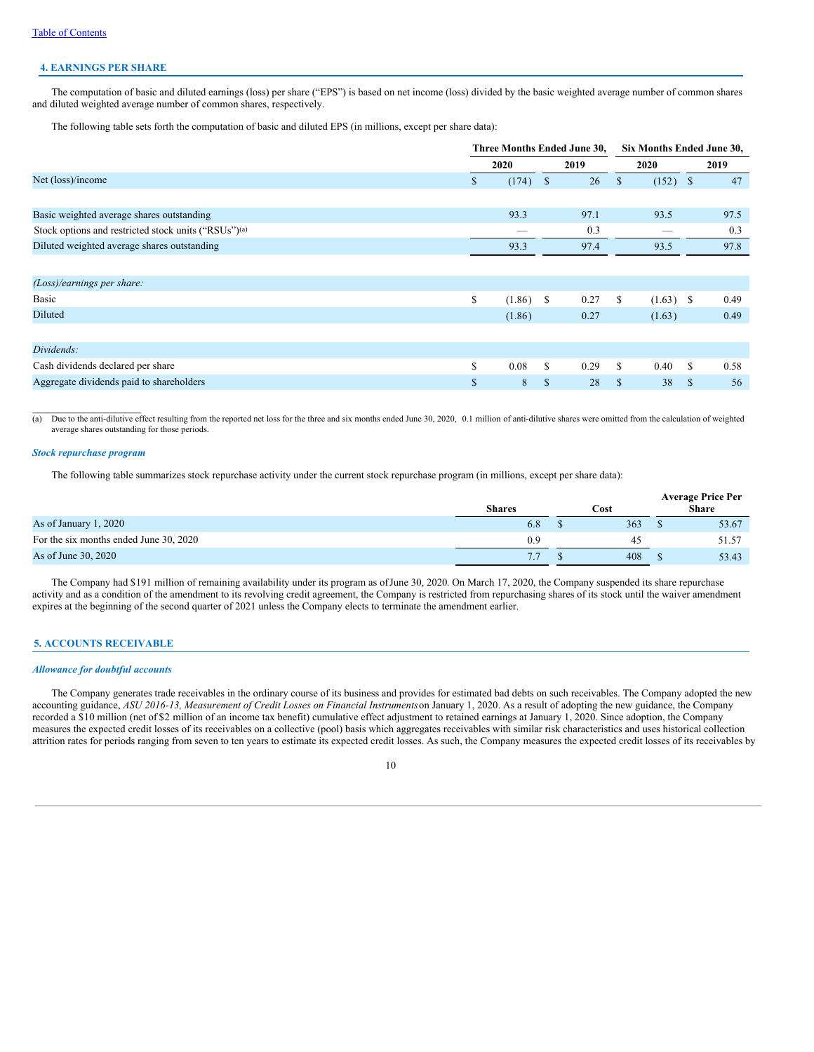#### **4. EARNINGS PER SHARE**

The computation of basic and diluted earnings (loss) per share ("EPS") is based on net income (loss) divided by the basic weighted average number of common shares and diluted weighted average number of common shares, respectively.

The following table sets forth the computation of basic and diluted EPS (in millions, except per share data):

|                                                                  | Three Months Ended June 30, |               |      | Six Months Ended June 30, |             |          |      |  |
|------------------------------------------------------------------|-----------------------------|---------------|------|---------------------------|-------------|----------|------|--|
|                                                                  | 2020                        |               | 2019 |                           | 2020        |          | 2019 |  |
| Net (loss)/income                                                | \$<br>(174)                 | -S            | 26   | <sup>S</sup>              | $(152)$ \$  |          | 47   |  |
|                                                                  |                             |               |      |                           |             |          |      |  |
| Basic weighted average shares outstanding                        | 93.3                        |               | 97.1 |                           | 93.5        |          | 97.5 |  |
| Stock options and restricted stock units ("RSUs") <sup>(a)</sup> | --                          |               | 0.3  |                           |             |          | 0.3  |  |
| Diluted weighted average shares outstanding                      | 93.3                        |               | 97.4 |                           | 93.5        |          | 97.8 |  |
|                                                                  |                             |               |      |                           |             |          |      |  |
| (Loss)/earnings per share:                                       |                             |               |      |                           |             |          |      |  |
| Basic                                                            | \$<br>$(1.86)$ \$           |               | 0.27 | \$                        | $(1.63)$ \$ |          | 0.49 |  |
| Diluted                                                          | (1.86)                      |               | 0.27 |                           | (1.63)      |          | 0.49 |  |
|                                                                  |                             |               |      |                           |             |          |      |  |
| Dividends:                                                       |                             |               |      |                           |             |          |      |  |
| Cash dividends declared per share                                | \$<br>0.08                  | S             | 0.29 | \$                        | 0.40        | <b>S</b> | 0.58 |  |
| Aggregate dividends paid to shareholders                         | \$<br>8                     | <sup>\$</sup> | 28   | <sup>\$</sup>             | 38          | -S       | 56   |  |

(a) Due to the anti-dilutive effect resulting from the reported net loss for the three and six months ended June 30, 2020, 0.1 million of anti-dilutive shares were omitted from the calculation of weighted average shares outstanding for those periods.

#### *Stock repurchase program*

 $\mathcal{L}=\mathcal{L}^{\mathcal{L}}$  , where  $\mathcal{L}^{\mathcal{L}}$  , we have the set of the set of the set of the set of the set of the set of the set of the set of the set of the set of the set of the set of the set of the set of the set of

The following table summarizes stock repurchase activity under the current stock repurchase program (in millions, except per share data):

|                                        | <b>Shares</b> | Cost | <b>Average Price Per</b><br><b>Share</b> |
|----------------------------------------|---------------|------|------------------------------------------|
| As of January 1, 2020                  | 6.8           | 363  | 53.67                                    |
| For the six months ended June 30, 2020 | 0.9           | 45   | 51.57                                    |
| As of June 30, 2020                    | 7.7           | 408  | 53.43                                    |

The Company had \$191 million of remaining availability under its program as ofJune 30, 2020. On March 17, 2020, the Company suspended its share repurchase activity and as a condition of the amendment to its revolving credit agreement, the Company is restricted from repurchasing shares of its stock until the waiver amendment expires at the beginning of the second quarter of 2021 unless the Company elects to terminate the amendment earlier.

#### **5. ACCOUNTS RECEIVABLE**

#### *Allowance for doubtful accounts*

The Company generates trade receivables in the ordinary course of its business and provides for estimated bad debts on such receivables. The Company adopted the new accounting guidance, *ASU 2016-13, Measurement of Credit Losses on Financial Instruments*on January 1, 2020. As a result of adopting the new guidance, the Company recorded a \$10 million (net of \$2 million of an income tax benefit) cumulative effect adjustment to retained earnings at January 1, 2020. Since adoption, the Company measures the expected credit losses of its receivables on a collective (pool) basis which aggregates receivables with similar risk characteristics and uses historical collection attrition rates for periods ranging from seven to ten years to estimate its expected credit losses. As such, the Company measures the expected credit losses of its receivables by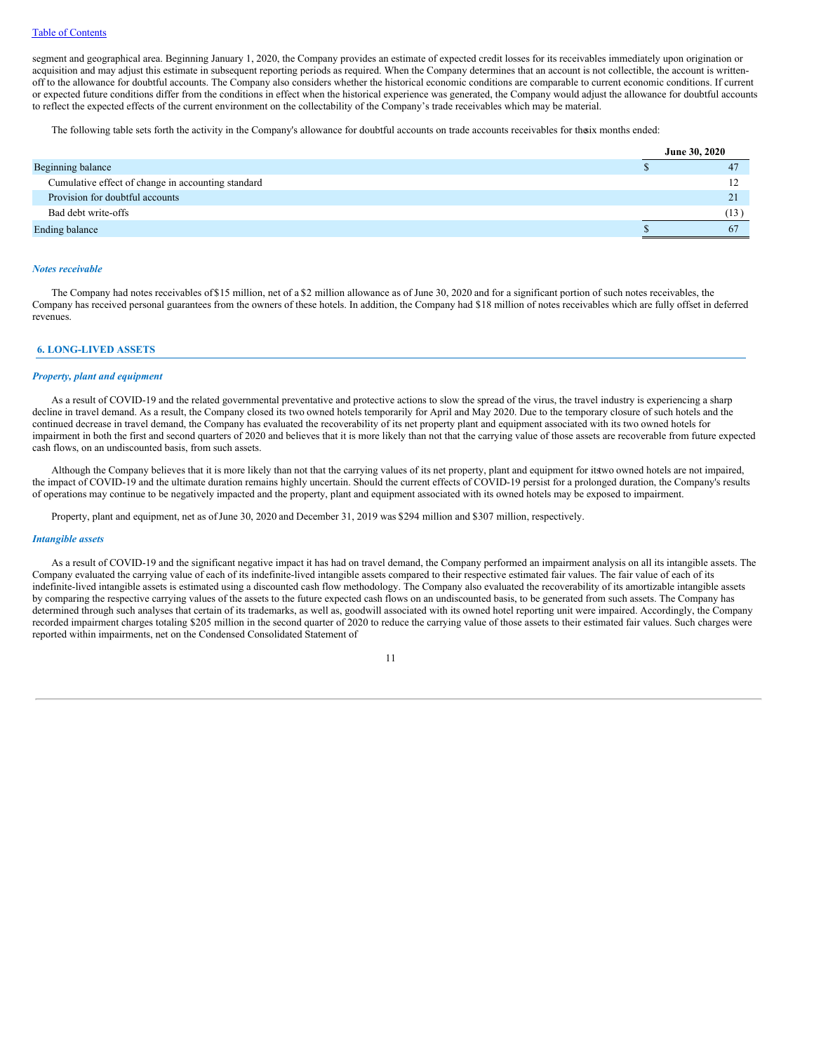segment and geographical area. Beginning January 1, 2020, the Company provides an estimate of expected credit losses for its receivables immediately upon origination or acquisition and may adjust this estimate in subsequent reporting periods as required. When the Company determines that an account is not collectible, the account is writtenoff to the allowance for doubtful accounts. The Company also considers whether the historical economic conditions are comparable to current economic conditions. If current or expected future conditions differ from the conditions in effect when the historical experience was generated, the Company would adjust the allowance for doubtful accounts to reflect the expected effects of the current environment on the collectability of the Company's trade receivables which may be material.

The following table sets forth the activity in the Company's allowance for doubtful accounts on trade accounts receivables for thesix months ended:

|                                                    | June 30, 2020 |
|----------------------------------------------------|---------------|
| Beginning balance                                  |               |
| Cumulative effect of change in accounting standard |               |
| Provision for doubtful accounts                    |               |
| Bad debt write-offs                                | (13)          |
| Ending balance                                     | 67            |

#### *Notes receivable*

The Company had notes receivables of \$15 million, net of a \$2 million allowance as of June 30, 2020 and for a significant portion of such notes receivables, the Company has received personal guarantees from the owners of these hotels. In addition, the Company had \$18 million of notes receivables which are fully offset in deferred revenues.

### **6. LONG-LIVED ASSETS**

# *Property, plant and equipment*

As a result of COVID-19 and the related governmental preventative and protective actions to slow the spread of the virus, the travel industry is experiencing a sharp decline in travel demand. As a result, the Company closed its two owned hotels temporarily for April and May 2020. Due to the temporary closure of such hotels and the continued decrease in travel demand, the Company has evaluated the recoverability of its net property plant and equipment associated with its two owned hotels for impairment in both the first and second quarters of 2020 and believes that it is more likely than not that the carrying value of those assets are recoverable from future expected cash flows, on an undiscounted basis, from such assets.

Although the Company believes that it is more likely than not that the carrying values of its net property, plant and equipment for itstwo owned hotels are not impaired, the impact of COVID-19 and the ultimate duration remains highly uncertain. Should the current effects of COVID-19 persist for a prolonged duration, the Company's results of operations may continue to be negatively impacted and the property, plant and equipment associated with its owned hotels may be exposed to impairment.

Property, plant and equipment, net as of June 30, 2020 and December 31, 2019 was \$294 million and \$307 million, respectively.

#### *Intangible assets*

As a result of COVID-19 and the significant negative impact it has had on travel demand, the Company performed an impairment analysis on all its intangible assets. The Company evaluated the carrying value of each of its indefinite-lived intangible assets compared to their respective estimated fair values. The fair value of each of its indefinite-lived intangible assets is estimated using a discounted cash flow methodology. The Company also evaluated the recoverability of its amortizable intangible assets by comparing the respective carrying values of the assets to the future expected cash flows on an undiscounted basis, to be generated from such assets. The Company has determined through such analyses that certain of its trademarks, as well as, goodwill associated with its owned hotel reporting unit were impaired. Accordingly, the Company recorded impairment charges totaling \$205 million in the second quarter of 2020 to reduce the carrying value of those assets to their estimated fair values. Such charges were reported within impairments, net on the Condensed Consolidated Statement of

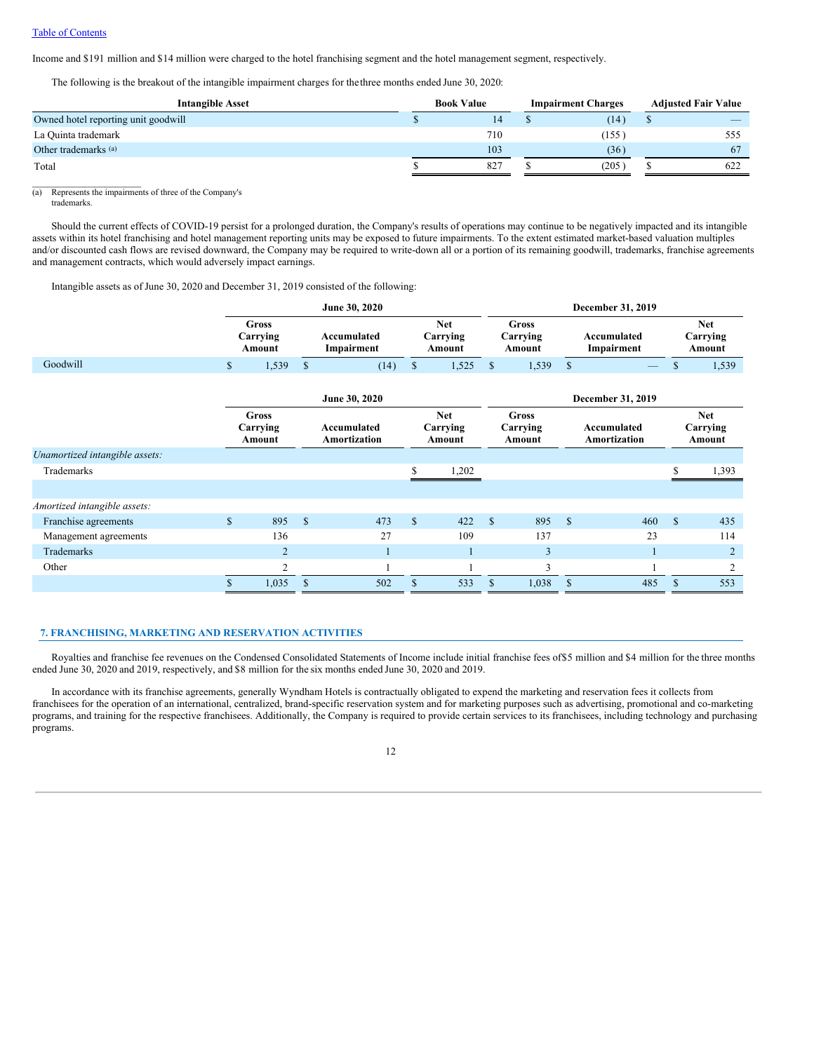Income and \$191 million and \$14 million were charged to the hotel franchising segment and the hotel management segment, respectively.

The following is the breakout of the intangible impairment charges for thethree months ended June 30, 2020:

| <b>Intangible Asset</b>             |  | <b>Book Value</b> | <b>Impairment Charges</b> | <b>Adjusted Fair Value</b> |     |  |
|-------------------------------------|--|-------------------|---------------------------|----------------------------|-----|--|
| Owned hotel reporting unit goodwill |  | $\overline{14}$   | (14)                      |                            | _   |  |
| La Quinta trademark                 |  | 710               | (155)                     |                            | 555 |  |
| Other trademarks (a)                |  | 103               | (36)                      |                            | 67  |  |
| Total                               |  | 827               | (205)                     |                            | 622 |  |
|                                     |  |                   |                           |                            |     |  |

(a) Represents the impairments of three of the Company's trademarks.

Should the current effects of COVID-19 persist for a prolonged duration, the Company's results of operations may continue to be negatively impacted and its intangible assets within its hotel franchising and hotel management reporting units may be exposed to future impairments. To the extent estimated market-based valuation multiples and/or discounted cash flows are revised downward, the Company may be required to write-down all or a portion of its remaining goodwill, trademarks, franchise agreements and management contracts, which would adversely impact earnings.

Intangible assets as of June 30, 2020 and December 31, 2019 consisted of the following:

|                                |              |                                    |              | June 30, 2020                      |               |                                                                        |              | December 31, 2019                  |              |                           |                                  |                                  |  |  |
|--------------------------------|--------------|------------------------------------|--------------|------------------------------------|---------------|------------------------------------------------------------------------|--------------|------------------------------------|--------------|---------------------------|----------------------------------|----------------------------------|--|--|
|                                |              | <b>Gross</b><br>Carrying<br>Amount |              | Accumulated<br>Impairment          |               | <b>Net</b><br>Carrying<br>Amount                                       |              | <b>Gross</b><br>Carrying<br>Amount |              | Accumulated<br>Impairment |                                  | <b>Net</b><br>Carrying<br>Amount |  |  |
| Goodwill                       | $\mathbb{S}$ | 1,539                              | $\mathbb{S}$ | (14)                               | $\mathbb{S}$  | 1,525                                                                  | $\mathbb{S}$ | 1,539                              | $\mathbb{S}$ |                           | \$                               | 1,539                            |  |  |
|                                |              |                                    |              | June 30, 2020                      |               |                                                                        |              |                                    |              | December 31, 2019         |                                  |                                  |  |  |
|                                |              | <b>Gross</b><br>Carrying<br>Amount |              | Accumulated<br><b>Amortization</b> |               | <b>Net</b><br><b>Gross</b><br>Carrying<br>Carrying<br>Amount<br>Amount |              | Accumulated<br><b>Amortization</b> |              |                           | <b>Net</b><br>Carrying<br>Amount |                                  |  |  |
| Unamortized intangible assets: |              |                                    |              |                                    |               |                                                                        |              |                                    |              |                           |                                  |                                  |  |  |
| Trademarks                     |              |                                    |              |                                    | \$            | 1,202                                                                  |              |                                    |              |                           | S                                | 1,393                            |  |  |
|                                |              |                                    |              |                                    |               |                                                                        |              |                                    |              |                           |                                  |                                  |  |  |
| Amortized intangible assets:   |              |                                    |              |                                    |               |                                                                        |              |                                    |              |                           |                                  |                                  |  |  |
| Franchise agreements           | $\mathbb{S}$ | 895                                | $\mathbb{S}$ | 473                                | $\mathsf{\$}$ | 422                                                                    | $\mathbf S$  | 895                                | $\mathbf{s}$ | 460                       | $\mathbb{S}$                     | 435                              |  |  |
| Management agreements          |              | 136                                |              | 27                                 |               | 109                                                                    |              | 137                                |              | 23                        |                                  | 114                              |  |  |
| Trademarks                     |              | $\overline{2}$                     |              |                                    |               |                                                                        |              | 3                                  |              |                           |                                  | $\overline{2}$                   |  |  |
| Other                          |              | $\overline{2}$                     |              |                                    |               |                                                                        |              | 3                                  |              |                           |                                  | 2                                |  |  |
|                                | S            | 1,035                              | $\mathbb{S}$ | 502                                | \$            | 533                                                                    | $\mathbb{S}$ | 1,038                              | \$           | 485                       | $\mathbf S$                      | 553                              |  |  |

# **7. FRANCHISING, MARKETING AND RESERVATION ACTIVITIES**

Royalties and franchise fee revenues on the Condensed Consolidated Statements of Income include initial franchise fees of\$5 million and \$4 million for the three months ended June 30, 2020 and 2019, respectively, and \$8 million for the six months ended June 30, 2020 and 2019.

In accordance with its franchise agreements, generally Wyndham Hotels is contractually obligated to expend the marketing and reservation fees it collects from franchisees for the operation of an international, centralized, brand-specific reservation system and for marketing purposes such as advertising, promotional and co-marketing programs, and training for the respective franchisees. Additionally, the Company is required to provide certain services to its franchisees, including technology and purchasing programs.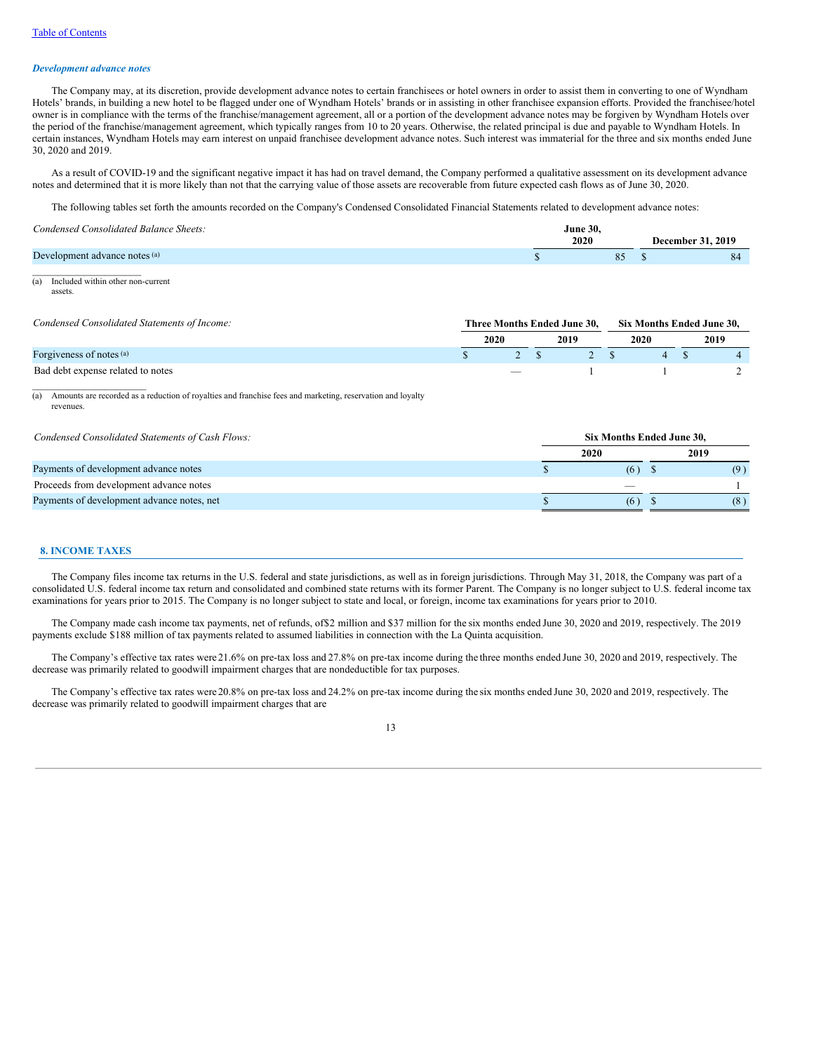# *Development advance notes*

The Company may, at its discretion, provide development advance notes to certain franchisees or hotel owners in order to assist them in converting to one of Wyndham Hotels' brands, in building a new hotel to be flagged under one of Wyndham Hotels' brands or in assisting in other franchisee expansion efforts. Provided the franchisee/hotel owner is in compliance with the terms of the franchise/management agreement, all or a portion of the development advance notes may be forgiven by Wyndham Hotels over the period of the franchise/management agreement, which typically ranges from 10 to 20 years. Otherwise, the related principal is due and payable to Wyndham Hotels. In certain instances, Wyndham Hotels may earn interest on unpaid franchisee development advance notes. Such interest was immaterial for the three and six months ended June 30, 2020 and 2019.

As a result of COVID-19 and the significant negative impact it has had on travel demand, the Company performed a qualitative assessment on its development advance notes and determined that it is more likely than not that the carrying value of those assets are recoverable from future expected cash flows as of June 30, 2020.

The following tables set forth the amounts recorded on the Company's Condensed Consolidated Financial Statements related to development advance notes:

| Condensed Consolidated Balance Sheets: | <b>June 30,</b><br>2020 | December 31, 2019 |
|----------------------------------------|-------------------------|-------------------|
| Development advance notes (a)          | 85                      | 84                |
|                                        |                         |                   |

(a) Included within other non-current assets.

*Condensed Consolidated Statements of Income:* **Three Months Ended June 30, Six Months Ended June 30,**

|                                   |        | .    |      |  | .    |
|-----------------------------------|--------|------|------|--|------|
|                                   | 2020   | 2019 | 2020 |  | 2019 |
| Forgiveness of notes (a)          |        |      |      |  |      |
| Bad debt expense related to notes | $\sim$ |      |      |  |      |

 $\mathcal{L}=\mathcal{L}=\mathcal{L}=\mathcal{L}=\mathcal{L}=\mathcal{L}=\mathcal{L}=\mathcal{L}=\mathcal{L}=\mathcal{L}=\mathcal{L}=\mathcal{L}=\mathcal{L}=\mathcal{L}=\mathcal{L}=\mathcal{L}=\mathcal{L}=\mathcal{L}=\mathcal{L}=\mathcal{L}=\mathcal{L}=\mathcal{L}=\mathcal{L}=\mathcal{L}=\mathcal{L}=\mathcal{L}=\mathcal{L}=\mathcal{L}=\mathcal{L}=\mathcal{L}=\mathcal{L}=\mathcal{L}=\mathcal{L}=\mathcal{L}=\mathcal{L}=\mathcal{L}=\mathcal{$ (a) Amounts are recorded as a reduction of royalties and franchise fees and marketing, reservation and loyalty revenues

| Condensed Consolidated Statements of Cash Flows: | Six Months Ended June 30. |      |     |  |  |  |  |  |  |
|--------------------------------------------------|---------------------------|------|-----|--|--|--|--|--|--|
|                                                  | 2020                      | 2019 |     |  |  |  |  |  |  |
| Payments of development advance notes            | (6)                       |      | (9) |  |  |  |  |  |  |
| Proceeds from development advance notes          |                           |      |     |  |  |  |  |  |  |
| Payments of development advance notes, net       | (6)                       |      | (8) |  |  |  |  |  |  |

### **8. INCOME TAXES**

The Company files income tax returns in the U.S. federal and state jurisdictions, as well as in foreign jurisdictions. Through May 31, 2018, the Company was part of a consolidated U.S. federal income tax return and consolidated and combined state returns with its former Parent. The Company is no longer subject to U.S. federal income tax examinations for years prior to 2015. The Company is no longer subject to state and local, or foreign, income tax examinations for years prior to 2010.

The Company made cash income tax payments, net of refunds, of\$2 million and \$37 million for the six months ended June 30, 2020 and 2019, respectively. The 2019 payments exclude \$188 million of tax payments related to assumed liabilities in connection with the La Quinta acquisition.

The Company's effective tax rates were 21.6% on pre-tax loss and 27.8% on pre-tax income during the three months ended June 30, 2020 and 2019, respectively. The decrease was primarily related to goodwill impairment charges that are nondeductible for tax purposes.

The Company's effective tax rates were 20.8% on pre-tax loss and 24.2% on pre-tax income during the six months ended June 30, 2020 and 2019, respectively. The decrease was primarily related to goodwill impairment charges that are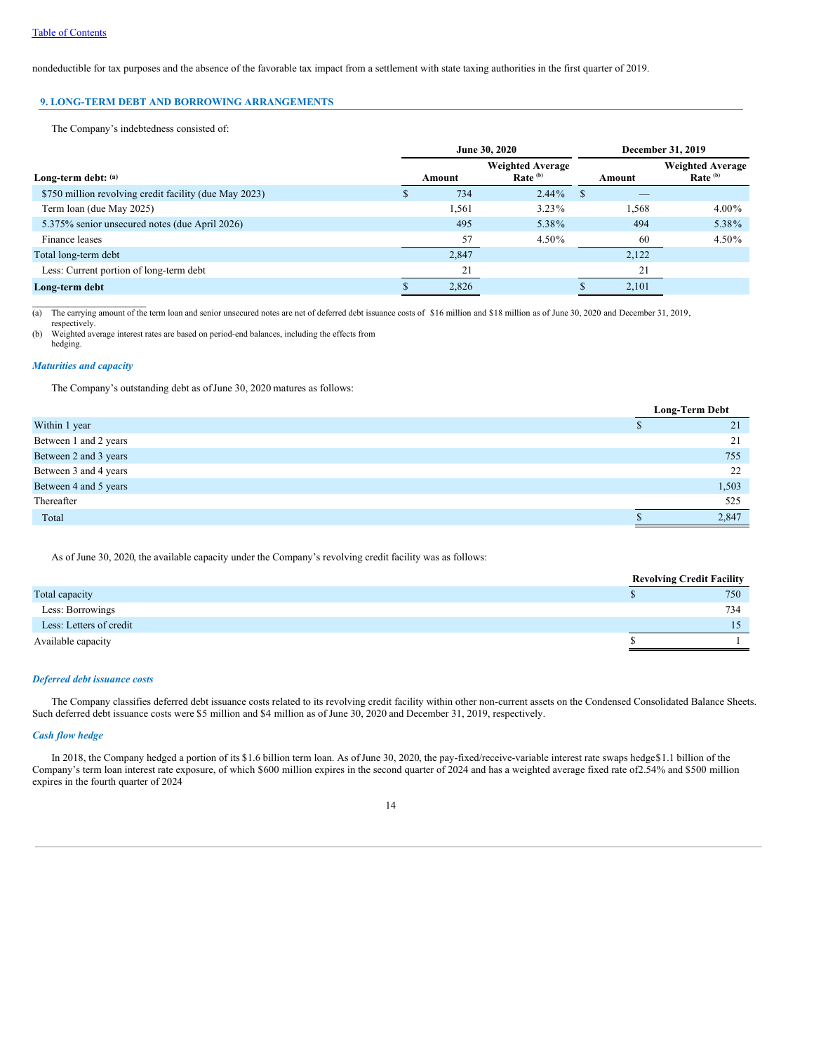nondeductible for tax purposes and the absence of the favorable tax impact from a settlement with state taxing authorities in the first quarter of 2019.

# **9. LONG-TERM DEBT AND BORROWING ARRANGEMENTS**

The Company's indebtedness consisted of:

|                                                        |  |        | <b>June 30, 2020</b>                           |    | December 31, 2019 |                                                |  |  |
|--------------------------------------------------------|--|--------|------------------------------------------------|----|-------------------|------------------------------------------------|--|--|
| Long-term debt: (a)                                    |  | Amount | <b>Weighted Average</b><br>Rate <sup>(b)</sup> |    | Amount            | <b>Weighted Average</b><br>Rate <sup>(b)</sup> |  |  |
| \$750 million revolving credit facility (due May 2023) |  | 734    | $2.44\%$                                       | -S | _                 |                                                |  |  |
| Term loan (due May 2025)                               |  | 1,561  | $3.23\%$                                       |    | 1,568             | $4.00\%$                                       |  |  |
| 5.375% senior unsecured notes (due April 2026)         |  | 495    | 5.38%                                          |    | 494               | 5.38%                                          |  |  |
| Finance leases                                         |  | 57     | 4.50%                                          |    | 60                | 4.50%                                          |  |  |
| Total long-term debt                                   |  | 2,847  |                                                |    | 2,122             |                                                |  |  |
| Less: Current portion of long-term debt                |  | 21     |                                                |    | 21                |                                                |  |  |
| Long-term debt                                         |  | 2,826  |                                                |    | 2,101             |                                                |  |  |

(a) The carrying amount of the term loan and senior unsecured notes are net of deferred debt issuance costs of \$16 million and \$18 million as of June 30, 2020 and December 31, 2019, respectively.

(b) Weighted average interest rates are based on period-end balances, including the effects from hedging.

# *Maturities and capacity*

The Company's outstanding debt as of June 30, 2020 matures as follows:

|                       | <b>Long-Term Debt</b> |
|-----------------------|-----------------------|
| Within 1 year         | 21                    |
| Between 1 and 2 years | 21                    |
| Between 2 and 3 years | 755                   |
| Between 3 and 4 years | 22                    |
| Between 4 and 5 years | 1,503                 |
| Thereafter            | 525                   |
| Total                 | 2,847                 |

As of June 30, 2020, the available capacity under the Company's revolving credit facility was as follows:

|                         | <b>Revolving Credit Facility</b> |     |
|-------------------------|----------------------------------|-----|
| Total capacity          |                                  | 750 |
| Less: Borrowings        |                                  | 734 |
| Less: Letters of credit |                                  | 15  |
| Available capacity      |                                  |     |

#### *Deferred debt issuance costs*

The Company classifies deferred debt issuance costs related to its revolving credit facility within other non-current assets on the Condensed Consolidated Balance Sheets. Such deferred debt issuance costs were \$5 million and \$4 million as of June 30, 2020 and December 31, 2019, respectively.

#### *Cash flow hedge*

In 2018, the Company hedged a portion of its \$1.6 billion term loan. As of June 30, 2020, the pay-fixed/receive-variable interest rate swaps hedge\$1.1 billion of the Company's term loan interest rate exposure, of which \$600 million expires in the second quarter of 2024 and has a weighted average fixed rate of2.54% and \$500 million expires in the fourth quarter of 2024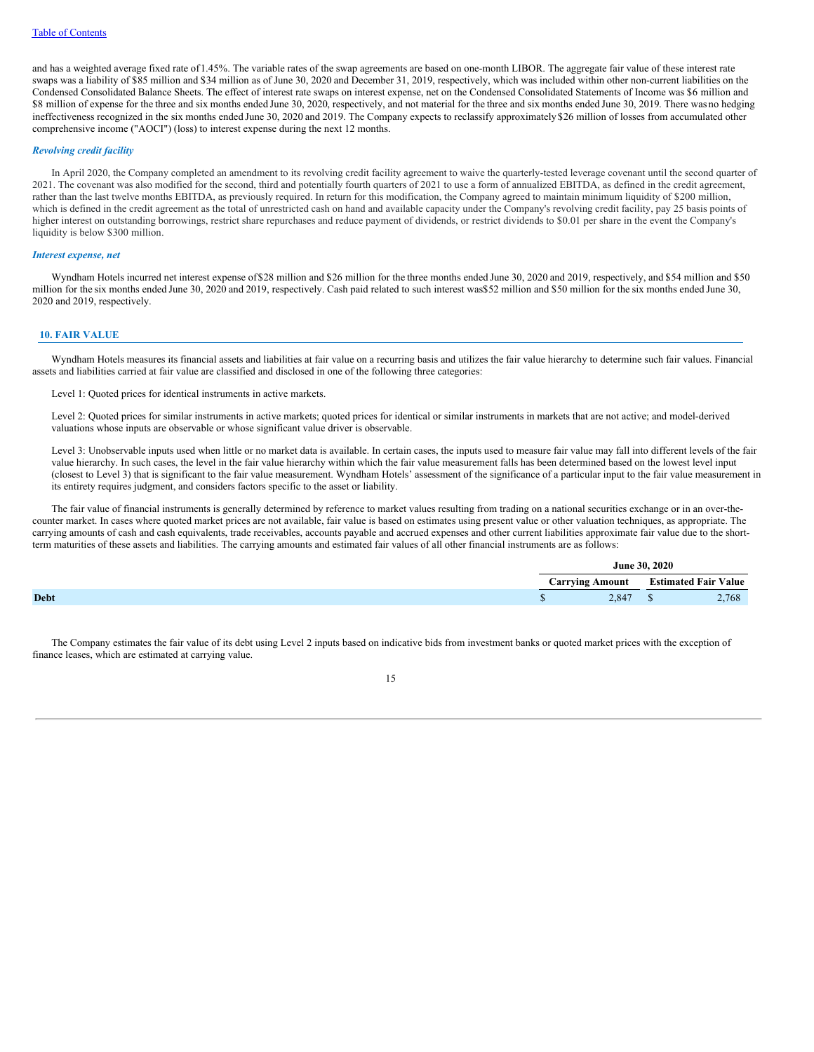and has a weighted average fixed rate of 1.45%. The variable rates of the swap agreements are based on one-month LIBOR. The aggregate fair value of these interest rate swaps was a liability of \$85 million and \$34 million as of June 30, 2020 and December 31, 2019, respectively, which was included within other non-current liabilities on the Condensed Consolidated Balance Sheets. The effect of interest rate swaps on interest expense, net on the Condensed Consolidated Statements of Income was \$6 million and \$8 million of expense for the three and six months ended June 30, 2020, respectively, and not material for the three and six months ended June 30, 2019. There was no hedging ineffectiveness recognized in the six months ended June 30, 2020 and 2019. The Company expects to reclassify approximately \$26 million of losses from accumulated other comprehensive income ("AOCI") (loss) to interest expense during the next 12 months.

### *Revolving credit facility*

In April 2020, the Company completed an amendment to its revolving credit facility agreement to waive the quarterly-tested leverage covenant until the second quarter of 2021. The covenant was also modified for the second, third and potentially fourth quarters of 2021 to use a form of annualized EBITDA, as defined in the credit agreement, rather than the last twelve months EBITDA, as previously required. In return for this modification, the Company agreed to maintain minimum liquidity of \$200 million, which is defined in the credit agreement as the total of unrestricted cash on hand and available capacity under the Company's revolving credit facility, pay 25 basis points of higher interest on outstanding borrowings, restrict share repurchases and reduce payment of dividends, or restrict dividends to \$0.01 per share in the event the Company's liquidity is below \$300 million.

#### *Interest expense, net*

Wyndham Hotels incurred net interest expense of\$28 million and \$26 million for the three months ended June 30, 2020 and 2019, respectively, and \$54 million and \$50 million for the six months ended June 30, 2020 and 2019, respectively. Cash paid related to such interest was\$52 million and \$50 million for the six months ended June 30, 2020 and 2019, respectively.

#### **10. FAIR VALUE**

Wyndham Hotels measures its financial assets and liabilities at fair value on a recurring basis and utilizes the fair value hierarchy to determine such fair values. Financial assets and liabilities carried at fair value are classified and disclosed in one of the following three categories:

Level 1: Quoted prices for identical instruments in active markets.

Level 2: Quoted prices for similar instruments in active markets; quoted prices for identical or similar instruments in markets that are not active; and model-derived valuations whose inputs are observable or whose significant value driver is observable.

Level 3: Unobservable inputs used when little or no market data is available. In certain cases, the inputs used to measure fair value may fall into different levels of the fair value hierarchy. In such cases, the level in the fair value hierarchy within which the fair value measurement falls has been determined based on the lowest level input (closest to Level 3) that is significant to the fair value measurement. Wyndham Hotels' assessment of the significance of a particular input to the fair value measurement in its entirety requires judgment, and considers factors specific to the asset or liability.

The fair value of financial instruments is generally determined by reference to market values resulting from trading on a national securities exchange or in an over-thecounter market. In cases where quoted market prices are not available, fair value is based on estimates using present value or other valuation techniques, as appropriate. The carrying amounts of cash and cash equivalents, trade receivables, accounts payable and accrued expenses and other current liabilities approximate fair value due to the shortterm maturities of these assets and liabilities. The carrying amounts and estimated fair values of all other financial instruments are as follows:

|             |                        | June 30, 2020               |       |
|-------------|------------------------|-----------------------------|-------|
|             | <b>Carrying Amount</b> | <b>Estimated Fair Value</b> |       |
| <b>Debt</b> | 2.847                  |                             | 2,768 |

The Company estimates the fair value of its debt using Level 2 inputs based on indicative bids from investment banks or quoted market prices with the exception of finance leases, which are estimated at carrying value.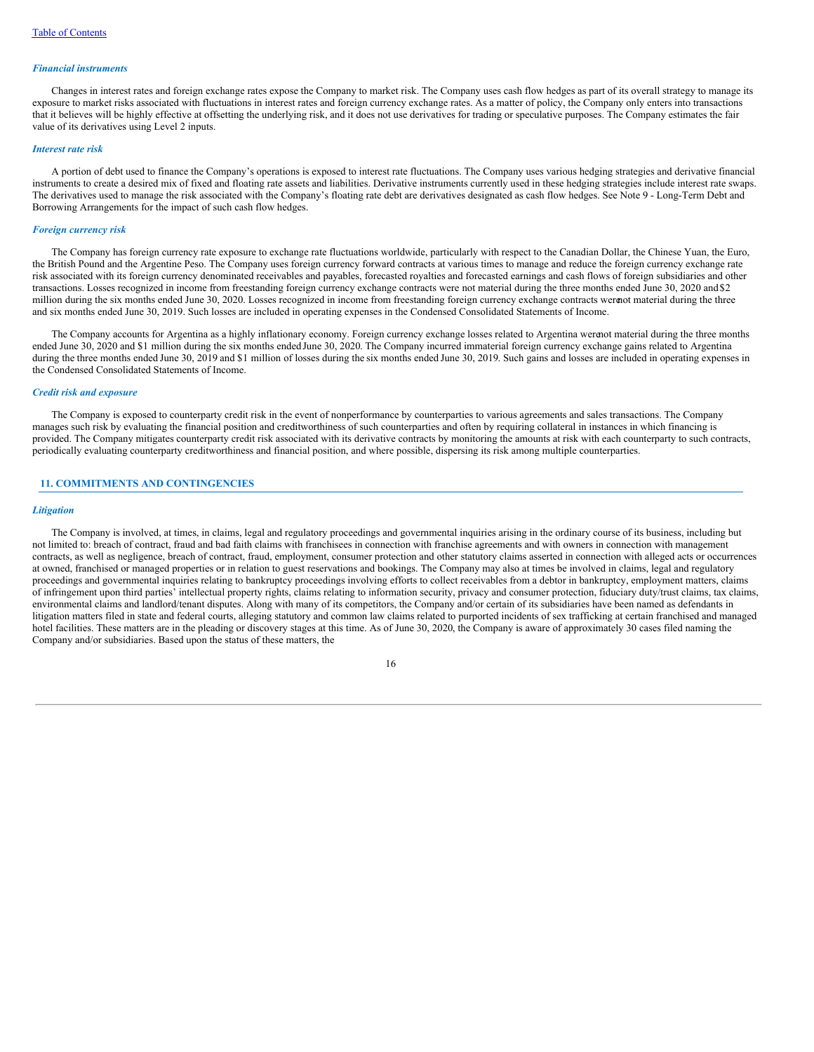#### *Financial instruments*

Changes in interest rates and foreign exchange rates expose the Company to market risk. The Company uses cash flow hedges as part of its overall strategy to manage its exposure to market risks associated with fluctuations in interest rates and foreign currency exchange rates. As a matter of policy, the Company only enters into transactions that it believes will be highly effective at offsetting the underlying risk, and it does not use derivatives for trading or speculative purposes. The Company estimates the fair value of its derivatives using Level 2 inputs.

#### *Interest rate risk*

A portion of debt used to finance the Company's operations is exposed to interest rate fluctuations. The Company uses various hedging strategies and derivative financial instruments to create a desired mix of fixed and floating rate assets and liabilities. Derivative instruments currently used in these hedging strategies include interest rate swaps. The derivatives used to manage the risk associated with the Company's floating rate debt are derivatives designated as cash flow hedges. See Note 9 - Long-Term Debt and Borrowing Arrangements for the impact of such cash flow hedges.

#### *Foreign currency risk*

The Company has foreign currency rate exposure to exchange rate fluctuations worldwide, particularly with respect to the Canadian Dollar, the Chinese Yuan, the Euro, the British Pound and the Argentine Peso. The Company uses foreign currency forward contracts at various times to manage and reduce the foreign currency exchange rate risk associated with its foreign currency denominated receivables and payables, forecasted royalties and forecasted earnings and cash flows of foreign subsidiaries and other transactions. Losses recognized in income from freestanding foreign currency exchange contracts were not material during the three months ended June 30, 2020 and\$2 million during the six months ended June 30, 2020. Losses recognized in income from freestanding foreign currency exchange contracts were to material during the three and six months ended June 30, 2019. Such losses are included in operating expenses in the Condensed Consolidated Statements of Income.

The Company accounts for Argentina as a highly inflationary economy. Foreign currency exchange losses related to Argentina werenot material during the three months ended June 30, 2020 and \$1 million during the six months endedJune 30, 2020. The Company incurred immaterial foreign currency exchange gains related to Argentina during the three months ended June 30, 2019 and \$1 million of losses during the six months ended June 30, 2019. Such gains and losses are included in operating expenses in the Condensed Consolidated Statements of Income.

#### *Credit risk and exposure*

The Company is exposed to counterparty credit risk in the event of nonperformance by counterparties to various agreements and sales transactions. The Company manages such risk by evaluating the financial position and creditworthiness of such counterparties and often by requiring collateral in instances in which financing is provided. The Company mitigates counterparty credit risk associated with its derivative contracts by monitoring the amounts at risk with each counterparty to such contracts, periodically evaluating counterparty creditworthiness and financial position, and where possible, dispersing its risk among multiple counterparties.

#### **11. COMMITMENTS AND CONTINGENCIES**

#### *Litigation*

The Company is involved, at times, in claims, legal and regulatory proceedings and governmental inquiries arising in the ordinary course of its business, including but not limited to: breach of contract, fraud and bad faith claims with franchisees in connection with franchise agreements and with owners in connection with management contracts, as well as negligence, breach of contract, fraud, employment, consumer protection and other statutory claims asserted in connection with alleged acts or occurrences at owned, franchised or managed properties or in relation to guest reservations and bookings. The Company may also at times be involved in claims, legal and regulatory proceedings and governmental inquiries relating to bankruptcy proceedings involving efforts to collect receivables from a debtor in bankruptcy, employment matters, claims of infringement upon third parties' intellectual property rights, claims relating to information security, privacy and consumer protection, fiduciary duty/trust claims, tax claims, environmental claims and landlord/tenant disputes. Along with many of its competitors, the Company and/or certain of its subsidiaries have been named as defendants in litigation matters filed in state and federal courts, alleging statutory and common law claims related to purported incidents of sex trafficking at certain franchised and managed hotel facilities. These matters are in the pleading or discovery stages at this time. As of June 30, 2020, the Company is aware of approximately 30 cases filed naming the Company and/or subsidiaries. Based upon the status of these matters, the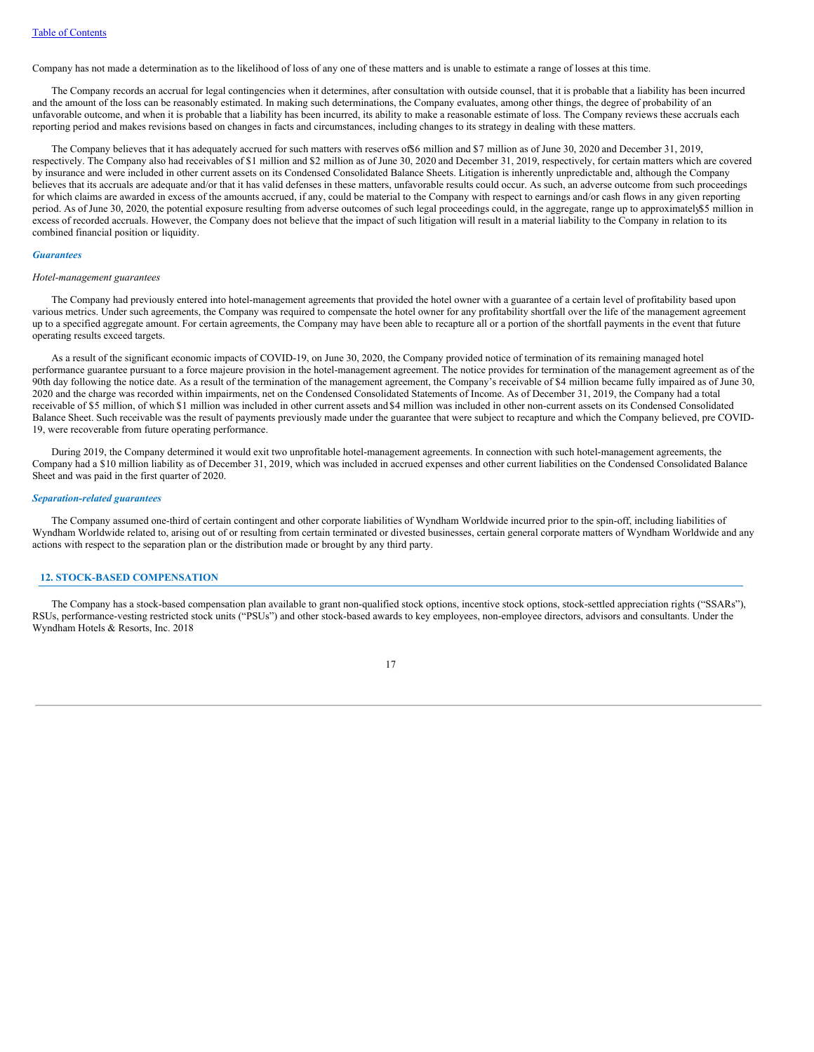Company has not made a determination as to the likelihood of loss of any one of these matters and is unable to estimate a range of losses at this time.

The Company records an accrual for legal contingencies when it determines, after consultation with outside counsel, that it is probable that a liability has been incurred and the amount of the loss can be reasonably estimated. In making such determinations, the Company evaluates, among other things, the degree of probability of an unfavorable outcome, and when it is probable that a liability has been incurred, its ability to make a reasonable estimate of loss. The Company reviews these accruals each reporting period and makes revisions based on changes in facts and circumstances, including changes to its strategy in dealing with these matters.

The Company believes that it has adequately accrued for such matters with reserves of \$6 million and \$7 million as of June 30, 2020 and December 31, 2019, respectively. The Company also had receivables of \$1 million and \$2 million as of June 30, 2020 and December 31, 2019, respectively, for certain matters which are covered by insurance and were included in other current assets on its Condensed Consolidated Balance Sheets. Litigation is inherently unpredictable and, although the Company believes that its accruals are adequate and/or that it has valid defenses in these matters, unfavorable results could occur. As such, an adverse outcome from such proceedings for which claims are awarded in excess of the amounts accrued, if any, could be material to the Company with respect to earnings and/or cash flows in any given reporting period. As of June 30, 2020, the potential exposure resulting from adverse outcomes of such legal proceedings could, in the aggregate, range up to approximately\$5 million in excess of recorded accruals. However, the Company does not believe that the impact of such litigation will result in a material liability to the Company in relation to its combined financial position or liquidity.

#### *Guarantees*

#### *Hotel-management guarantees*

The Company had previously entered into hotel-management agreements that provided the hotel owner with a guarantee of a certain level of profitability based upon various metrics. Under such agreements, the Company was required to compensate the hotel owner for any profitability shortfall over the life of the management agreement up to a specified aggregate amount. For certain agreements, the Company may have been able to recapture all or a portion of the shortfall payments in the event that future operating results exceed targets.

As a result of the significant economic impacts of COVID-19, on June 30, 2020, the Company provided notice of termination of its remaining managed hotel performance guarantee pursuant to a force majeure provision in the hotel-management agreement. The notice provides for termination of the management agreement as of the 90th day following the notice date. As a result of the termination of the management agreement, the Company's receivable of \$4 million became fully impaired as of June 30, 2020 and the charge was recorded within impairments, net on the Condensed Consolidated Statements of Income. As of December 31, 2019, the Company had a total receivable of \$5 million, of which \$1 million was included in other current assets and \$4 million was included in other non-current assets on its Condensed Consolidated Balance Sheet. Such receivable was the result of payments previously made under the guarantee that were subject to recapture and which the Company believed, pre COVID-19, were recoverable from future operating performance.

During 2019, the Company determined it would exit two unprofitable hotel-management agreements. In connection with such hotel-management agreements, the Company had a \$10 million liability as of December 31, 2019, which was included in accrued expenses and other current liabilities on the Condensed Consolidated Balance Sheet and was paid in the first quarter of 2020.

#### *Separation-related guarantees*

The Company assumed one-third of certain contingent and other corporate liabilities of Wyndham Worldwide incurred prior to the spin-off, including liabilities of Wyndham Worldwide related to, arising out of or resulting from certain terminated or divested businesses, certain general corporate matters of Wyndham Worldwide and any actions with respect to the separation plan or the distribution made or brought by any third party.

### **12. STOCK-BASED COMPENSATION**

The Company has a stock-based compensation plan available to grant non-qualified stock options, incentive stock options, stock-settled appreciation rights ("SSARs"), RSUs, performance-vesting restricted stock units ("PSUs") and other stock-based awards to key employees, non-employee directors, advisors and consultants. Under the Wyndham Hotels & Resorts, Inc. 2018

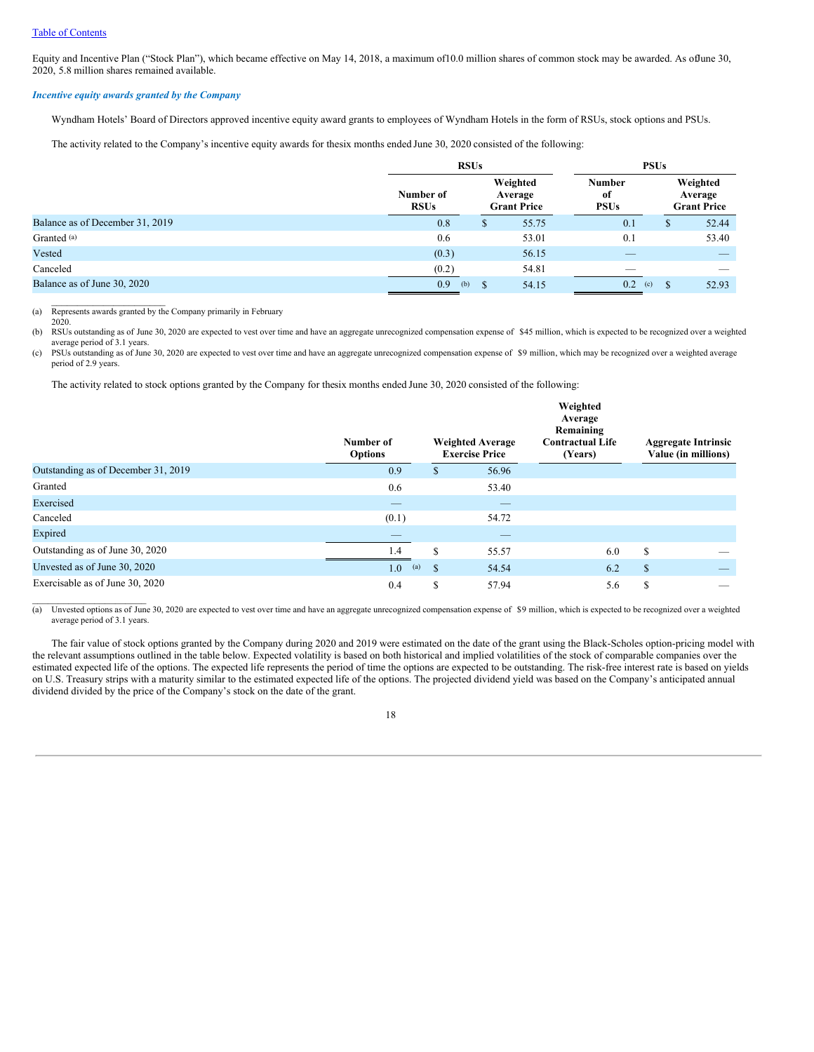Equity and Incentive Plan ("Stock Plan"), which became effective on May 14, 2018, a maximum of10.0 million shares of common stock may be awarded. As ofJune 30, 2020, 5.8 million shares remained available.

## *Incentive equity awards granted by the Company*

Wyndham Hotels' Board of Directors approved incentive equity award grants to employees of Wyndham Hotels in the form of RSUs, stock options and PSUs.

The activity related to the Company's incentive equity awards for thesix months ended June 30, 2020 consisted of the following:

|                                 | <b>RSUs</b>              |          |                                           | <b>PSUs</b>                  |          |                                           |
|---------------------------------|--------------------------|----------|-------------------------------------------|------------------------------|----------|-------------------------------------------|
|                                 | Number of<br><b>RSUs</b> |          | Weighted<br>Average<br><b>Grant Price</b> | Number<br>-of<br><b>PSUs</b> |          | Weighted<br>Average<br><b>Grant Price</b> |
| Balance as of December 31, 2019 | 0.8                      | \$       | 55.75                                     | 0.1                          | S        | 52.44                                     |
| Granted (a)                     | 0.6                      |          | 53.01                                     | 0.1                          |          | 53.40                                     |
| Vested                          | (0.3)                    |          | 56.15                                     | $-$                          |          |                                           |
| Canceled                        | (0.2)                    |          | 54.81                                     | _                            |          |                                           |
| Balance as of June 30, 2020     | 0.9<br>(b)               | <b>S</b> | 54.15                                     | 0.2<br>(c)                   | <b>S</b> | 52.93                                     |

(a) Represents awards granted by the Company primarily in February 2020.

 $\mathcal{L}_\text{max}$  and  $\mathcal{L}_\text{max}$  and  $\mathcal{L}_\text{max}$ 

 $\mathcal{L}_\text{max}$ 

(b) RSUs outstanding as of June 30, 2020 are expected to vest over time and have an aggregate unrecognized compensation expense of \$45 million, which is expected to be recognized over a weighted average period of 3.1 years.

(c) PSUs outstanding as of June 30, 2020 are expected to vest over time and have an aggregate unrecognized compensation expense of \$9 million, which may be recognized over a weighted average period of 2.9 years.

The activity related to stock options granted by the Company for thesix months ended June 30, 2020 consisted of the following:

|                                     | Number of<br><b>Options</b> |                     | <b>Weighted Average</b><br><b>Exercise Price</b> | Weighted<br>Average<br>Remaining<br><b>Contractual Life</b><br>(Years) |   | <b>Aggregate Intrinsic</b><br>Value (in millions) |
|-------------------------------------|-----------------------------|---------------------|--------------------------------------------------|------------------------------------------------------------------------|---|---------------------------------------------------|
| Outstanding as of December 31, 2019 | 0.9                         | <sup>\$</sup>       | 56.96                                            |                                                                        |   |                                                   |
| Granted                             | 0.6                         |                     | 53.40                                            |                                                                        |   |                                                   |
| Exercised                           | __                          |                     | _                                                |                                                                        |   |                                                   |
| Canceled                            | (0.1)                       |                     | 54.72                                            |                                                                        |   |                                                   |
| Expired                             | __                          |                     |                                                  |                                                                        |   |                                                   |
| Outstanding as of June 30, 2020     | 1.4                         | -S                  | 55.57                                            | 6.0                                                                    | ъ |                                                   |
| Unvested as of June 30, 2020        | 1.0                         | <sup>S</sup><br>(a) | 54.54                                            | 6.2                                                                    | S |                                                   |
| Exercisable as of June 30, 2020     | 0.4                         | S                   | 57.94                                            | 5.6                                                                    | ъ |                                                   |

(a) Unvested options as of June 30, 2020 are expected to vest over time and have an aggregate unrecognized compensation expense of \$9 million, which is expected to be recognized over a weighted average period of 3.1 years.

The fair value of stock options granted by the Company during 2020 and 2019 were estimated on the date of the grant using the Black-Scholes option-pricing model with the relevant assumptions outlined in the table below. Expected volatility is based on both historical and implied volatilities of the stock of comparable companies over the estimated expected life of the options. The expected life represents the period of time the options are expected to be outstanding. The risk-free interest rate is based on yields on U.S. Treasury strips with a maturity similar to the estimated expected life of the options. The projected dividend yield was based on the Company's anticipated annual dividend divided by the price of the Company's stock on the date of the grant.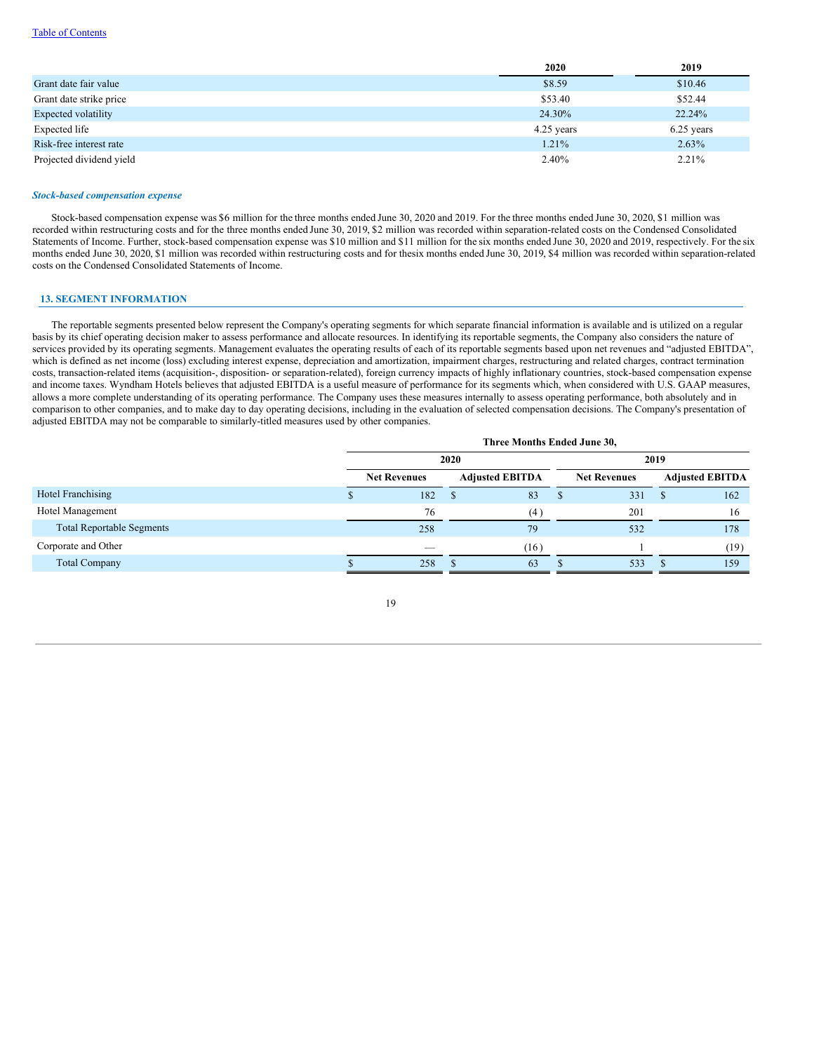|                            | 2020       | 2019       |
|----------------------------|------------|------------|
| Grant date fair value      | \$8.59     | \$10.46    |
| Grant date strike price    | \$53.40    | \$52.44    |
| <b>Expected volatility</b> | 24.30%     | 22.24%     |
| Expected life              | 4.25 years | 6.25 years |
| Risk-free interest rate    | $1.21\%$   | 2.63%      |
| Projected dividend yield   | 2.40%      | $2.21\%$   |

#### *Stock-based compensation expense*

Stock-based compensation expense was \$6 million for the three months ended June 30, 2020 and 2019. For the three months ended June 30, 2020, \$1 million was recorded within restructuring costs and for the three months ended June 30, 2019, \$2 million was recorded within separation-related costs on the Condensed Consolidated Statements of Income. Further, stock-based compensation expense was \$10 million and \$11 million for the six months ended June 30, 2020 and 2019, respectively. For the six months ended June 30, 2020, \$1 million was recorded within restructuring costs and for thesix months ended June 30, 2019, \$4 million was recorded within separation-related costs on the Condensed Consolidated Statements of Income.

# **13. SEGMENT INFORMATION**

The reportable segments presented below represent the Company's operating segments for which separate financial information is available and is utilized on a regular basis by its chief operating decision maker to assess performance and allocate resources. In identifying its reportable segments, the Company also considers the nature of services provided by its operating segments. Management evaluates the operating results of each of its reportable segments based upon net revenues and "adjusted EBITDA", which is defined as net income (loss) excluding interest expense, depreciation and amortization, impairment charges, restructuring and related charges, contract termination costs, transaction-related items (acquisition-, disposition- or separation-related), foreign currency impacts of highly inflationary countries, stock-based compensation expense and income taxes. Wyndham Hotels believes that adjusted EBITDA is a useful measure of performance for its segments which, when considered with U.S. GAAP measures, allows a more complete understanding of its operating performance. The Company uses these measures internally to assess operating performance, both absolutely and in comparison to other companies, and to make day to day operating decisions, including in the evaluation of selected compensation decisions. The Company's presentation of adjusted EBITDA may not be comparable to similarly-titled measures used by other companies.

|                                  | Three Months Ended June 30, |      |                        |  |                     |      |                        |  |
|----------------------------------|-----------------------------|------|------------------------|--|---------------------|------|------------------------|--|
|                                  |                             | 2020 |                        |  |                     | 2019 |                        |  |
|                                  | <b>Net Revenues</b>         |      | <b>Adjusted EBITDA</b> |  | <b>Net Revenues</b> |      | <b>Adjusted EBITDA</b> |  |
| Hotel Franchising                | 182                         |      | 83                     |  | 331                 | Ъ.   | 162                    |  |
| Hotel Management                 | 76                          |      | (4)                    |  | 201                 |      | 16                     |  |
| <b>Total Reportable Segments</b> | 258                         |      | 79                     |  | 532                 |      | 178                    |  |
| Corporate and Other              |                             |      | (16)                   |  |                     |      | (19)                   |  |
| <b>Total Company</b>             | 258                         |      | 63                     |  | 533                 |      | 159                    |  |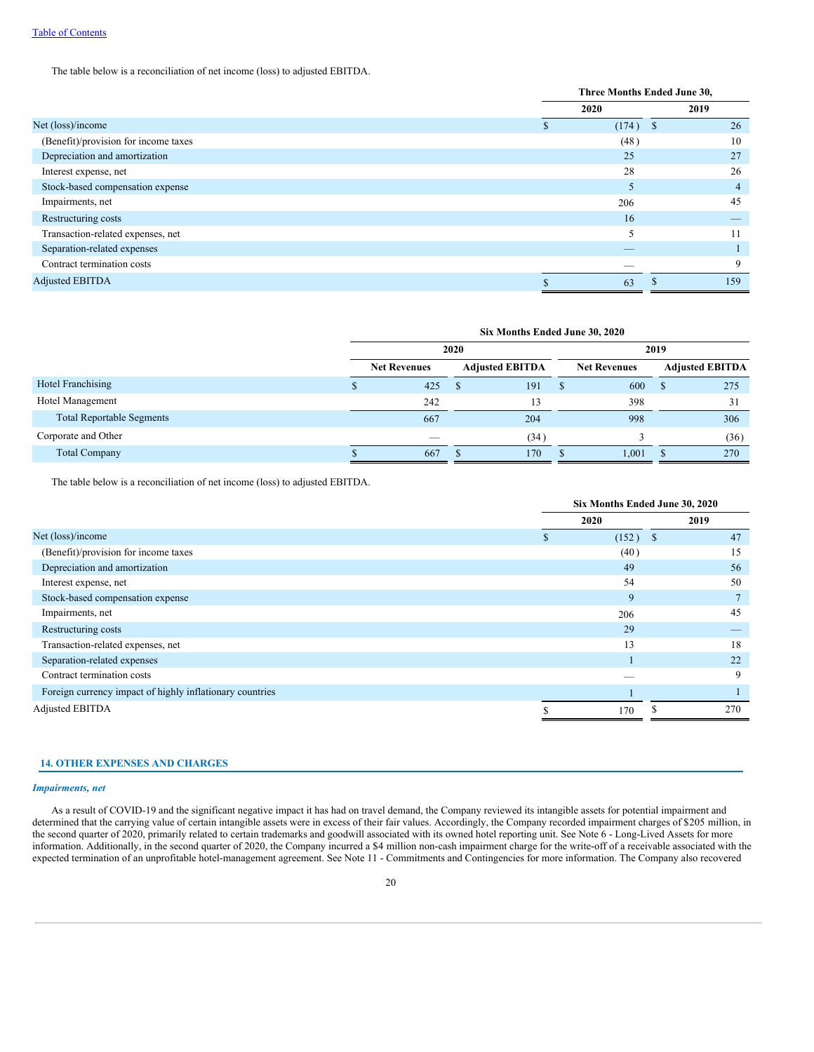The table below is a reconciliation of net income (loss) to adjusted EBITDA.

|                                      | Three Months Ended June 30, |                          |    |                |
|--------------------------------------|-----------------------------|--------------------------|----|----------------|
|                                      |                             | 2020                     |    | 2019           |
| Net (loss)/income                    |                             | (174)                    | -S | 26             |
| (Benefit)/provision for income taxes |                             | (48)                     |    | 10             |
| Depreciation and amortization        |                             | 25                       |    | 27             |
| Interest expense, net                |                             | 28                       |    | 26             |
| Stock-based compensation expense     |                             | 5                        |    | $\overline{4}$ |
| Impairments, net                     |                             | 206                      |    | 45             |
| Restructuring costs                  |                             | 16                       |    |                |
| Transaction-related expenses, net    |                             | $\overline{\phantom{0}}$ |    | 11             |
| Separation-related expenses          |                             | _                        |    |                |
| Contract termination costs           |                             |                          |    | 9              |
| <b>Adjusted EBITDA</b>               |                             | 63                       |    | 159            |

|                                  | Six Months Ended June 30, 2020 |  |                        |          |                     |      |                        |  |  |
|----------------------------------|--------------------------------|--|------------------------|----------|---------------------|------|------------------------|--|--|
|                                  | 2020                           |  |                        |          |                     | 2019 |                        |  |  |
|                                  | <b>Net Revenues</b>            |  | <b>Adjusted EBITDA</b> |          | <b>Net Revenues</b> |      | <b>Adjusted EBITDA</b> |  |  |
| Hotel Franchising                | 425                            |  | 191                    | <b>J</b> | 600                 | S    | 275                    |  |  |
| Hotel Management                 | 242                            |  | 13                     |          | 398                 |      | 31                     |  |  |
| <b>Total Reportable Segments</b> | 667                            |  | 204                    |          | 998                 |      | 306                    |  |  |
| Corporate and Other              | $\overline{\phantom{a}}$       |  | (34)                   |          |                     |      | (36)                   |  |  |
| <b>Total Company</b>             | 667                            |  | 170                    |          | 1.001               |      | 270                    |  |  |

The table below is a reconciliation of net income (loss) to adjusted EBITDA.

| Six Months Ended June 30, 2020 |       |    |          |
|--------------------------------|-------|----|----------|
|                                | 2020  |    | 2019     |
| ъ                              | (152) | -S | 47       |
|                                | (40)  |    | 15       |
|                                | 49    |    | 56       |
|                                | 54    |    | 50       |
|                                | 9     |    | <b>n</b> |
|                                | 206   |    | 45       |
|                                | 29    |    |          |
|                                | 13    |    | 18       |
|                                |       |    | 22       |
|                                |       |    | 9        |
|                                |       |    |          |
|                                | 170   |    | 270      |
|                                |       |    |          |

# **14. OTHER EXPENSES AND CHARGES**

# *Impairments, net*

As a result of COVID-19 and the significant negative impact it has had on travel demand, the Company reviewed its intangible assets for potential impairment and determined that the carrying value of certain intangible assets were in excess of their fair values. Accordingly, the Company recorded impairment charges of \$205 million, in the second quarter of 2020, primarily related to certain trademarks and goodwill associated with its owned hotel reporting unit. See Note 6 - Long-Lived Assets for more information. Additionally, in the second quarter of 2020, the Company incurred a \$4 million non-cash impairment charge for the write-off of a receivable associated with the expected termination of an unprofitable hotel-management agreement. See Note 11 - Commitments and Contingencies for more information. The Company also recovered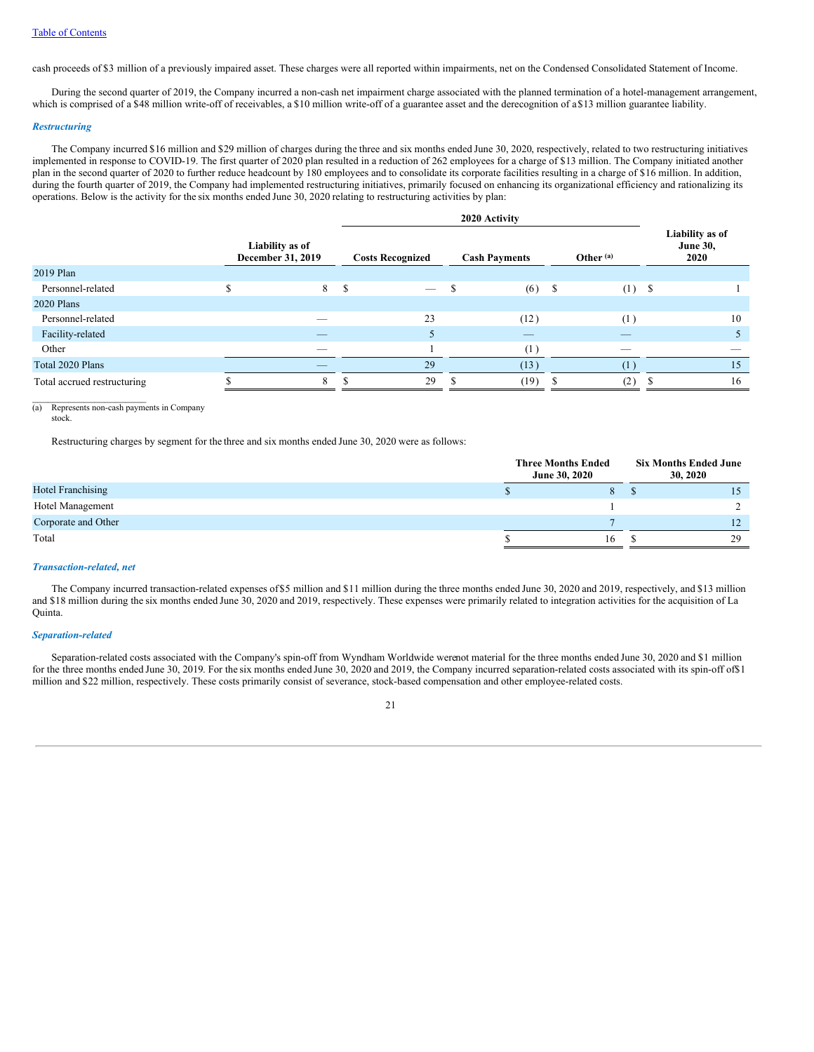cash proceeds of \$3 million of a previously impaired asset. These charges were all reported within impairments, net on the Condensed Consolidated Statement of Income.

During the second quarter of 2019, the Company incurred a non-cash net impairment charge associated with the planned termination of a hotel-management arrangement, which is comprised of a \$48 million write-off of receivables, a \$10 million write-off of a guarantee asset and the derecognition of a \$13 million guarantee liability.

#### *Restructuring*

The Company incurred \$16 million and \$29 million of charges during the three and six months ended June 30, 2020, respectively, related to two restructuring initiatives implemented in response to COVID-19. The first quarter of 2020 plan resulted in a reduction of 262 employees for a charge of \$13 million. The Company initiated another plan in the second quarter of 2020 to further reduce headcount by 180 employees and to consolidate its corporate facilities resulting in a charge of \$16 million. In addition, during the fourth quarter of 2019, the Company had implemented restructuring initiatives, primarily focused on enhancing its organizational efficiency and rationalizing its operations. Below is the activity for the six months ended June 30, 2020 relating to restructuring activities by plan:

|                             |     |                                      |                         |               | 2020 Activity        |    |             |      |                                            |
|-----------------------------|-----|--------------------------------------|-------------------------|---------------|----------------------|----|-------------|------|--------------------------------------------|
|                             |     | Liability as of<br>December 31, 2019 | <b>Costs Recognized</b> |               | <b>Cash Payments</b> |    | Other $(a)$ |      | Liability as of<br><b>June 30,</b><br>2020 |
| 2019 Plan                   |     |                                      |                         |               |                      |    |             |      |                                            |
| Personnel-related           | \$. | 8                                    | \$                      | <sup>\$</sup> | (6)                  | -S | (1)         | - \$ |                                            |
| 2020 Plans                  |     |                                      |                         |               |                      |    |             |      |                                            |
| Personnel-related           |     | __                                   | 23                      |               | (12)                 |    | (1)         |      | 10                                         |
| Facility-related            |     |                                      | 5                       |               |                      |    |             |      |                                            |
| Other                       |     | __                                   |                         |               | (1)                  |    |             |      | __                                         |
| Total 2020 Plans            |     |                                      | 29                      |               | (13)                 |    | (1)         |      | 15                                         |
| Total accrued restructuring |     | 8                                    | 29                      |               | (19)                 |    | (2)         |      | 16                                         |

(a) Represents non-cash payments in Company

 $\mathcal{L}=\mathcal{L}=\mathcal{L}=\mathcal{L}=\mathcal{L}=\mathcal{L}=\mathcal{L}=\mathcal{L}=\mathcal{L}=\mathcal{L}=\mathcal{L}=\mathcal{L}=\mathcal{L}=\mathcal{L}=\mathcal{L}=\mathcal{L}=\mathcal{L}=\mathcal{L}=\mathcal{L}=\mathcal{L}=\mathcal{L}=\mathcal{L}=\mathcal{L}=\mathcal{L}=\mathcal{L}=\mathcal{L}=\mathcal{L}=\mathcal{L}=\mathcal{L}=\mathcal{L}=\mathcal{L}=\mathcal{L}=\mathcal{L}=\mathcal{L}=\mathcal{L}=\mathcal{L}=\mathcal{$ 

stock.

Restructuring charges by segment for the three and six months ended June 30, 2020 were as follows:

|                          | <b>Three Months Ended</b><br><b>June 30, 2020</b> | <b>Six Months Ended June</b><br>30, 2020 |    |  |
|--------------------------|---------------------------------------------------|------------------------------------------|----|--|
| <b>Hotel Franchising</b> |                                                   |                                          |    |  |
| Hotel Management         |                                                   |                                          |    |  |
| Corporate and Other      |                                                   |                                          | 12 |  |
| Total                    | 16                                                |                                          | 29 |  |

#### *Transaction-related, net*

The Company incurred transaction-related expenses of\$5 million and \$11 million during the three months ended June 30, 2020 and 2019, respectively, and \$13 million and \$18 million during the six months ended June 30, 2020 and 2019, respectively. These expenses were primarily related to integration activities for the acquisition of La Quinta.

#### *Separation-related*

Separation-related costs associated with the Company's spin-off from Wyndham Worldwide werenot material for the three months ended June 30, 2020 and \$1 million for the three months ended June 30, 2019. For the six months ended June 30, 2020 and 2019, the Company incurred separation-related costs associated with its spin-off of\$1 million and \$22 million, respectively. These costs primarily consist of severance, stock-based compensation and other employee-related costs.

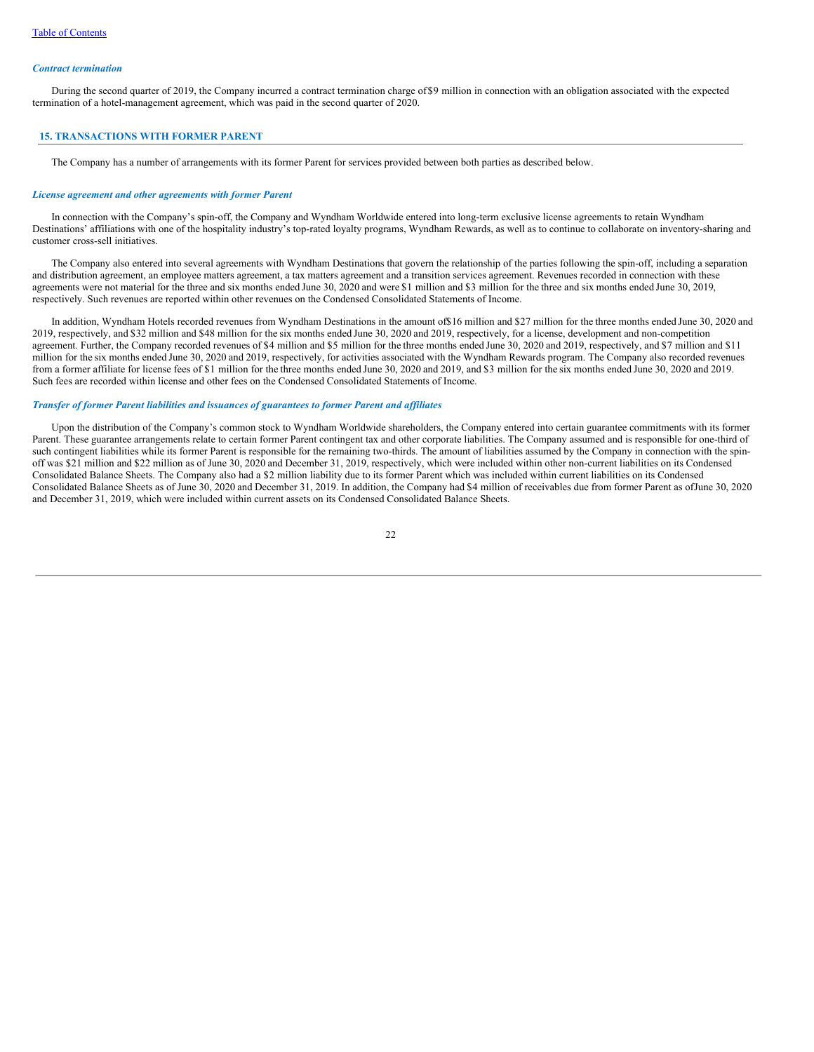#### *Contract termination*

During the second quarter of 2019, the Company incurred a contract termination charge of\$9 million in connection with an obligation associated with the expected termination of a hotel-management agreement, which was paid in the second quarter of 2020.

#### **15. TRANSACTIONS WITH FORMER PARENT**

The Company has a number of arrangements with its former Parent for services provided between both parties as described below.

# *License agreement and other agreements with former Parent*

In connection with the Company's spin-off, the Company and Wyndham Worldwide entered into long-term exclusive license agreements to retain Wyndham Destinations' affiliations with one of the hospitality industry's top-rated loyalty programs, Wyndham Rewards, as well as to continue to collaborate on inventory-sharing and customer cross-sell initiatives.

The Company also entered into several agreements with Wyndham Destinations that govern the relationship of the parties following the spin-off, including a separation and distribution agreement, an employee matters agreement, a tax matters agreement and a transition services agreement. Revenues recorded in connection with these agreements were not material for the three and six months ended June 30, 2020 and were \$1 million and \$3 million for the three and six months ended June 30, 2019, respectively. Such revenues are reported within other revenues on the Condensed Consolidated Statements of Income.

In addition, Wyndham Hotels recorded revenues from Wyndham Destinations in the amount of\$16 million and \$27 million for the three months ended June 30, 2020 and 2019, respectively, and \$32 million and \$48 million for the six months ended June 30, 2020 and 2019, respectively, for a license, development and non-competition agreement. Further, the Company recorded revenues of \$4 million and \$5 million for the three months ended June 30, 2020 and 2019, respectively, and \$7 million and \$11 million for the six months ended June 30, 2020 and 2019, respectively, for activities associated with the Wyndham Rewards program. The Company also recorded revenues from a former affiliate for license fees of \$1 million for the three months ended June 30, 2020 and 2019, and \$3 million for the six months ended June 30, 2020 and 2019. Such fees are recorded within license and other fees on the Condensed Consolidated Statements of Income.

#### *Transfer of former Parent liabilities and issuances of guarantees to former Parent and af iliates*

Upon the distribution of the Company's common stock to Wyndham Worldwide shareholders, the Company entered into certain guarantee commitments with its former Parent. These guarantee arrangements relate to certain former Parent contingent tax and other corporate liabilities. The Company assumed and is responsible for one-third of such contingent liabilities while its former Parent is responsible for the remaining two-thirds. The amount of liabilities assumed by the Company in connection with the spinoff was \$21 million and \$22 million as of June 30, 2020 and December 31, 2019, respectively, which were included within other non-current liabilities on its Condensed Consolidated Balance Sheets. The Company also had a \$2 million liability due to its former Parent which was included within current liabilities on its Condensed Consolidated Balance Sheets as of June 30, 2020 and December 31, 2019. In addition, the Company had \$4 million of receivables due from former Parent as ofJune 30, 2020 and December 31, 2019, which were included within current assets on its Condensed Consolidated Balance Sheets.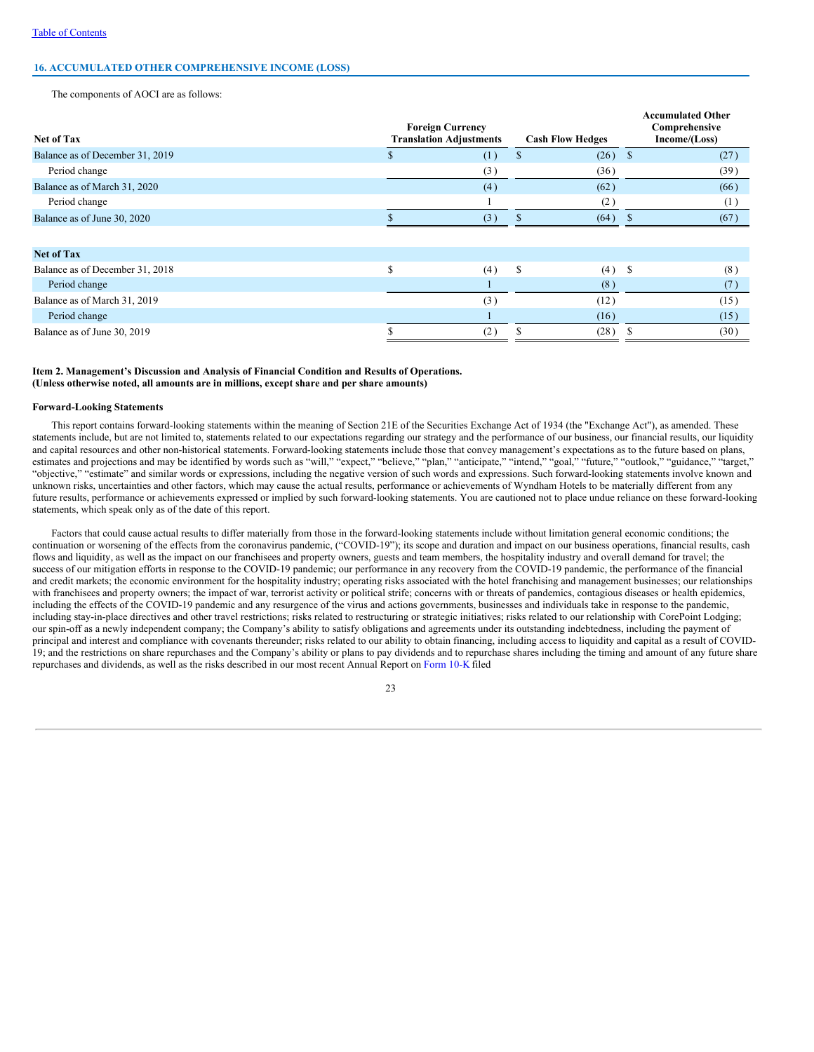## **16. ACCUMULATED OTHER COMPREHENSIVE INCOME (LOSS)**

The components of AOCI are as follows:

| <b>Foreign Currency</b> |   |                                |                         | <b>Accumulated Other</b><br>Comprehensive<br>Income/(Loss) |
|-------------------------|---|--------------------------------|-------------------------|------------------------------------------------------------|
| (1)<br>S.               | S | (26)                           | -\$                     | (27)                                                       |
| (3)                     |   | (36)                           |                         | (39)                                                       |
| (4)                     |   | (62)                           |                         | (66)                                                       |
|                         |   | (2)                            |                         | (1)                                                        |
| (3)                     |   | (64)                           |                         | (67)                                                       |
|                         |   |                                |                         |                                                            |
|                         |   |                                |                         |                                                            |
| \$<br>(4)               | S | (4)                            | -S                      | (8)                                                        |
|                         |   | (8)                            |                         | (7)                                                        |
| (3)                     |   | (12)                           |                         | (15)                                                       |
|                         |   | (16)                           |                         | (15)                                                       |
| (2)                     |   | (28)                           |                         | (30)                                                       |
|                         |   | <b>Translation Adjustments</b> | <b>Cash Flow Hedges</b> |                                                            |

#### **Item 2. Management's Discussion and Analysis of Financial Condition and Results of Operations. (Unless otherwise noted, all amounts are in millions, except share and per share amounts)**

### **Forward-Looking Statements**

This report contains forward-looking statements within the meaning of Section 21E of the Securities Exchange Act of 1934 (the "Exchange Act"), as amended. These statements include, but are not limited to, statements related to our expectations regarding our strategy and the performance of our business, our financial results, our liquidity and capital resources and other non-historical statements. Forward-looking statements include those that convey management's expectations as to the future based on plans, estimates and projections and may be identified by words such as "will," "expect," "believe," "plan," "anticipate," "intend," "goal," "future," "outlook," "guidance," "target," "objective," "estimate" and similar words or expressions, including the negative version of such words and expressions. Such forward-looking statements involve known and unknown risks, uncertainties and other factors, which may cause the actual results, performance or achievements of Wyndham Hotels to be materially different from any future results, performance or achievements expressed or implied by such forward-looking statements. You are cautioned not to place undue reliance on these forward-looking statements, which speak only as of the date of this report.

Factors that could cause actual results to differ materially from those in the forward-looking statements include without limitation general economic conditions; the continuation or worsening of the effects from the coronavirus pandemic, ("COVID-19"); its scope and duration and impact on our business operations, financial results, cash flows and liquidity, as well as the impact on our franchisees and property owners, guests and team members, the hospitality industry and overall demand for travel; the success of our mitigation efforts in response to the COVID-19 pandemic; our performance in any recovery from the COVID-19 pandemic, the performance of the financial and credit markets; the economic environment for the hospitality industry; operating risks associated with the hotel franchising and management businesses; our relationships with franchisees and property owners; the impact of war, terrorist activity or political strife; concerns with or threats of pandemics, contagious diseases or health epidemics, including the effects of the COVID-19 pandemic and any resurgence of the virus and actions governments, businesses and individuals take in response to the pandemic, including stay-in-place directives and other travel restrictions; risks related to restructuring or strategic initiatives; risks related to our relationship with CorePoint Lodging; our spin-off as a newly independent company; the Company's ability to satisfy obligations and agreements under its outstanding indebtedness, including the payment of principal and interest and compliance with covenants thereunder; risks related to our ability to obtain financing, including access to liquidity and capital as a result of COVID-19; and the restrictions on share repurchases and the Company's ability or plans to pay dividends and to repurchase shares including the timing and amount of any future share repurchases and dividends, as well as the risks described in our most recent Annual Report on [Form](http://www.sec.gov/Archives/edgar/data/1722684/000172268420000007/wh-20191231x10k.htm) 10-K filed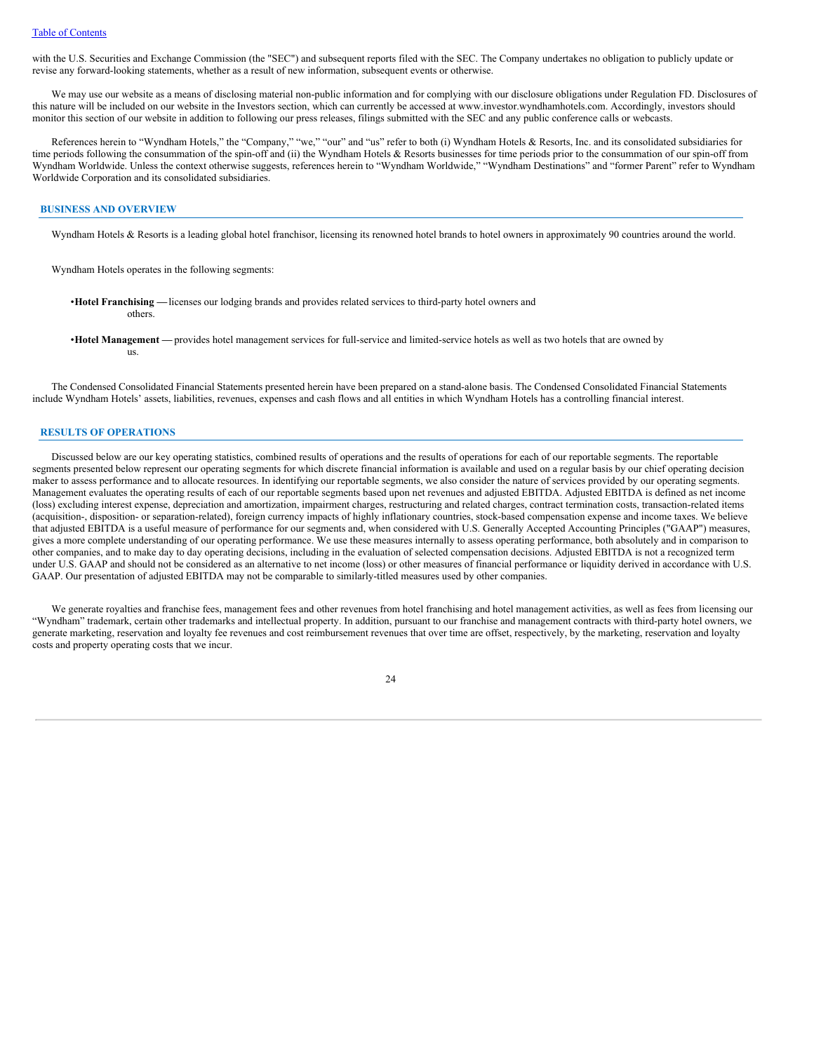with the U.S. Securities and Exchange Commission (the "SEC") and subsequent reports filed with the SEC. The Company undertakes no obligation to publicly update or revise any forward-looking statements, whether as a result of new information, subsequent events or otherwise.

We may use our website as a means of disclosing material non-public information and for complying with our disclosure obligations under Regulation FD. Disclosures of this nature will be included on our website in the Investors section, which can currently be accessed at www.investor.wyndhamhotels.com. Accordingly, investors should monitor this section of our website in addition to following our press releases, filings submitted with the SEC and any public conference calls or webcasts.

References herein to "Wyndham Hotels," the "Company," "we," "our" and "us" refer to both (i) Wyndham Hotels & Resorts, Inc. and its consolidated subsidiaries for time periods following the consummation of the spin-off and (ii) the Wyndham Hotels & Resorts businesses for time periods prior to the consummation of our spin-off from Wyndham Worldwide. Unless the context otherwise suggests, references herein to "Wyndham Worldwide," "Wyndham Destinations" and "former Parent" refer to Wyndham Worldwide Corporation and its consolidated subsidiaries.

# **BUSINESS AND OVERVIEW**

Wyndham Hotels & Resorts is a leading global hotel franchisor, licensing its renowned hotel brands to hotel owners in approximately 90 countries around the world.

Wyndham Hotels operates in the following segments:

•**Hotel Franchising —**licenses our lodging brands and provides related services to third-party hotel owners and others.

•**Hotel Management —** provides hotel management services for full-service and limited-service hotels as well as two hotels that are owned by us.

The Condensed Consolidated Financial Statements presented herein have been prepared on a stand-alone basis. The Condensed Consolidated Financial Statements include Wyndham Hotels' assets, liabilities, revenues, expenses and cash flows and all entities in which Wyndham Hotels has a controlling financial interest.

### **RESULTS OF OPERATIONS**

Discussed below are our key operating statistics, combined results of operations and the results of operations for each of our reportable segments. The reportable segments presented below represent our operating segments for which discrete financial information is available and used on a regular basis by our chief operating decision maker to assess performance and to allocate resources. In identifying our reportable segments, we also consider the nature of services provided by our operating segments. Management evaluates the operating results of each of our reportable segments based upon net revenues and adjusted EBITDA. Adjusted EBITDA is defined as net income (loss) excluding interest expense, depreciation and amortization, impairment charges, restructuring and related charges, contract termination costs, transaction-related items (acquisition-, disposition- or separation-related), foreign currency impacts of highly inflationary countries, stock-based compensation expense and income taxes. We believe that adjusted EBITDA is a useful measure of performance for our segments and, when considered with U.S. Generally Accepted Accounting Principles ("GAAP") measures, gives a more complete understanding of our operating performance. We use these measures internally to assess operating performance, both absolutely and in comparison to other companies, and to make day to day operating decisions, including in the evaluation of selected compensation decisions. Adjusted EBITDA is not a recognized term under U.S. GAAP and should not be considered as an alternative to net income (loss) or other measures of financial performance or liquidity derived in accordance with U.S. GAAP. Our presentation of adjusted EBITDA may not be comparable to similarly-titled measures used by other companies.

We generate royalties and franchise fees, management fees and other revenues from hotel franchising and hotel management activities, as well as fees from licensing our "Wyndham" trademark, certain other trademarks and intellectual property. In addition, pursuant to our franchise and management contracts with third-party hotel owners, we generate marketing, reservation and loyalty fee revenues and cost reimbursement revenues that over time are offset, respectively, by the marketing, reservation and loyalty costs and property operating costs that we incur.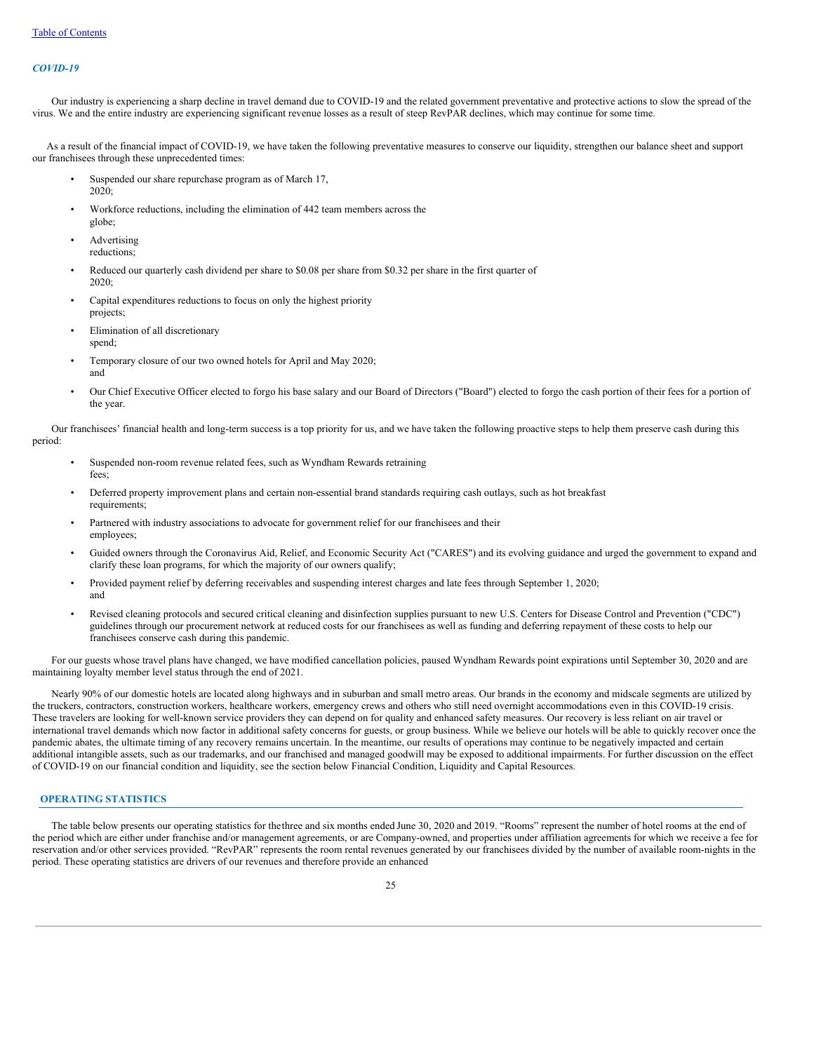## *COVID-19*

Our industry is experiencing a sharp decline in travel demand due to COVID-19 and the related government preventative and protective actions to slow the spread of the virus. We and the entire industry are experiencing significant revenue losses as a result of steep RevPAR declines, which may continue for some time.

As a result of the financial impact of COVID-19, we have taken the following preventative measures to conserve our liquidity, strengthen our balance sheet and support our franchisees through these unprecedented times:

- Suspended our share repurchase program as of March 17, 2020;
- Workforce reductions, including the elimination of 442 team members across the globe;
- **Advertising** reductions;
- Reduced our quarterly cash dividend per share to \$0.08 per share from \$0.32 per share in the first quarter of 2020;
- Capital expenditures reductions to focus on only the highest priority projects;
- Elimination of all discretionary spend;
- Temporary closure of our two owned hotels for April and May 2020; and
- Our Chief Executive Officer elected to forgo his base salary and our Board of Directors ("Board") elected to forgo the cash portion of their fees for a portion of the year.

Our franchisees' financial health and long-term success is a top priority for us, and we have taken the following proactive steps to help them preserve cash during this period:

- Suspended non-room revenue related fees, such as Wyndham Rewards retraining fees;
- Deferred property improvement plans and certain non-essential brand standards requiring cash outlays, such as hot breakfast requirements;
- Partnered with industry associations to advocate for government relief for our franchisees and their employees;
- Guided owners through the Coronavirus Aid, Relief, and Economic Security Act ("CARES") and its evolving guidance and urged the government to expand and clarify these loan programs, for which the majority of our owners qualify;
- Provided payment relief by deferring receivables and suspending interest charges and late fees through September 1, 2020; and
- Revised cleaning protocols and secured critical cleaning and disinfection supplies pursuant to new U.S. Centers for Disease Control and Prevention ("CDC") guidelines through our procurement network at reduced costs for our franchisees as well as funding and deferring repayment of these costs to help our franchisees conserve cash during this pandemic.

For our guests whose travel plans have changed, we have modified cancellation policies, paused Wyndham Rewards point expirations until September 30, 2020 and are maintaining loyalty member level status through the end of 2021.

Nearly 90% of our domestic hotels are located along highways and in suburban and small metro areas. Our brands in the economy and midscale segments are utilized by the truckers, contractors, construction workers, healthcare workers, emergency crews and others who still need overnight accommodations even in this COVID-19 crisis. These travelers are looking for well-known service providers they can depend on for quality and enhanced safety measures. Our recovery is less reliant on air travel or international travel demands which now factor in additional safety concerns for guests, or group business. While we believe our hotels will be able to quickly recover once the pandemic abates, the ultimate timing of any recovery remains uncertain. In the meantime, our results of operations may continue to be negatively impacted and certain additional intangible assets, such as our trademarks, and our franchised and managed goodwill may be exposed to additional impairments. For further discussion on the effect of COVID-19 on our financial condition and liquidity, see the section below Financial Condition, Liquidity and Capital Resources.

# **OPERATING STATISTICS**

The table below presents our operating statistics for the three and six months ended June 30, 2020 and 2019. "Rooms" represent the number of hotel rooms at the end of the period which are either under franchise and/or management agreements, or are Company-owned, and properties under affiliation agreements for which we receive a fee for reservation and/or other services provided. "RevPAR" represents the room rental revenues generated by our franchisees divided by the number of available room-nights in the period. These operating statistics are drivers of our revenues and therefore provide an enhanced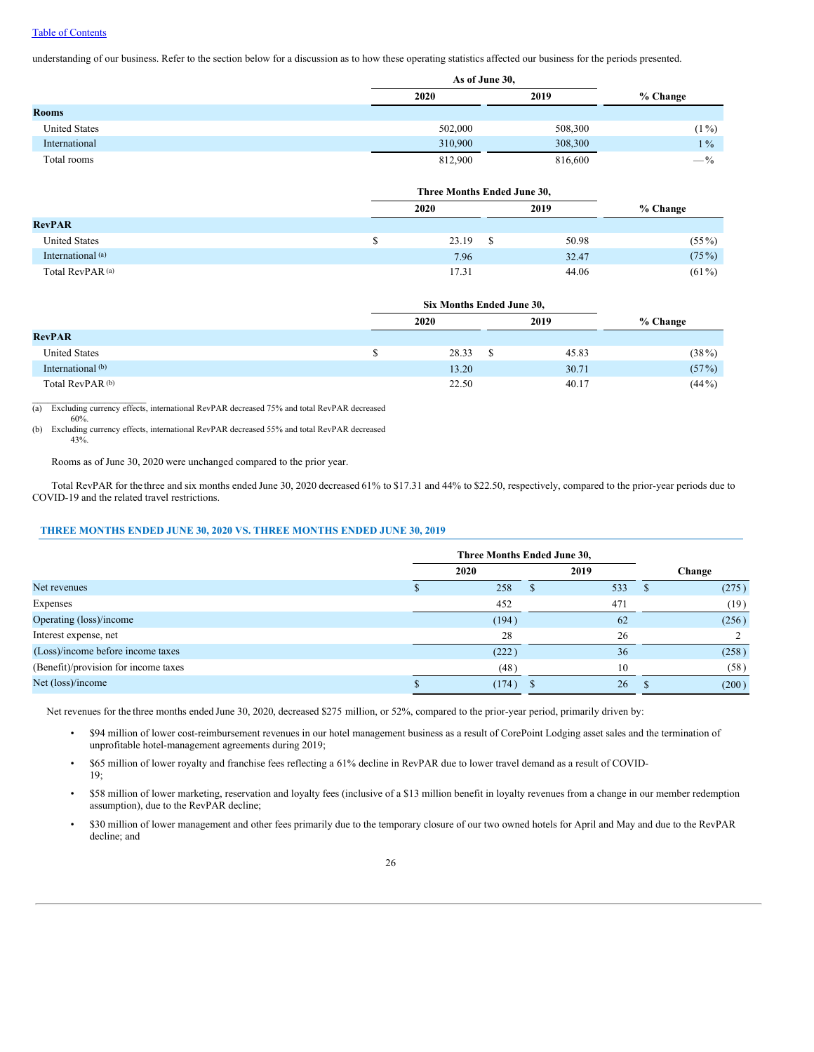$\mathcal{L}_\text{max}$ 

understanding of our business. Refer to the section below for a discussion as to how these operating statistics affected our business for the periods presented.

|                      |              | As of June 30, |            |  |  |  |  |
|----------------------|--------------|----------------|------------|--|--|--|--|
|                      | 2020<br>2019 |                | $%$ Change |  |  |  |  |
| <b>Rooms</b>         |              |                |            |  |  |  |  |
| <b>United States</b> | 502,000      | 508,300        | $(1\%)$    |  |  |  |  |
| International        | 310,900      | 308,300        | $1\%$      |  |  |  |  |
| Total rooms          | 812,900      | 816,600        | $-$ %      |  |  |  |  |
|                      |              |                |            |  |  |  |  |
|                      |              |                |            |  |  |  |  |

|                              | Three Months Ended June 30, |    |       |            |
|------------------------------|-----------------------------|----|-------|------------|
|                              | 2020                        |    | 2019  | $%$ Change |
| <b>RevPAR</b>                |                             |    |       |            |
| <b>United States</b>         | 23.19                       | -S | 50.98 | $(55\%)$   |
| International <sup>(a)</sup> | 7.96                        |    | 32.47 | $(75\%)$   |
| Total RevPAR <sup>(a)</sup>  | 17.31                       |    | 44.06 | $(61\%)$   |

|                             |  | Six Months Ended June 30, |       |          |  |
|-----------------------------|--|---------------------------|-------|----------|--|
|                             |  | 2020                      | 2019  | % Change |  |
| <b>RevPAR</b>               |  |                           |       |          |  |
| <b>United States</b>        |  | 28.33                     | 45.83 | (38%)    |  |
| International (b)           |  | 13.20                     | 30.71 | (57%)    |  |
| Total RevPAR <sup>(b)</sup> |  | 22.50                     | 40.17 | $(44\%)$ |  |

(a) Excluding currency effects, international RevPAR decreased 75% and total RevPAR decreased 60%.

(b) Excluding currency effects, international RevPAR decreased 55% and total RevPAR decreased 43%.

Rooms as of June 30, 2020 were unchanged compared to the prior year.

Total RevPAR for the three and six months ended June 30, 2020 decreased 61% to \$17.31 and 44% to \$22.50, respectively, compared to the prior-year periods due to COVID-19 and the related travel restrictions.

#### **THREE MONTHS ENDED JUNE 30, 2020 VS. THREE MONTHS ENDED JUNE 30, 2019**

|                                      | Three Months Ended June 30, |  |      |  |        |
|--------------------------------------|-----------------------------|--|------|--|--------|
|                                      | 2020                        |  | 2019 |  | Change |
| Net revenues                         | 258                         |  | 533  |  | (275)  |
| Expenses                             | 452                         |  | 471  |  | (19)   |
| Operating (loss)/income              | (194)                       |  | 62   |  | (256)  |
| Interest expense, net                | 28                          |  | 26   |  |        |
| (Loss)/income before income taxes    | (222)                       |  | 36   |  | (258)  |
| (Benefit)/provision for income taxes | (48)                        |  | 10   |  | (58)   |
| Net (loss)/income                    | (174)                       |  | 26   |  | (200)  |

Net revenues for the three months ended June 30, 2020, decreased \$275 million, or 52%, compared to the prior-year period, primarily driven by:

- \$94 million of lower cost-reimbursement revenues in our hotel management business as a result of CorePoint Lodging asset sales and the termination of unprofitable hotel-management agreements during 2019;
- \$65 million of lower royalty and franchise fees reflecting a 61% decline in RevPAR due to lower travel demand as a result of COVID-19;
- \$58 million of lower marketing, reservation and loyalty fees (inclusive of a \$13 million benefit in loyalty revenues from a change in our member redemption assumption), due to the RevPAR decline;
- \$30 million of lower management and other fees primarily due to the temporary closure of our two owned hotels for April and May and due to the RevPAR decline; and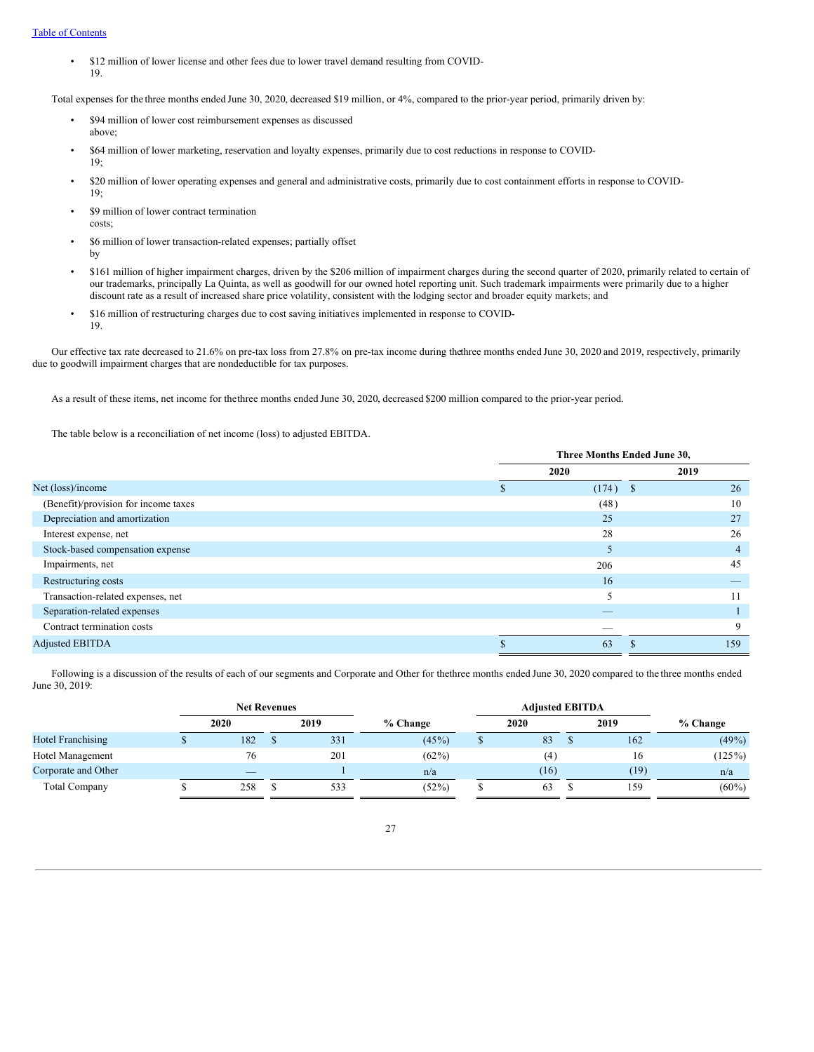• \$12 million of lower license and other fees due to lower travel demand resulting from COVID-19.

Total expenses for the three months ended June 30, 2020, decreased \$19 million, or 4%, compared to the prior-year period, primarily driven by:

- \$94 million of lower cost reimbursement expenses as discussed above;
- \$64 million of lower marketing, reservation and loyalty expenses, primarily due to cost reductions in response to COVID-19;
- \$20 million of lower operating expenses and general and administrative costs, primarily due to cost containment efforts in response to COVID-19;
- \$9 million of lower contract termination costs;
- \$6 million of lower transaction-related expenses; partially offset by
- \$161 million of higher impairment charges, driven by the \$206 million of impairment charges during the second quarter of 2020, primarily related to certain of our trademarks, principally La Quinta, as well as goodwill for our owned hotel reporting unit. Such trademark impairments were primarily due to a higher discount rate as a result of increased share price volatility, consistent with the lodging sector and broader equity markets; and
- \$16 million of restructuring charges due to cost saving initiatives implemented in response to COVID-19.

Our effective tax rate decreased to 21.6% on pre-tax loss from 27.8% on pre-tax income during thethree months ended June 30, 2020 and 2019, respectively, primarily due to goodwill impairment charges that are nondeductible for tax purposes.

As a result of these items, net income for thethree months ended June 30, 2020, decreased \$200 million compared to the prior-year period.

The table below is a reconciliation of net income (loss) to adjusted EBITDA.

|                                      | Three Months Ended June 30, |      |  |  |  |
|--------------------------------------|-----------------------------|------|--|--|--|
|                                      | 2020                        | 2019 |  |  |  |
| Net (loss)/income                    | (174)<br>$\sqrt{s}$         | 26   |  |  |  |
| (Benefit)/provision for income taxes | (48)                        | 10   |  |  |  |
| Depreciation and amortization        | 25                          | 27   |  |  |  |
| Interest expense, net                | 28                          | 26   |  |  |  |
| Stock-based compensation expense     | 5                           | 4    |  |  |  |
| Impairments, net                     | 206                         | 45   |  |  |  |
| Restructuring costs                  | 16                          |      |  |  |  |
| Transaction-related expenses, net    | 5                           | 11   |  |  |  |
| Separation-related expenses          |                             |      |  |  |  |
| Contract termination costs           |                             | 9    |  |  |  |
| <b>Adjusted EBITDA</b>               | 63                          | 159  |  |  |  |

Following is a discussion of the results of each of our segments and Corporate and Other for thethree months ended June 30, 2020 compared to the three months ended June 30, 2019:

|                          |                          | <b>Net Revenues</b> |      | <b>Adjusted EBITDA</b> |  |      |  |      |           |  |
|--------------------------|--------------------------|---------------------|------|------------------------|--|------|--|------|-----------|--|
|                          | 2020                     |                     | 2019 | $%$ Change             |  | 2020 |  | 2019 | % Change  |  |
| <b>Hotel Franchising</b> | 182                      |                     | 331  | (45%)                  |  | 83   |  | 162  | (49%)     |  |
| Hotel Management         | 76                       |                     | 201  | (62%)                  |  | (4)  |  | 16   | $(125\%)$ |  |
| Corporate and Other      | $\overline{\phantom{a}}$ |                     |      | n/a                    |  | (16) |  | (19) | n/a       |  |
| <b>Total Company</b>     | 258                      |                     | 533  | (52%)                  |  | 63   |  | 159  | $(60\%)$  |  |

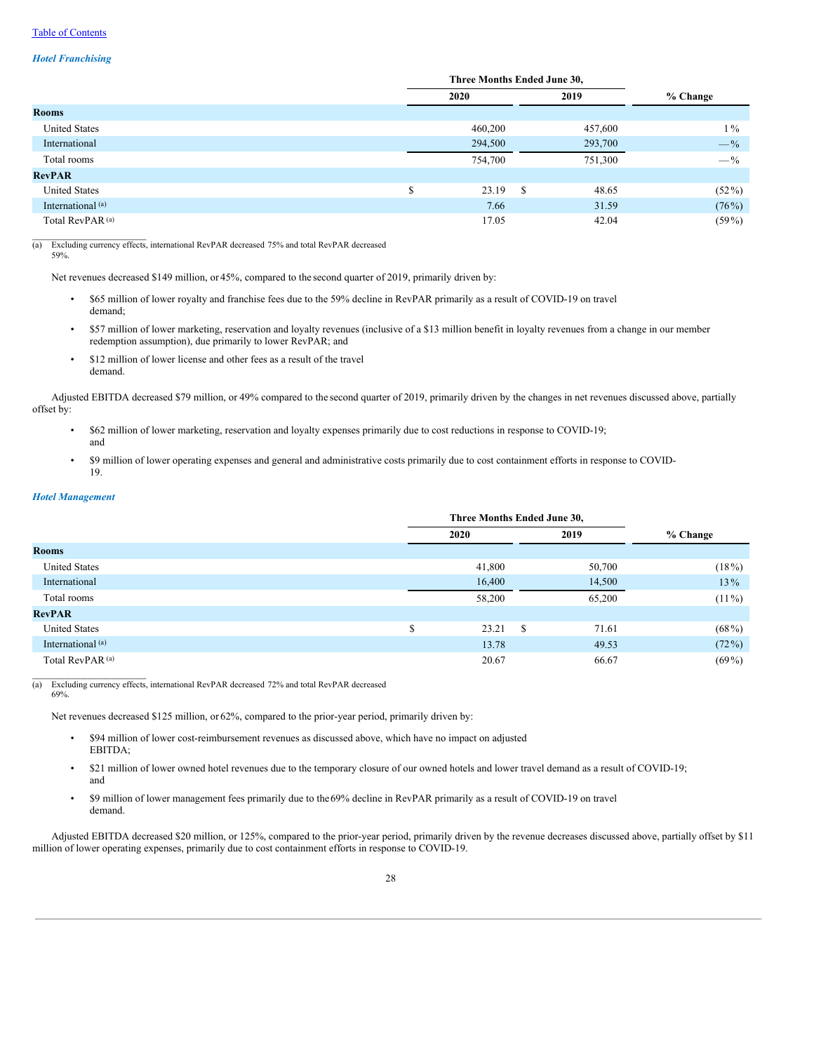### *Hotel Franchising*

|                              |   | 2020    |   | 2019    | $%$ Change |
|------------------------------|---|---------|---|---------|------------|
| <b>Rooms</b>                 |   |         |   |         |            |
| <b>United States</b>         |   | 460,200 |   | 457,600 | $1\%$      |
| International                |   | 294,500 |   | 293,700 | $-$ %      |
| Total rooms                  |   | 754,700 |   | 751,300 | $-$ %      |
| <b>RevPAR</b>                |   |         |   |         |            |
| <b>United States</b>         | S | 23.19   | S | 48.65   | $(52\%)$   |
| International <sup>(a)</sup> |   | 7.66    |   | 31.59   | $(76\%)$   |
| Total RevPAR <sup>(a)</sup>  |   | 17.05   |   | 42.04   | $(59\%)$   |

(a) Excluding currency effects, international RevPAR decreased 75% and total RevPAR decreased 59%.

Net revenues decreased \$149 million, or 45%, compared to the second quarter of 2019, primarily driven by:

- \$65 million of lower royalty and franchise fees due to the 59% decline in RevPAR primarily as a result of COVID-19 on travel demand;
- \$57 million of lower marketing, reservation and loyalty revenues (inclusive of a \$13 million benefit in loyalty revenues from a change in our member redemption assumption), due primarily to lower RevPAR; and
- \$12 million of lower license and other fees as a result of the travel demand.

Adjusted EBITDA decreased \$79 million, or 49% compared to the second quarter of 2019, primarily driven by the changes in net revenues discussed above, partially offset by:

- \$62 million of lower marketing, reservation and loyalty expenses primarily due to cost reductions in response to COVID-19; and
- \$9 million of lower operating expenses and general and administrative costs primarily due to cost containment efforts in response to COVID-19.

#### *Hotel Management*

| 2020        |               | 2019   | $%$ Change                  |
|-------------|---------------|--------|-----------------------------|
|             |               |        |                             |
| 41,800      |               | 50,700 | $(18\%)$                    |
| 16,400      |               | 14,500 | $13\%$                      |
| 58,200      |               | 65,200 | $(11\%)$                    |
|             |               |        |                             |
| \$<br>23.21 | <sup>\$</sup> | 71.61  | $(68\%)$                    |
| 13.78       |               | 49.53  | $(72\%)$                    |
| 20.67       |               | 66.67  | $(69\%)$                    |
|             |               |        | Three Months Ended June 30, |

(a) Excluding currency effects, international RevPAR decreased 72% and total RevPAR decreased 69%.

Net revenues decreased \$125 million, or 62%, compared to the prior-year period, primarily driven by:

- \$94 million of lower cost-reimbursement revenues as discussed above, which have no impact on adjusted EBITDA;
- \$21 million of lower owned hotel revenues due to the temporary closure of our owned hotels and lower travel demand as a result of COVID-19; and
- \$9 million of lower management fees primarily due to the69% decline in RevPAR primarily as a result of COVID-19 on travel demand.

Adjusted EBITDA decreased \$20 million, or 125%, compared to the prior-year period, primarily driven by the revenue decreases discussed above, partially offset by \$11 million of lower operating expenses, primarily due to cost containment efforts in response to COVID-19.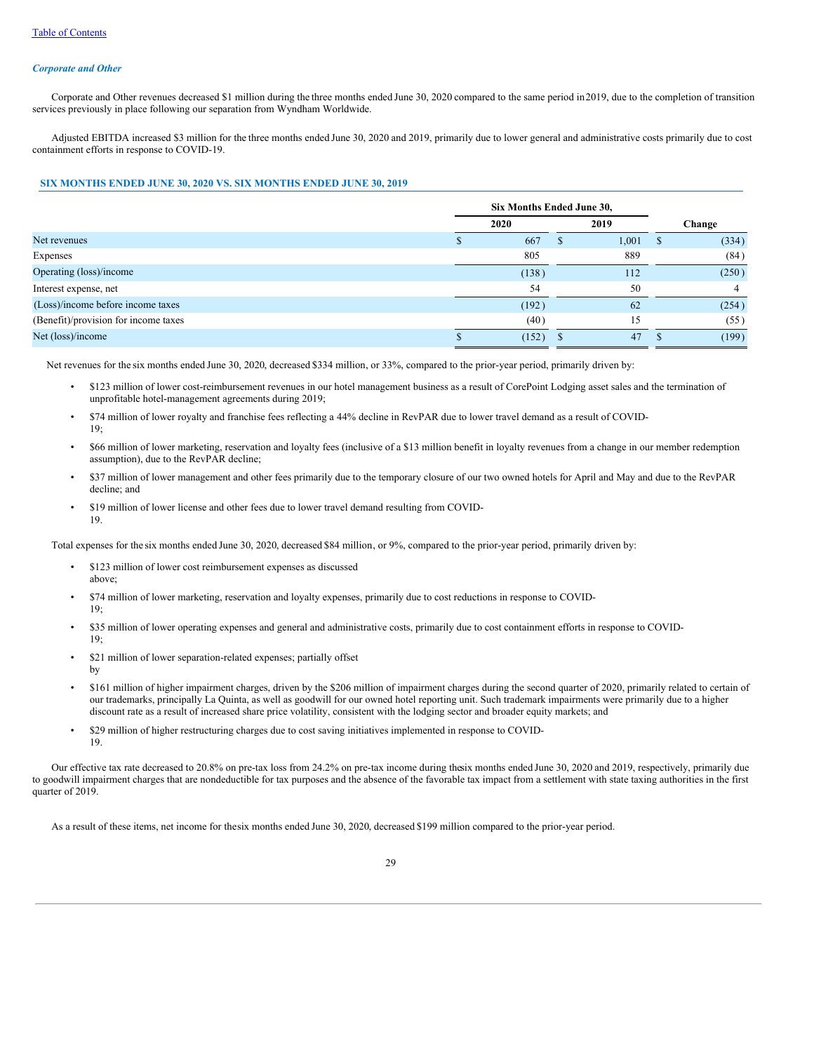#### *Corporate and Other*

Corporate and Other revenues decreased \$1 million during the three months ended June 30, 2020 compared to the same period in2019, due to the completion of transition services previously in place following our separation from Wyndham Worldwide.

Adjusted EBITDA increased \$3 million for the three months ended June 30, 2020 and 2019, primarily due to lower general and administrative costs primarily due to cost containment efforts in response to COVID-19.

# **SIX MONTHS ENDED JUNE 30, 2020 VS. SIX MONTHS ENDED JUNE 30, 2019**

|                                      |      | Six Months Ended June 30, |          |       |   |        |
|--------------------------------------|------|---------------------------|----------|-------|---|--------|
|                                      | 2020 |                           |          | 2019  |   | Change |
| Net revenues                         |      | 667                       | <b>J</b> | 1,001 | S | (334)  |
| Expenses                             |      | 805                       |          | 889   |   | (84)   |
| Operating (loss)/income              |      | (138)                     |          | 112   |   | (250)  |
| Interest expense, net                |      | 54                        |          | 50    |   | 4      |
| (Loss)/income before income taxes    |      | (192)                     |          | 62    |   | (254)  |
| (Benefit)/provision for income taxes |      | (40)                      |          | 15    |   | (55)   |
| Net (loss)/income                    |      | (152)                     |          | 47    |   | (199)  |

Net revenues for the six months ended June 30, 2020, decreased \$334 million, or 33%, compared to the prior-year period, primarily driven by:

- \$123 million of lower cost-reimbursement revenues in our hotel management business as a result of CorePoint Lodging asset sales and the termination of unprofitable hotel-management agreements during 2019;
- \$74 million of lower royalty and franchise fees reflecting a 44% decline in RevPAR due to lower travel demand as a result of COVID-19;
- \$66 million of lower marketing, reservation and loyalty fees (inclusive of a \$13 million benefit in loyalty revenues from a change in our member redemption assumption), due to the RevPAR decline;
- \$37 million of lower management and other fees primarily due to the temporary closure of our two owned hotels for April and May and due to the RevPAR decline; and
- \$19 million of lower license and other fees due to lower travel demand resulting from COVID-19.

Total expenses for the six months ended June 30, 2020, decreased \$84 million, or 9%, compared to the prior-year period, primarily driven by:

- \$123 million of lower cost reimbursement expenses as discussed above;
- \$74 million of lower marketing, reservation and loyalty expenses, primarily due to cost reductions in response to COVID-19;
- \$35 million of lower operating expenses and general and administrative costs, primarily due to cost containment efforts in response to COVID-19;
- \$21 million of lower separation-related expenses; partially offset by
- \$161 million of higher impairment charges, driven by the \$206 million of impairment charges during the second quarter of 2020, primarily related to certain of our trademarks, principally La Quinta, as well as goodwill for our owned hotel reporting unit. Such trademark impairments were primarily due to a higher discount rate as a result of increased share price volatility, consistent with the lodging sector and broader equity markets; and
- \$29 million of higher restructuring charges due to cost saving initiatives implemented in response to COVID-19.

Our effective tax rate decreased to 20.8% on pre-tax loss from 24.2% on pre-tax income during thesix months ended June 30, 2020 and 2019, respectively, primarily due to goodwill impairment charges that are nondeductible for tax purposes and the absence of the favorable tax impact from a settlement with state taxing authorities in the first quarter of 2019.

As a result of these items, net income for thesix months ended June 30, 2020, decreased \$199 million compared to the prior-year period.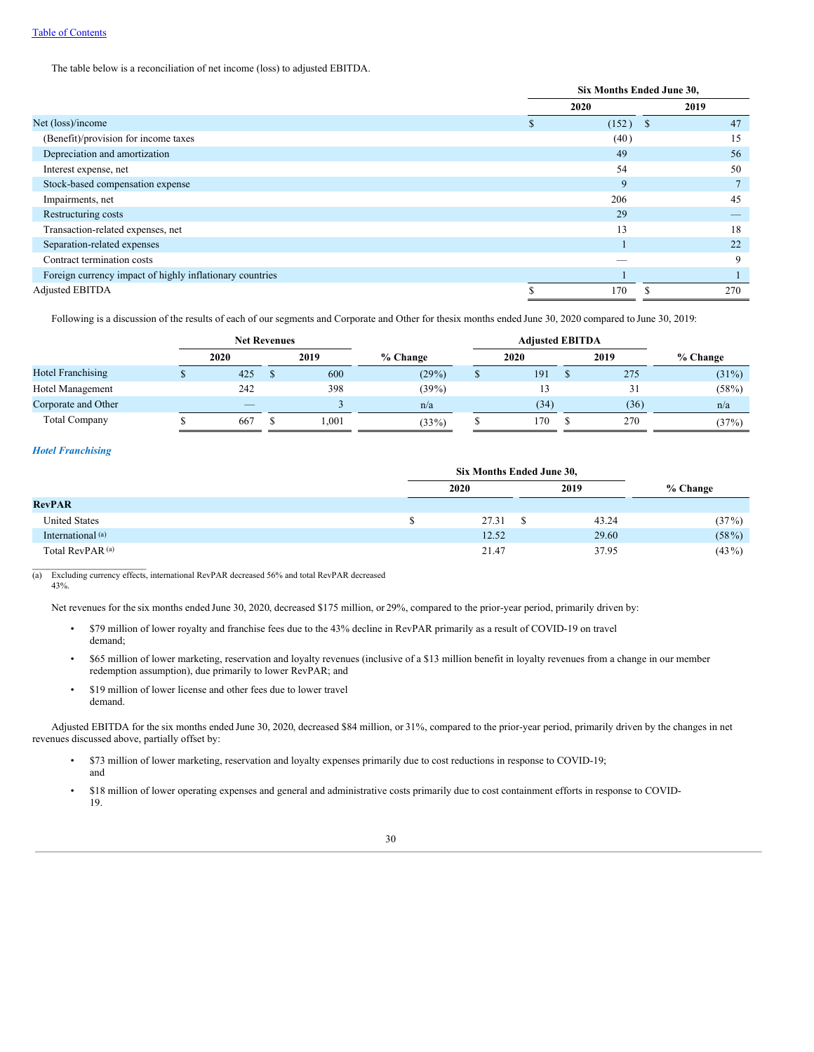The table below is a reconciliation of net income (loss) to adjusted EBITDA.

|                                                          |          | Six Months Ended June 30, |      |
|----------------------------------------------------------|----------|---------------------------|------|
|                                                          |          | 2020                      | 2019 |
| Net (loss)/income                                        | <b>J</b> | (152)<br>-S               | 47   |
| (Benefit)/provision for income taxes                     |          | (40)                      | 15   |
| Depreciation and amortization                            |          | 49                        | 56   |
| Interest expense, net                                    |          | 54                        | 50   |
| Stock-based compensation expense                         |          | 9                         |      |
| Impairments, net                                         |          | 206                       | 45   |
| Restructuring costs                                      |          | 29                        |      |
| Transaction-related expenses, net                        |          | 13                        | 18   |
| Separation-related expenses                              |          |                           | 22   |
| Contract termination costs                               |          |                           | 9    |
| Foreign currency impact of highly inflationary countries |          |                           |      |
| Adjusted EBITDA                                          |          | 170                       | 270  |

Following is a discussion of the results of each of our segments and Corporate and Other for thesix months ended June 30, 2020 compared to June 30, 2019:

|                          | <b>Net Revenues</b> |       |            | <b>Adjusted EBITDA</b> |      |  |      |            |
|--------------------------|---------------------|-------|------------|------------------------|------|--|------|------------|
|                          | 2020                | 2019  | $%$ Change |                        | 2020 |  | 2019 | $%$ Change |
| <b>Hotel Franchising</b> | 425                 | 600   | (29%)      |                        | 191  |  | 275  | $(31\%)$   |
| Hotel Management         | 242                 | 398   | (39%)      |                        | 13   |  | 31   | (58%)      |
| Corporate and Other      |                     |       | n/a        |                        | (34) |  | (36) | n/a        |
| <b>Total Company</b>     | 667                 | 1,001 | (33%)      |                        | 170  |  | 270  | (37%)      |

# *Hotel Franchising*

 $\mathcal{L}=\mathcal{L}=\mathcal{L}=\mathcal{L}=\mathcal{L}=\mathcal{L}=\mathcal{L}=\mathcal{L}=\mathcal{L}=\mathcal{L}=\mathcal{L}=\mathcal{L}=\mathcal{L}=\mathcal{L}=\mathcal{L}=\mathcal{L}=\mathcal{L}=\mathcal{L}=\mathcal{L}=\mathcal{L}=\mathcal{L}=\mathcal{L}=\mathcal{L}=\mathcal{L}=\mathcal{L}=\mathcal{L}=\mathcal{L}=\mathcal{L}=\mathcal{L}=\mathcal{L}=\mathcal{L}=\mathcal{L}=\mathcal{L}=\mathcal{L}=\mathcal{L}=\mathcal{L}=\mathcal{$ 

|                             | Six Months Ended June 30, |       |            |
|-----------------------------|---------------------------|-------|------------|
|                             | 2020                      | 2019  | $%$ Change |
| <b>RevPAR</b>               |                           |       |            |
| <b>United States</b>        | 27.31                     | 43.24 | (37%)      |
| International (a)           | 12.52                     | 29.60 | $(58\%)$   |
| Total RevPAR <sup>(a)</sup> | 21.47                     | 37.95 | $(43\%)$   |

(a) Excluding currency effects, international RevPAR decreased 56% and total RevPAR decreased 43%.

Net revenues for the six months ended June 30, 2020, decreased \$175 million, or 29%, compared to the prior-year period, primarily driven by:

- \$79 million of lower royalty and franchise fees due to the 43% decline in RevPAR primarily as a result of COVID-19 on travel demand;
- \$65 million of lower marketing, reservation and loyalty revenues (inclusive of a \$13 million benefit in loyalty revenues from a change in our member redemption assumption), due primarily to lower RevPAR; and
- \$19 million of lower license and other fees due to lower travel demand.

Adjusted EBITDA for the six months ended June 30, 2020, decreased \$84 million, or 31%, compared to the prior-year period, primarily driven by the changes in net revenues discussed above, partially offset by:

- \$73 million of lower marketing, reservation and loyalty expenses primarily due to cost reductions in response to COVID-19; and
- \$18 million of lower operating expenses and general and administrative costs primarily due to cost containment efforts in response to COVID-19.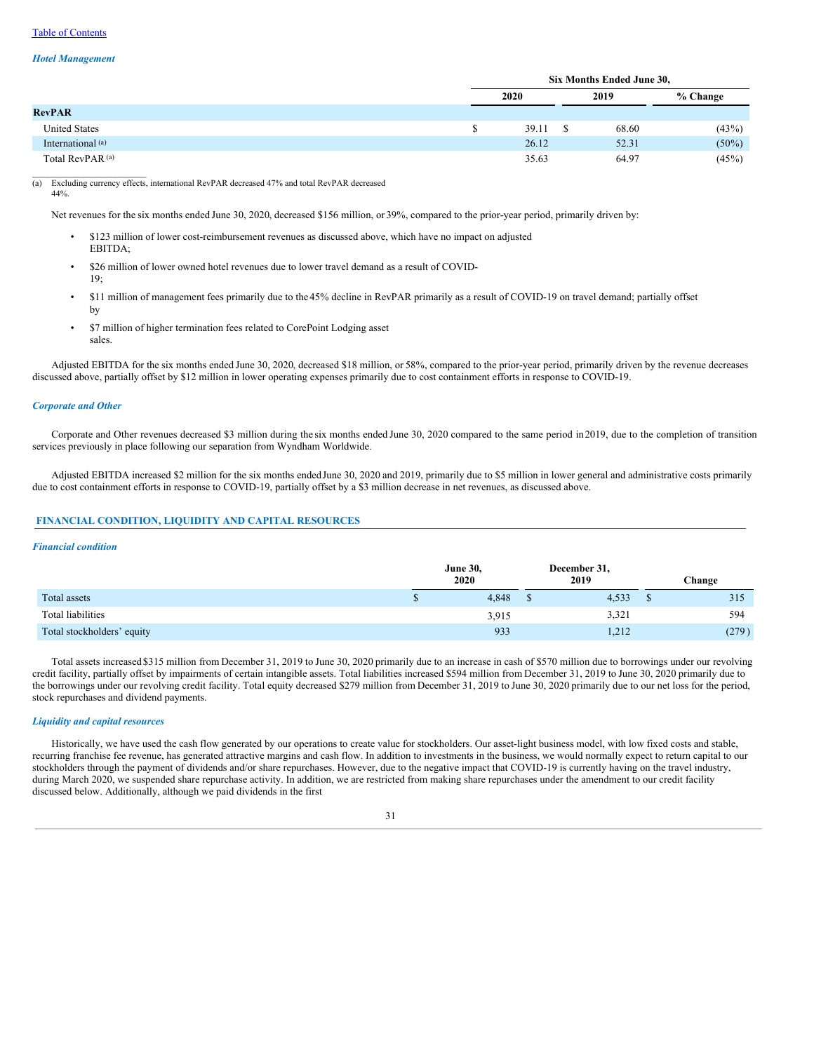#### *Hotel Management*

|                             | Six Months Ended June 30, |  |       |          |  |  |
|-----------------------------|---------------------------|--|-------|----------|--|--|
|                             | 2020                      |  | 2019  | % Change |  |  |
| <b>RevPAR</b>               |                           |  |       |          |  |  |
| <b>United States</b>        | 39.11                     |  | 68.60 | (43%)    |  |  |
| International (a)           | 26.12                     |  | 52.31 | $(50\%)$ |  |  |
| Total RevPAR <sup>(a)</sup> | 35.63                     |  | 64.97 | (45%)    |  |  |

(a) Excluding currency effects, international RevPAR decreased 47% and total RevPAR decreased 44%.

Net revenues for the six months ended June 30, 2020, decreased \$156 million, or 39%, compared to the prior-year period, primarily driven by:

- \$123 million of lower cost-reimbursement revenues as discussed above, which have no impact on adjusted EBITDA;
- \$26 million of lower owned hotel revenues due to lower travel demand as a result of COVID-19;
- \$11 million of management fees primarily due to the 45% decline in RevPAR primarily as a result of COVID-19 on travel demand; partially offset by
- \$7 million of higher termination fees related to CorePoint Lodging asset sales.

Adjusted EBITDA for the six months ended June 30, 2020, decreased \$18 million, or 58%, compared to the prior-year period, primarily driven by the revenue decreases discussed above, partially offset by \$12 million in lower operating expenses primarily due to cost containment efforts in response to COVID-19.

#### *Corporate and Other*

Corporate and Other revenues decreased \$3 million during the six months ended June 30, 2020 compared to the same period in2019, due to the completion of transition services previously in place following our separation from Wyndham Worldwide.

Adjusted EBITDA increased \$2 million for the six months endedJune 30, 2020 and 2019, primarily due to \$5 million in lower general and administrative costs primarily due to cost containment efforts in response to COVID-19, partially offset by a \$3 million decrease in net revenues, as discussed above.

# **FINANCIAL CONDITION, LIQUIDITY AND CAPITAL RESOURCES**

### *Financial condition*

|                            | <b>June 30,</b><br>2020 | December 31,<br>2019 | Change |
|----------------------------|-------------------------|----------------------|--------|
| Total assets               | 4,848                   | 4,533                | 315    |
| <b>Total liabilities</b>   | 3,915                   | 3,321                | 594    |
| Total stockholders' equity | 933                     | 1,212                | (279)  |

Total assets increased \$315 million from December 31, 2019 to June 30, 2020 primarily due to an increase in cash of \$570 million due to borrowings under our revolving credit facility, partially offset by impairments of certain intangible assets. Total liabilities increased \$594 million from December 31, 2019 to June 30, 2020 primarily due to the borrowings under our revolving credit facility. Total equity decreased \$279 million from December 31, 2019 to June 30, 2020 primarily due to our net loss for the period, stock repurchases and dividend payments.

# *Liquidity and capital resources*

Historically, we have used the cash flow generated by our operations to create value for stockholders. Our asset-light business model, with low fixed costs and stable, recurring franchise fee revenue, has generated attractive margins and cash flow. In addition to investments in the business, we would normally expect to return capital to our stockholders through the payment of dividends and/or share repurchases. However, due to the negative impact that COVID-19 is currently having on the travel industry, during March 2020, we suspended share repurchase activity. In addition, we are restricted from making share repurchases under the amendment to our credit facility discussed below. Additionally, although we paid dividends in the first

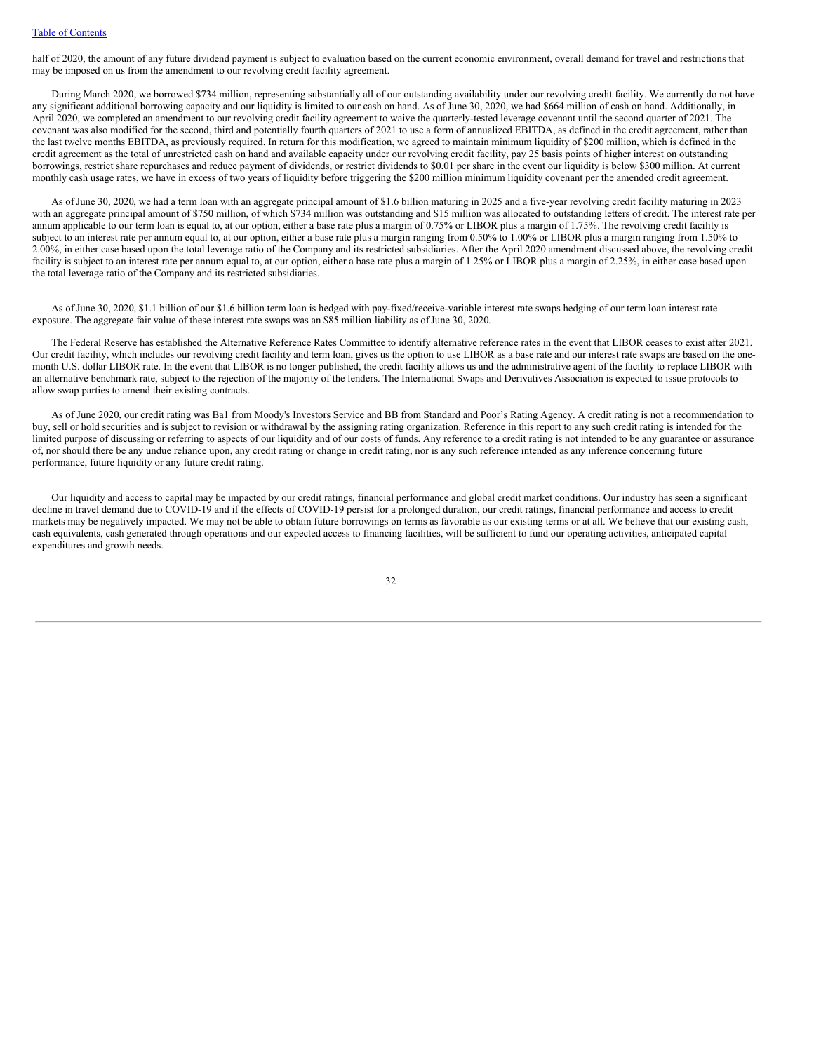half of 2020, the amount of any future dividend payment is subject to evaluation based on the current economic environment, overall demand for travel and restrictions that may be imposed on us from the amendment to our revolving credit facility agreement.

During March 2020, we borrowed \$734 million, representing substantially all of our outstanding availability under our revolving credit facility. We currently do not have any significant additional borrowing capacity and our liquidity is limited to our cash on hand. As of June 30, 2020, we had \$664 million of cash on hand. Additionally, in April 2020, we completed an amendment to our revolving credit facility agreement to waive the quarterly-tested leverage covenant until the second quarter of 2021. The covenant was also modified for the second, third and potentially fourth quarters of 2021 to use a form of annualized EBITDA, as defined in the credit agreement, rather than the last twelve months EBITDA, as previously required. In return for this modification, we agreed to maintain minimum liquidity of \$200 million, which is defined in the credit agreement as the total of unrestricted cash on hand and available capacity under our revolving credit facility, pay 25 basis points of higher interest on outstanding borrowings, restrict share repurchases and reduce payment of dividends, or restrict dividends to \$0.01 per share in the event our liquidity is below \$300 million. At current monthly cash usage rates, we have in excess of two years of liquidity before triggering the \$200 million minimum liquidity covenant per the amended credit agreement.

As of June 30, 2020, we had a term loan with an aggregate principal amount of \$1.6 billion maturing in 2025 and a five-year revolving credit facility maturing in 2023 with an aggregate principal amount of \$750 million, of which \$734 million was outstanding and \$15 million was allocated to outstanding letters of credit. The interest rate per annum applicable to our term loan is equal to, at our option, either a base rate plus a margin of 0.75% or LIBOR plus a margin of 1.75%. The revolving credit facility is subject to an interest rate per annum equal to, at our option, either a base rate plus a margin ranging from 0.50% to 1.00% or LIBOR plus a margin ranging from 1.50% to 2.00%, in either case based upon the total leverage ratio of the Company and its restricted subsidiaries. After the April 2020 amendment discussed above, the revolving credit facility is subject to an interest rate per annum equal to, at our option, either a base rate plus a margin of 1.25% or LIBOR plus a margin of 2.25%, in either case based upon the total leverage ratio of the Company and its restricted subsidiaries.

As of June 30, 2020, \$1.1 billion of our \$1.6 billion term loan is hedged with pay-fixed/receive-variable interest rate swaps hedging of our term loan interest rate exposure. The aggregate fair value of these interest rate swaps was an \$85 million liability as ofJune 30, 2020.

The Federal Reserve has established the Alternative Reference Rates Committee to identify alternative reference rates in the event that LIBOR ceases to exist after 2021. Our credit facility, which includes our revolving credit facility and term loan, gives us the option to use LIBOR as a base rate and our interest rate swaps are based on the onemonth U.S. dollar LIBOR rate. In the event that LIBOR is no longer published, the credit facility allows us and the administrative agent of the facility to replace LIBOR with an alternative benchmark rate, subject to the rejection of the majority of the lenders. The International Swaps and Derivatives Association is expected to issue protocols to allow swap parties to amend their existing contracts.

As of June 2020, our credit rating was Ba1 from Moody's Investors Service and BB from Standard and Poor's Rating Agency. A credit rating is not a recommendation to buy, sell or hold securities and is subject to revision or withdrawal by the assigning rating organization. Reference in this report to any such credit rating is intended for the limited purpose of discussing or referring to aspects of our liquidity and of our costs of funds. Any reference to a credit rating is not intended to be any guarantee or assurance of, nor should there be any undue reliance upon, any credit rating or change in credit rating, nor is any such reference intended as any inference concerning future performance, future liquidity or any future credit rating.

Our liquidity and access to capital may be impacted by our credit ratings, financial performance and global credit market conditions. Our industry has seen a significant decline in travel demand due to COVID-19 and if the effects of COVID-19 persist for a prolonged duration, our credit ratings, financial performance and access to credit markets may be negatively impacted. We may not be able to obtain future borrowings on terms as favorable as our existing terms or at all. We believe that our existing cash, cash equivalents, cash generated through operations and our expected access to financing facilities, will be sufficient to fund our operating activities, anticipated capital expenditures and growth needs.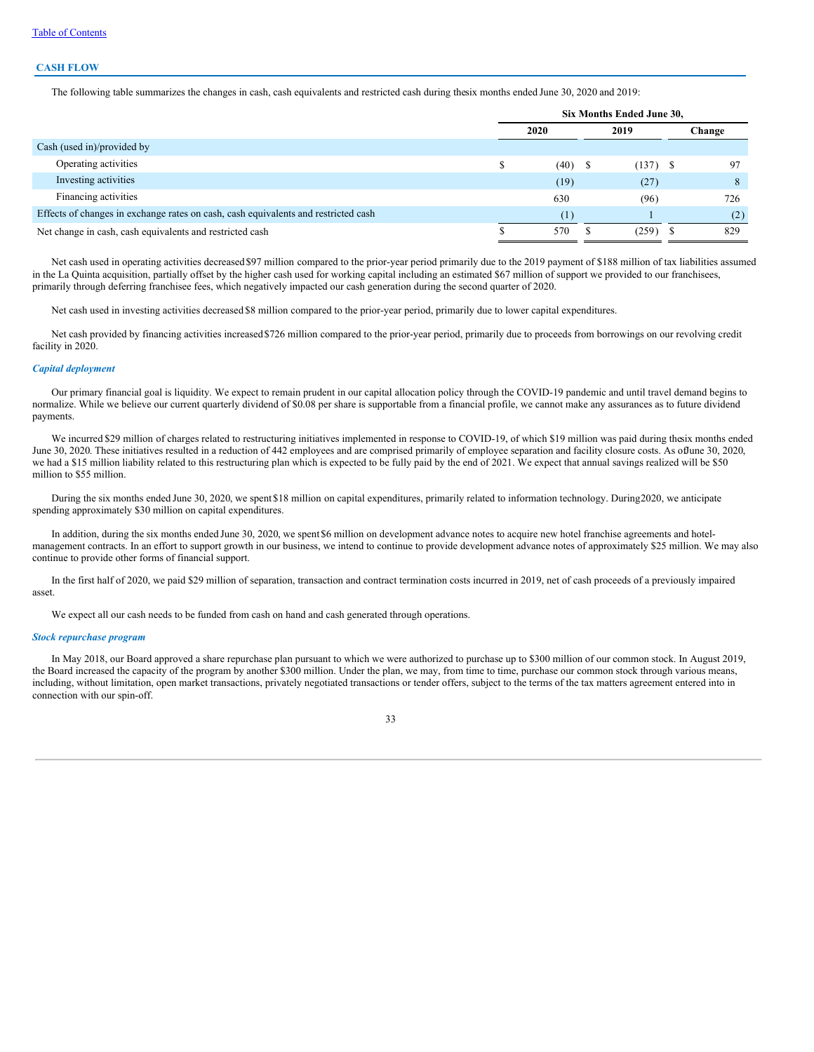#### **CASH FLOW**

The following table summarizes the changes in cash, cash equivalents and restricted cash during thesix months ended June 30, 2020 and 2019:

|                                                                                    | Six Months Ended June 30, |           |  |            |        |
|------------------------------------------------------------------------------------|---------------------------|-----------|--|------------|--------|
|                                                                                    |                           | 2020      |  | 2019       | Change |
| Cash (used in)/provided by                                                         |                           |           |  |            |        |
| Operating activities                                                               |                           | $(40)$ \$ |  | $(137)$ \$ | 97     |
| Investing activities                                                               |                           | (19)      |  | (27)       |        |
| Financing activities                                                               |                           | 630       |  | (96)       | 726    |
| Effects of changes in exchange rates on cash, cash equivalents and restricted cash |                           | (1)       |  |            | (2)    |
| Net change in cash, cash equivalents and restricted cash                           |                           | 570       |  | (259)      | 829    |

Net cash used in operating activities decreased \$97 million compared to the prior-year period primarily due to the 2019 payment of \$188 million of tax liabilities assumed in the La Quinta acquisition, partially offset by the higher cash used for working capital including an estimated \$67 million of support we provided to our franchisees, primarily through deferring franchisee fees, which negatively impacted our cash generation during the second quarter of 2020.

Net cash used in investing activities decreased \$8 million compared to the prior-year period, primarily due to lower capital expenditures.

Net cash provided by financing activities increased \$726 million compared to the prior-year period, primarily due to proceeds from borrowings on our revolving credit facility in 2020.

#### *Capital deployment*

Our primary financial goal is liquidity. We expect to remain prudent in our capital allocation policy through the COVID-19 pandemic and until travel demand begins to normalize. While we believe our current quarterly dividend of \$0.08 per share is supportable from a financial profile, we cannot make any assurances as to future dividend payments.

We incurred \$29 million of charges related to restructuring initiatives implemented in response to COVID-19, of which \$19 million was paid during thesix months ended June 30, 2020. These initiatives resulted in a reduction of 442 employees and are comprised primarily of employee separation and facility closure costs. As ofJune 30, 2020, we had a \$15 million liability related to this restructuring plan which is expected to be fully paid by the end of 2021. We expect that annual savings realized will be \$50 million to \$55 million.

During the six months ended June 30, 2020, we spent \$18 million on capital expenditures, primarily related to information technology. During2020, we anticipate spending approximately \$30 million on capital expenditures.

In addition, during the six months ended June 30, 2020, we spent \$6 million on development advance notes to acquire new hotel franchise agreements and hotelmanagement contracts. In an effort to support growth in our business, we intend to continue to provide development advance notes of approximately \$25 million. We may also continue to provide other forms of financial support.

In the first half of 2020, we paid \$29 million of separation, transaction and contract termination costs incurred in 2019, net of cash proceeds of a previously impaired asset.

We expect all our cash needs to be funded from cash on hand and cash generated through operations.

#### *Stock repurchase program*

In May 2018, our Board approved a share repurchase plan pursuant to which we were authorized to purchase up to \$300 million of our common stock. In August 2019, the Board increased the capacity of the program by another \$300 million. Under the plan, we may, from time to time, purchase our common stock through various means, including, without limitation, open market transactions, privately negotiated transactions or tender offers, subject to the terms of the tax matters agreement entered into in connection with our spin-off.

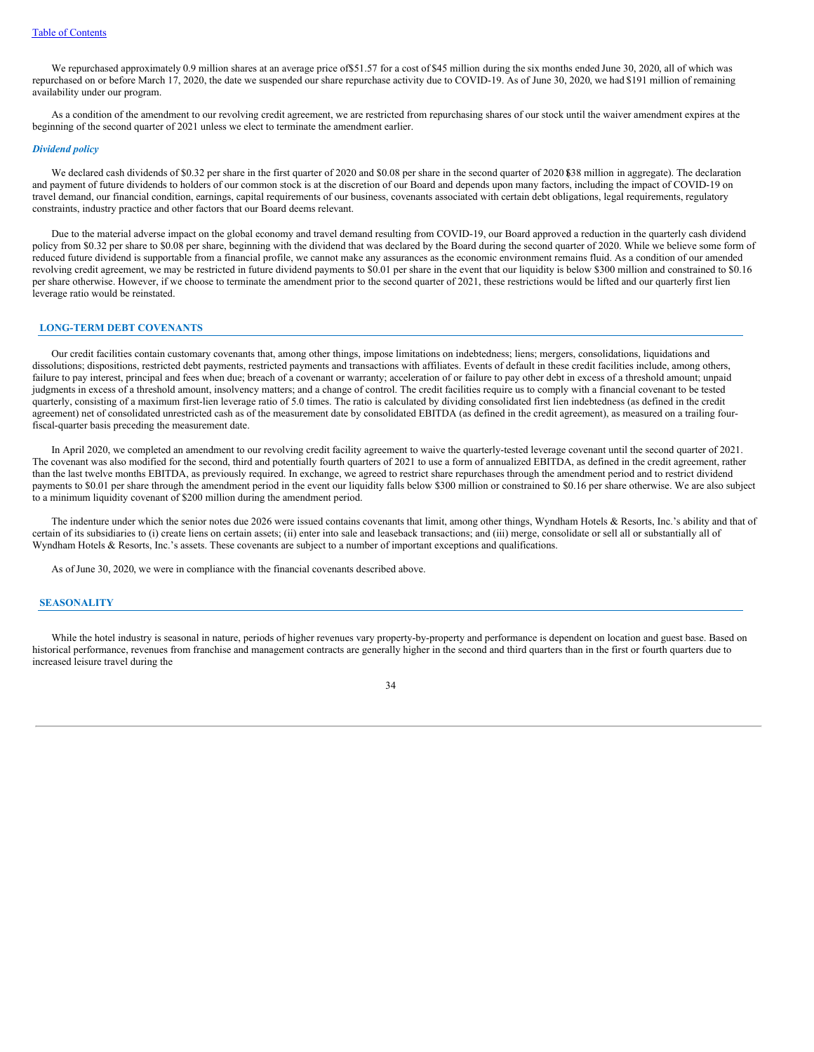We repurchased approximately 0.9 million shares at an average price of\$51.57 for a cost of \$45 million during the six months ended June 30, 2020, all of which was repurchased on or before March 17, 2020, the date we suspended our share repurchase activity due to COVID-19. As of June 30, 2020, we had \$191 million of remaining availability under our program.

As a condition of the amendment to our revolving credit agreement, we are restricted from repurchasing shares of our stock until the waiver amendment expires at the beginning of the second quarter of 2021 unless we elect to terminate the amendment earlier.

#### *Dividend policy*

We declared cash dividends of \$0.32 per share in the first quarter of 2020 and \$0.08 per share in the second quarter of 2020 \$38 million in aggregate). The declaration and payment of future dividends to holders of our common stock is at the discretion of our Board and depends upon many factors, including the impact of COVID-19 on travel demand, our financial condition, earnings, capital requirements of our business, covenants associated with certain debt obligations, legal requirements, regulatory constraints, industry practice and other factors that our Board deems relevant.

Due to the material adverse impact on the global economy and travel demand resulting from COVID-19, our Board approved a reduction in the quarterly cash dividend policy from \$0.32 per share to \$0.08 per share, beginning with the dividend that was declared by the Board during the second quarter of 2020. While we believe some form of reduced future dividend is supportable from a financial profile, we cannot make any assurances as the economic environment remains fluid. As a condition of our amended revolving credit agreement, we may be restricted in future dividend payments to \$0.01 per share in the event that our liquidity is below \$300 million and constrained to \$0.16 per share otherwise. However, if we choose to terminate the amendment prior to the second quarter of 2021, these restrictions would be lifted and our quarterly first lien leverage ratio would be reinstated.

# **LONG-TERM DEBT COVENANTS**

Our credit facilities contain customary covenants that, among other things, impose limitations on indebtedness; liens; mergers, consolidations, liquidations and dissolutions; dispositions, restricted debt payments, restricted payments and transactions with affiliates. Events of default in these credit facilities include, among others, failure to pay interest, principal and fees when due; breach of a covenant or warranty; acceleration of or failure to pay other debt in excess of a threshold amount; unpaid judgments in excess of a threshold amount, insolvency matters; and a change of control. The credit facilities require us to comply with a financial covenant to be tested quarterly, consisting of a maximum first-lien leverage ratio of 5.0 times. The ratio is calculated by dividing consolidated first lien indebtedness (as defined in the credit agreement) net of consolidated unrestricted cash as of the measurement date by consolidated EBITDA (as defined in the credit agreement), as measured on a trailing fourfiscal-quarter basis preceding the measurement date.

In April 2020, we completed an amendment to our revolving credit facility agreement to waive the quarterly-tested leverage covenant until the second quarter of 2021. The covenant was also modified for the second, third and potentially fourth quarters of 2021 to use a form of annualized EBITDA, as defined in the credit agreement, rather than the last twelve months EBITDA, as previously required. In exchange, we agreed to restrict share repurchases through the amendment period and to restrict dividend payments to \$0.01 per share through the amendment period in the event our liquidity falls below \$300 million or constrained to \$0.16 per share otherwise. We are also subject to a minimum liquidity covenant of \$200 million during the amendment period.

The indenture under which the senior notes due 2026 were issued contains covenants that limit, among other things, Wyndham Hotels & Resorts, Inc.'s ability and that of certain of its subsidiaries to (i) create liens on certain assets; (ii) enter into sale and leaseback transactions; and (iii) merge, consolidate or sell all or substantially all of Wyndham Hotels & Resorts, Inc.'s assets. These covenants are subject to a number of important exceptions and qualifications.

As of June 30, 2020, we were in compliance with the financial covenants described above.

#### **SEASONALITY**

While the hotel industry is seasonal in nature, periods of higher revenues vary property-by-property and performance is dependent on location and guest base. Based on historical performance, revenues from franchise and management contracts are generally higher in the second and third quarters than in the first or fourth quarters due to increased leisure travel during the

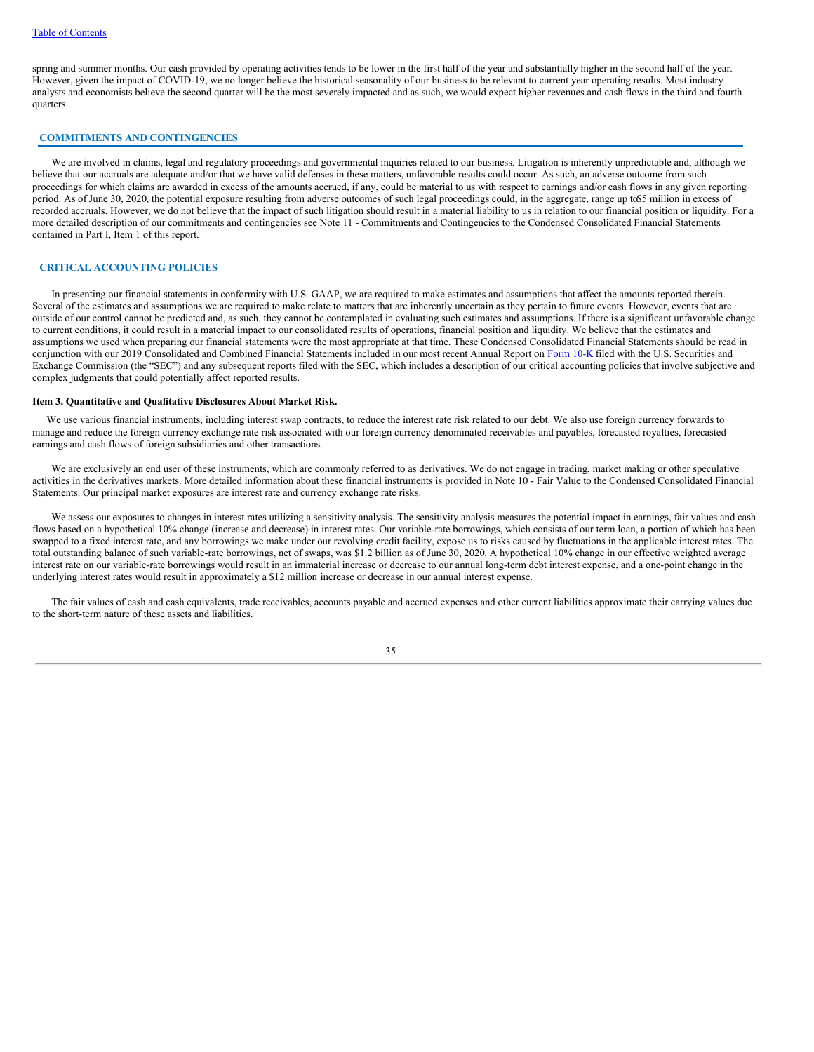spring and summer months. Our cash provided by operating activities tends to be lower in the first half of the year and substantially higher in the second half of the year. However, given the impact of COVID-19, we no longer believe the historical seasonality of our business to be relevant to current year operating results. Most industry analysts and economists believe the second quarter will be the most severely impacted and as such, we would expect higher revenues and cash flows in the third and fourth quarters.

## **COMMITMENTS AND CONTINGENCIES**

We are involved in claims, legal and regulatory proceedings and governmental inquiries related to our business. Litigation is inherently unpredictable and, although we believe that our accruals are adequate and/or that we have valid defenses in these matters, unfavorable results could occur. As such, an adverse outcome from such proceedings for which claims are awarded in excess of the amounts accrued, if any, could be material to us with respect to earnings and/or cash flows in any given reporting period. As of June 30, 2020, the potential exposure resulting from adverse outcomes of such legal proceedings could, in the aggregate, range up to\$5 million in excess of recorded accruals. However, we do not believe that the impact of such litigation should result in a material liability to us in relation to our financial position or liquidity. For a more detailed description of our commitments and contingencies see Note 11 - Commitments and Contingencies to the Condensed Consolidated Financial Statements contained in Part I, Item 1 of this report.

### **CRITICAL ACCOUNTING POLICIES**

In presenting our financial statements in conformity with U.S. GAAP, we are required to make estimates and assumptions that affect the amounts reported therein. Several of the estimates and assumptions we are required to make relate to matters that are inherently uncertain as they pertain to future events. However, events that are outside of our control cannot be predicted and, as such, they cannot be contemplated in evaluating such estimates and assumptions. If there is a significant unfavorable change to current conditions, it could result in a material impact to our consolidated results of operations, financial position and liquidity. We believe that the estimates and assumptions we used when preparing our financial statements were the most appropriate at that time. These Condensed Consolidated Financial Statements should be read in conjunction with our 2019 Consolidated and Combined Financial Statements included in our most recent Annual Report on [Form](http://www.sec.gov/Archives/edgar/data/1722684/000172268420000007/wh-20191231x10k.htm) 10-K filed with the U.S. Securities and Exchange Commission (the "SEC") and any subsequent reports filed with the SEC, which includes a description of our critical accounting policies that involve subjective and complex judgments that could potentially affect reported results.

#### **Item 3. Quantitative and Qualitative Disclosures About Market Risk.**

We use various financial instruments, including interest swap contracts, to reduce the interest rate risk related to our debt. We also use foreign currency forwards to manage and reduce the foreign currency exchange rate risk associated with our foreign currency denominated receivables and payables, forecasted royalties, forecasted earnings and cash flows of foreign subsidiaries and other transactions.

We are exclusively an end user of these instruments, which are commonly referred to as derivatives. We do not engage in trading, market making or other speculative activities in the derivatives markets. More detailed information about these financial instruments is provided in Note 10 - Fair Value to the Condensed Consolidated Financial Statements. Our principal market exposures are interest rate and currency exchange rate risks.

We assess our exposures to changes in interest rates utilizing a sensitivity analysis. The sensitivity analysis measures the potential impact in earnings, fair values and cash flows based on a hypothetical 10% change (increase and decrease) in interest rates. Our variable-rate borrowings, which consists of our term loan, a portion of which has been swapped to a fixed interest rate, and any borrowings we make under our revolving credit facility, expose us to risks caused by fluctuations in the applicable interest rates. The total outstanding balance of such variable-rate borrowings, net of swaps, was \$1.2 billion as of June 30, 2020. A hypothetical 10% change in our effective weighted average interest rate on our variable-rate borrowings would result in an immaterial increase or decrease to our annual long-term debt interest expense, and a one-point change in the underlying interest rates would result in approximately a \$12 million increase or decrease in our annual interest expense.

The fair values of cash and cash equivalents, trade receivables, accounts payable and accrued expenses and other current liabilities approximate their carrying values due to the short-term nature of these assets and liabilities.

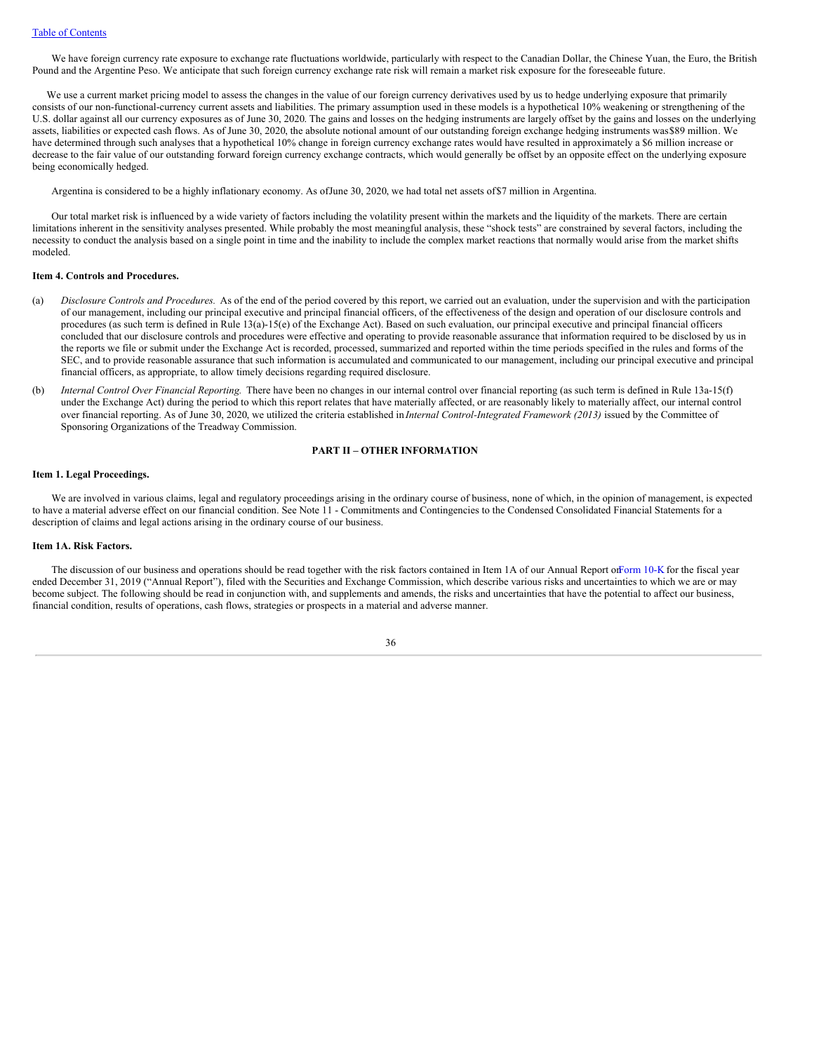We have foreign currency rate exposure to exchange rate fluctuations worldwide, particularly with respect to the Canadian Dollar, the Chinese Yuan, the Euro, the British Pound and the Argentine Peso. We anticipate that such foreign currency exchange rate risk will remain a market risk exposure for the foreseeable future.

We use a current market pricing model to assess the changes in the value of our foreign currency derivatives used by us to hedge underlying exposure that primarily consists of our non-functional-currency current assets and liabilities. The primary assumption used in these models is a hypothetical 10% weakening or strengthening of the U.S. dollar against all our currency exposures as of June 30, 2020. The gains and losses on the hedging instruments are largely offset by the gains and losses on the underlying assets, liabilities or expected cash flows. As of June 30, 2020, the absolute notional amount of our outstanding foreign exchange hedging instruments was\$89 million. We have determined through such analyses that a hypothetical 10% change in foreign currency exchange rates would have resulted in approximately a \$6 million increase or decrease to the fair value of our outstanding forward foreign currency exchange contracts, which would generally be offset by an opposite effect on the underlying exposure being economically hedged.

Argentina is considered to be a highly inflationary economy. As ofJune 30, 2020, we had total net assets of\$7 million in Argentina.

Our total market risk is influenced by a wide variety of factors including the volatility present within the markets and the liquidity of the markets. There are certain limitations inherent in the sensitivity analyses presented. While probably the most meaningful analysis, these "shock tests" are constrained by several factors, including the necessity to conduct the analysis based on a single point in time and the inability to include the complex market reactions that normally would arise from the market shifts modeled.

# **Item 4. Controls and Procedures.**

- (a) *Disclosure Controls and Procedures.* As of the end of the period covered by this report, we carried out an evaluation, under the supervision and with the participation of our management, including our principal executive and principal financial officers, of the effectiveness of the design and operation of our disclosure controls and procedures (as such term is defined in Rule 13(a)-15(e) of the Exchange Act). Based on such evaluation, our principal executive and principal financial officers concluded that our disclosure controls and procedures were effective and operating to provide reasonable assurance that information required to be disclosed by us in the reports we file or submit under the Exchange Act is recorded, processed, summarized and reported within the time periods specified in the rules and forms of the SEC, and to provide reasonable assurance that such information is accumulated and communicated to our management, including our principal executive and principal financial officers, as appropriate, to allow timely decisions regarding required disclosure.
- (b) *Internal Control Over Financial Reporting.* There have been no changes in our internal control over financial reporting (as such term is defined in Rule 13a-15(f) under the Exchange Act) during the period to which this report relates that have materially affected, or are reasonably likely to materially affect, our internal control over financial reporting. As of June 30, 2020, we utilized the criteria established in *Internal Control-Integrated Framework (2013)* issued by the Committee of Sponsoring Organizations of the Treadway Commission.

#### **PART II – OTHER INFORMATION**

#### **Item 1. Legal Proceedings.**

We are involved in various claims, legal and regulatory proceedings arising in the ordinary course of business, none of which, in the opinion of management, is expected to have a material adverse effect on our financial condition. See Note 11 - Commitments and Contingencies to the Condensed Consolidated Financial Statements for a description of claims and legal actions arising in the ordinary course of our business.

### **Item 1A. Risk Factors.**

The discussion of our business and operations should be read together with the risk factors contained in Item 1A of our Annual Report o[nForm](http://www.sec.gov/Archives/edgar/data/1722684/000172268420000007/wh-20191231x10k.htm) 10-K for the fiscal year ended December 31, 2019 ("Annual Report"), filed with the Securities and Exchange Commission, which describe various risks and uncertainties to which we are or may become subject. The following should be read in conjunction with, and supplements and amends, the risks and uncertainties that have the potential to affect our business, financial condition, results of operations, cash flows, strategies or prospects in a material and adverse manner.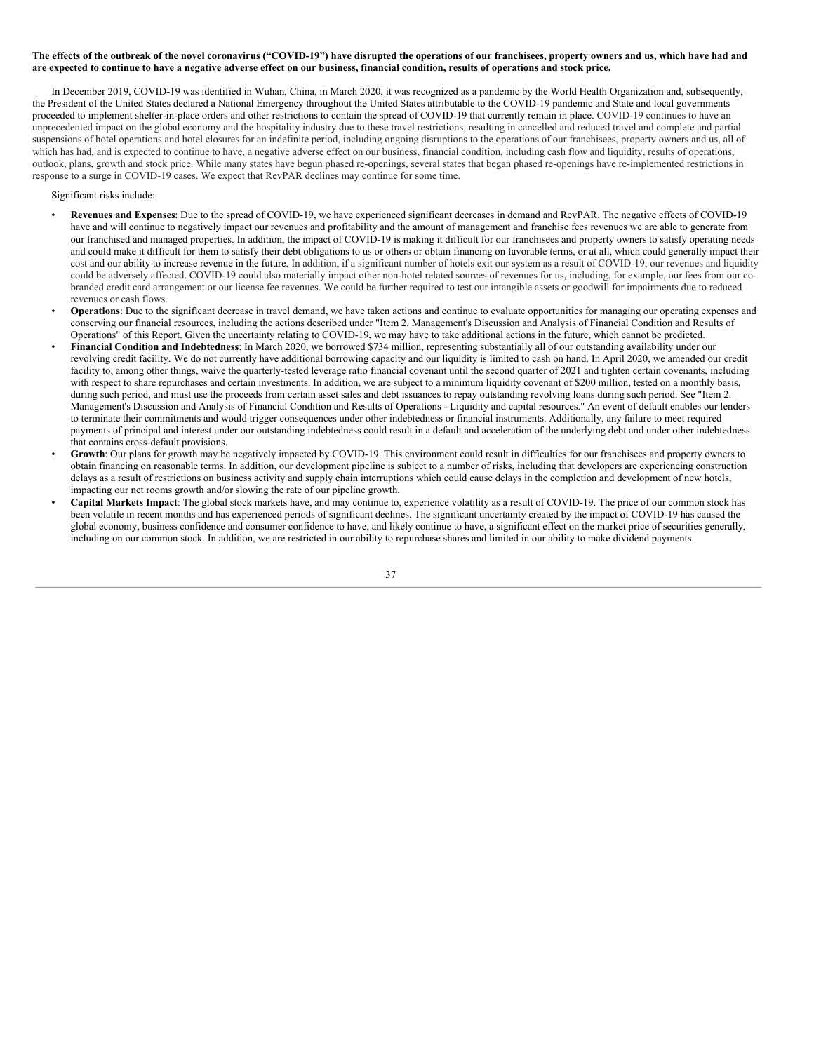### The effects of the outbreak of the novel coronavirus ("COVID-19") have disrupted the operations of our franchisees, property owners and us, which have had and are expected to continue to have a negative adverse effect on our business, financial condition, results of operations and stock price.

In December 2019, COVID-19 was identified in Wuhan, China, in March 2020, it was recognized as a pandemic by the World Health Organization and, subsequently, the President of the United States declared a National Emergency throughout the United States attributable to the COVID-19 pandemic and State and local governments proceeded to implement shelter-in-place orders and other restrictions to contain the spread of COVID-19 that currently remain in place. COVID-19 continues to have an unprecedented impact on the global economy and the hospitality industry due to these travel restrictions, resulting in cancelled and reduced travel and complete and partial suspensions of hotel operations and hotel closures for an indefinite period, including ongoing disruptions to the operations of our franchisees, property owners and us, all of which has had, and is expected to continue to have, a negative adverse effect on our business, financial condition, including cash flow and liquidity, results of operations, outlook, plans, growth and stock price. While many states have begun phased re-openings, several states that began phased re-openings have re-implemented restrictions in response to a surge in COVID-19 cases. We expect that RevPAR declines may continue for some time.

Significant risks include:

- **Revenues and Expenses**: Due to the spread of COVID-19, we have experienced significant decreases in demand and RevPAR. The negative effects of COVID-19 have and will continue to negatively impact our revenues and profitability and the amount of management and franchise fees revenues we are able to generate from our franchised and managed properties. In addition, the impact of COVID-19 is making it difficult for our franchisees and property owners to satisfy operating needs and could make it difficult for them to satisfy their debt obligations to us or others or obtain financing on favorable terms, or at all, which could generally impact their cost and our ability to increase revenue in the future. In addition, if a significant number of hotels exit our system as a result of COVID-19, our revenues and liquidity could be adversely affected. COVID-19 could also materially impact other non-hotel related sources of revenues for us, including, for example, our fees from our cobranded credit card arrangement or our license fee revenues. We could be further required to test our intangible assets or goodwill for impairments due to reduced revenues or cash flows.
- **Operations**: Due to the significant decrease in travel demand, we have taken actions and continue to evaluate opportunities for managing our operating expenses and conserving our financial resources, including the actions described under "Item 2. Management's Discussion and Analysis of Financial Condition and Results of Operations" of this Report. Given the uncertainty relating to COVID-19, we may have to take additional actions in the future, which cannot be predicted.
- **Financial Condition and Indebtedness**: In March 2020, we borrowed \$734 million, representing substantially all of our outstanding availability under our revolving credit facility. We do not currently have additional borrowing capacity and our liquidity is limited to cash on hand. In April 2020, we amended our credit facility to, among other things, waive the quarterly-tested leverage ratio financial covenant until the second quarter of 2021 and tighten certain covenants, including with respect to share repurchases and certain investments. In addition, we are subject to a minimum liquidity covenant of \$200 million, tested on a monthly basis, during such period, and must use the proceeds from certain asset sales and debt issuances to repay outstanding revolving loans during such period. See "Item 2. Management's Discussion and Analysis of Financial Condition and Results of Operations - Liquidity and capital resources." An event of default enables our lenders to terminate their commitments and would trigger consequences under other indebtedness or financial instruments. Additionally, any failure to meet required payments of principal and interest under our outstanding indebtedness could result in a default and acceleration of the underlying debt and under other indebtedness that contains cross-default provisions.
- **Growth**: Our plans for growth may be negatively impacted by COVID-19. This environment could result in difficulties for our franchisees and property owners to obtain financing on reasonable terms. In addition, our development pipeline is subject to a number of risks, including that developers are experiencing construction delays as a result of restrictions on business activity and supply chain interruptions which could cause delays in the completion and development of new hotels, impacting our net rooms growth and/or slowing the rate of our pipeline growth.
- **Capital Markets Impact**: The global stock markets have, and may continue to, experience volatility as a result of COVID-19. The price of our common stock has been volatile in recent months and has experienced periods of significant declines. The significant uncertainty created by the impact of COVID-19 has caused the global economy, business confidence and consumer confidence to have, and likely continue to have, a significant effect on the market price of securities generally, including on our common stock. In addition, we are restricted in our ability to repurchase shares and limited in our ability to make dividend payments.

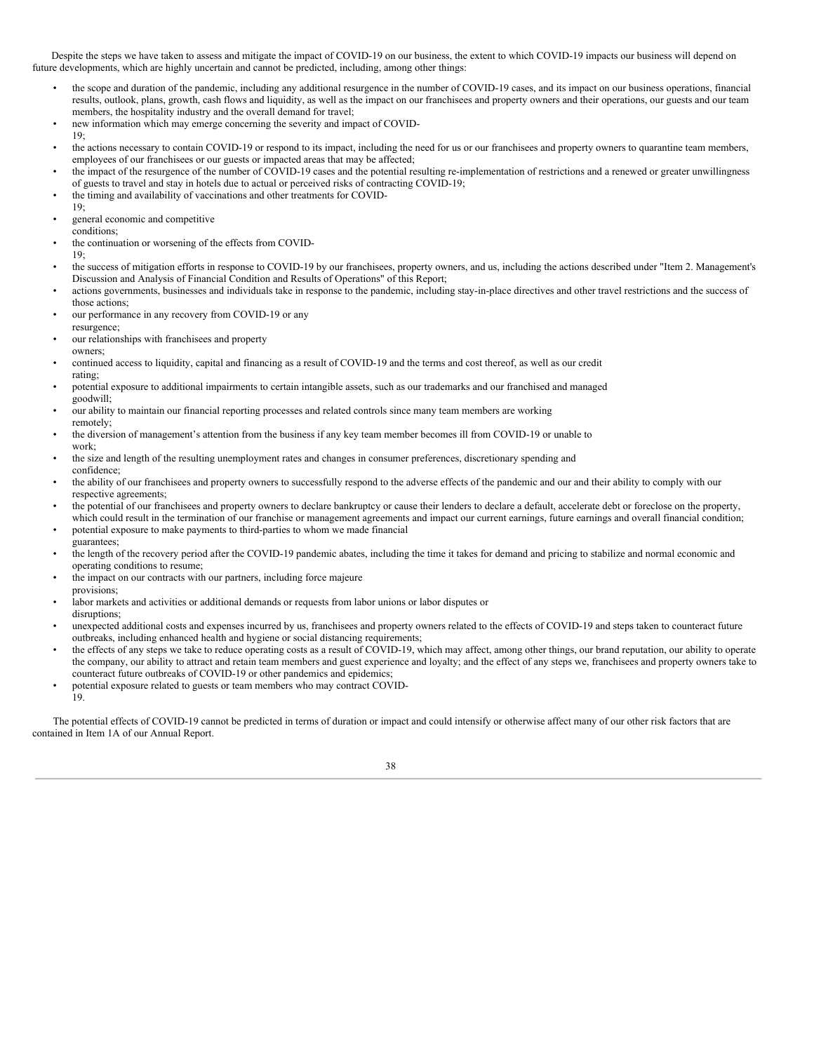Despite the steps we have taken to assess and mitigate the impact of COVID-19 on our business, the extent to which COVID-19 impacts our business will depend on future developments, which are highly uncertain and cannot be predicted, including, among other things:

- the scope and duration of the pandemic, including any additional resurgence in the number of COVID-19 cases, and its impact on our business operations, financial results, outlook, plans, growth, cash flows and liquidity, as well as the impact on our franchisees and property owners and their operations, our guests and our team members, the hospitality industry and the overall demand for travel;
- new information which may emerge concerning the severity and impact of COVID-19;
- the actions necessary to contain COVID-19 or respond to its impact, including the need for us or our franchisees and property owners to quarantine team members, employees of our franchisees or our guests or impacted areas that may be affected;
- the impact of the resurgence of the number of COVID-19 cases and the potential resulting re-implementation of restrictions and a renewed or greater unwillingness of guests to travel and stay in hotels due to actual or perceived risks of contracting COVID-19;
- the timing and availability of vaccinations and other treatments for COVID-19;
- general economic and competitive
- conditions;
- the continuation or worsening of the effects from COVID-19;
- the success of mitigation efforts in response to COVID-19 by our franchisees, property owners, and us, including the actions described under "Item 2. Management's Discussion and Analysis of Financial Condition and Results of Operations" of this Report;
- actions governments, businesses and individuals take in response to the pandemic, including stay-in-place directives and other travel restrictions and the success of those actions;
- our performance in any recovery from COVID-19 or any resurgence;
- our relationships with franchisees and property
- owners;
- continued access to liquidity, capital and financing as a result of COVID-19 and the terms and cost thereof, as well as our credit rating;
- potential exposure to additional impairments to certain intangible assets, such as our trademarks and our franchised and managed goodwill;
- our ability to maintain our financial reporting processes and related controls since many team members are working remotely;
- the diversion of management's attention from the business if any key team member becomes ill from COVID-19 or unable to work;
- the size and length of the resulting unemployment rates and changes in consumer preferences, discretionary spending and confidence;
- the ability of our franchisees and property owners to successfully respond to the adverse effects of the pandemic and our and their ability to comply with our respective agreements;
- the potential of our franchisees and property owners to declare bankruptcy or cause their lenders to declare a default, accelerate debt or foreclose on the property, which could result in the termination of our franchise or management agreements and impact our current earnings, future earnings and overall financial condition;
- potential exposure to make payments to third-parties to whom we made financial guarantees;
- the length of the recovery period after the COVID-19 pandemic abates, including the time it takes for demand and pricing to stabilize and normal economic and operating conditions to resume;
- the impact on our contracts with our partners, including force majeure provisions;
- labor markets and activities or additional demands or requests from labor unions or labor disputes or disruptions;
- unexpected additional costs and expenses incurred by us, franchisees and property owners related to the effects of COVID-19 and steps taken to counteract future outbreaks, including enhanced health and hygiene or social distancing requirements;
- the effects of any steps we take to reduce operating costs as a result of COVID-19, which may affect, among other things, our brand reputation, our ability to operate the company, our ability to attract and retain team members and guest experience and loyalty; and the effect of any steps we, franchisees and property owners take to counteract future outbreaks of COVID-19 or other pandemics and epidemics;
- potential exposure related to guests or team members who may contract COVID-19.

The potential effects of COVID-19 cannot be predicted in terms of duration or impact and could intensify or otherwise affect many of our other risk factors that are contained in Item 1A of our Annual Report.

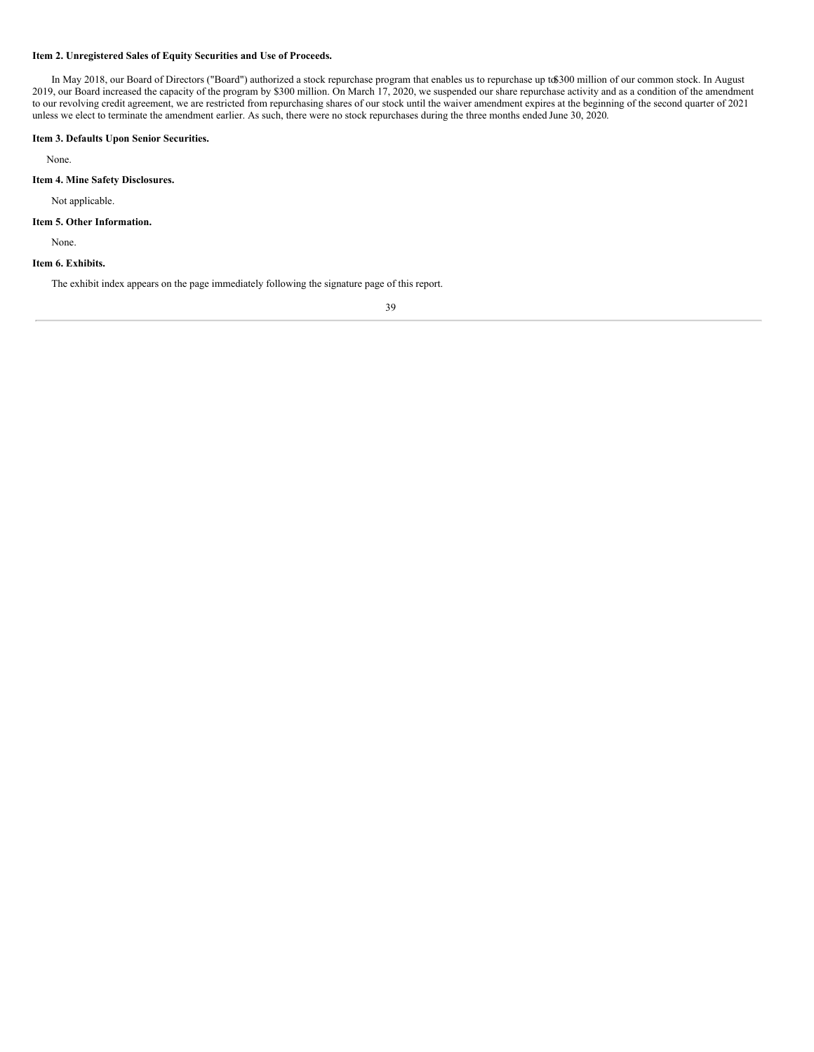# **Item 2. Unregistered Sales of Equity Securities and Use of Proceeds.**

In May 2018, our Board of Directors ("Board") authorized a stock repurchase program that enables us to repurchase up to\$300 million of our common stock. In August 2019, our Board increased the capacity of the program by \$300 million. On March 17, 2020, we suspended our share repurchase activity and as a condition of the amendment to our revolving credit agreement, we are restricted from repurchasing shares of our stock until the waiver amendment expires at the beginning of the second quarter of 2021 unless we elect to terminate the amendment earlier. As such, there were no stock repurchases during the three months ended June 30, 2020.

# **Item 3. Defaults Upon Senior Securities.**

None.

# **Item 4. Mine Safety Disclosures.**

Not applicable.

# **Item 5. Other Information.**

None.

# **Item 6. Exhibits.**

The exhibit index appears on the page immediately following the signature page of this report.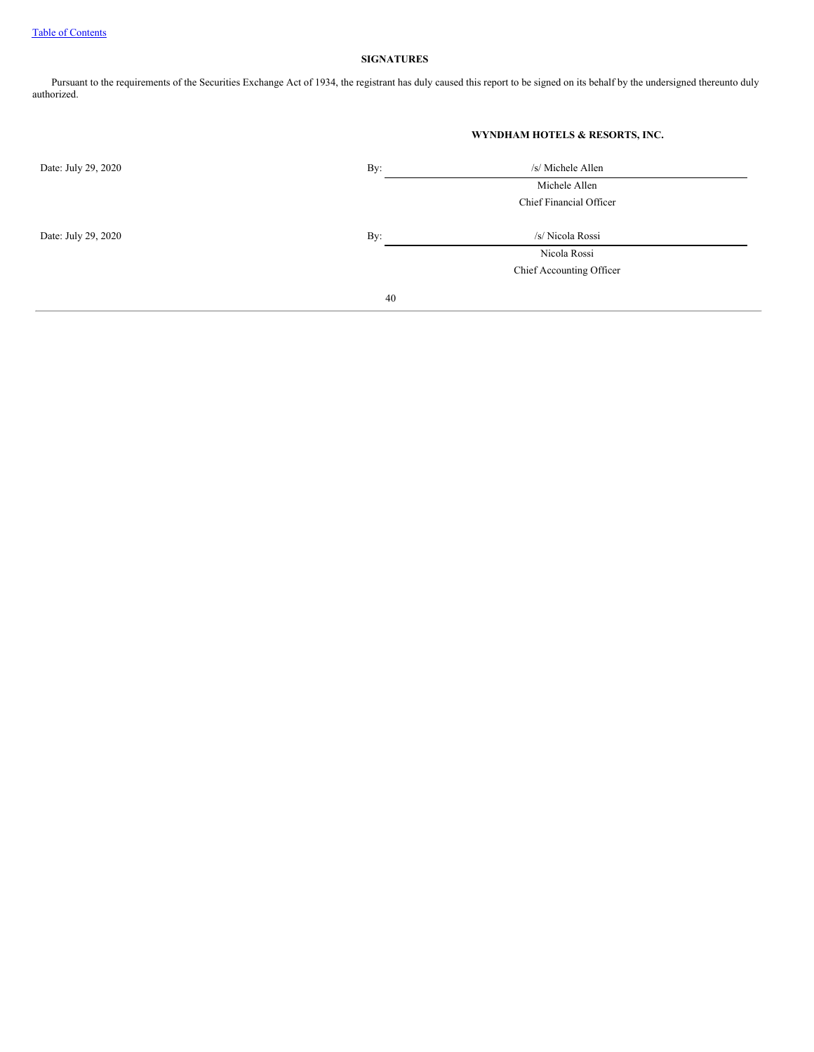# **SIGNATURES**

Pursuant to the requirements of the Securities Exchange Act of 1934, the registrant has duly caused this report to be signed on its behalf by the undersigned thereunto duly authorized.

**WYNDHAM HOTELS & RESORTS, INC.**

# Date: July 29, 2020 *Islam 2020* By: */s/ Michele Allen* Michele Allen Chief Financial Officer Date: July 29, 2020 By: /s/ Nicola Rossi Nicola Rossi Chief Accounting Officer 40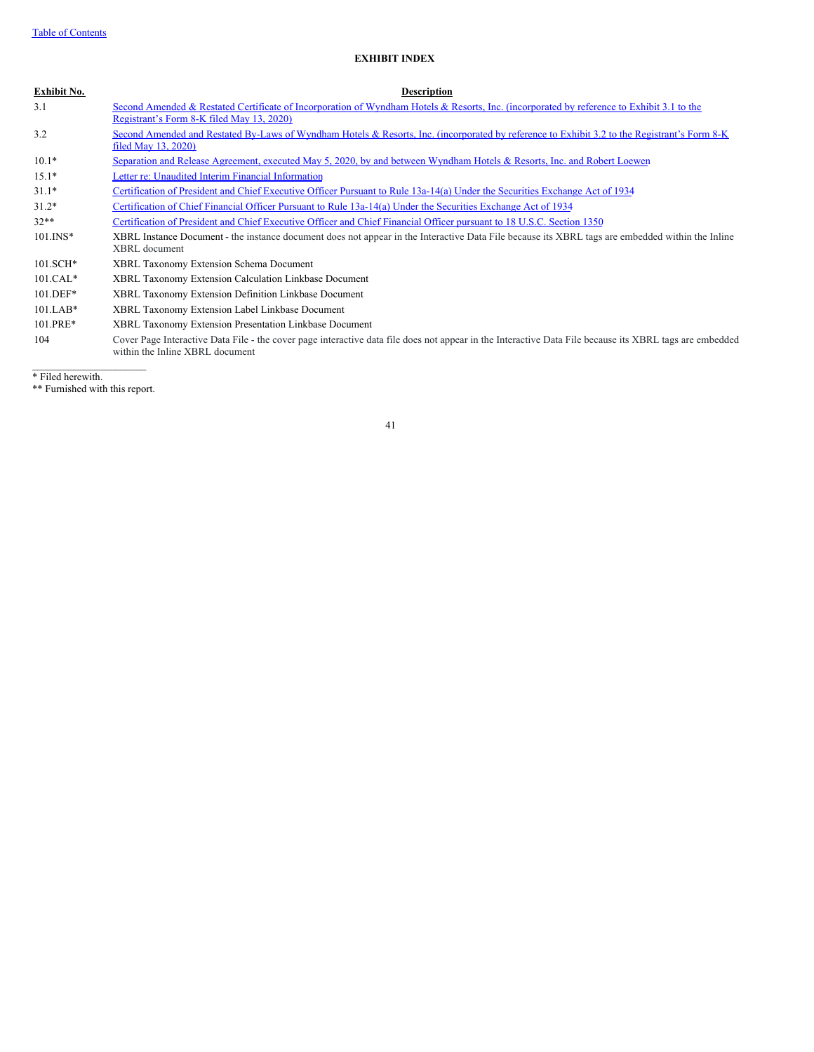# **EXHIBIT INDEX**

| Exhibit No.  | <b>Description</b>                                                                                                                               |
|--------------|--------------------------------------------------------------------------------------------------------------------------------------------------|
| 3.1          | Second Amended & Restated Certificate of Incorporation of Wyndham Hotels & Resorts, Inc. (incorporated by reference to Exhibit 3.1 to the        |
|              | Registrant's Form 8-K filed May 13, 2020)                                                                                                        |
| 3.2          | Second Amended and Restated By-Laws of Wyndham Hotels & Resorts, Inc. (incorporated by reference to Exhibit 3.2 to the Registrant's Form 8-K     |
|              | filed May 13, 2020)                                                                                                                              |
| $10.1*$      | Separation and Release Agreement, executed May 5, 2020, by and between Wyndham Hotels & Resorts, Inc. and Robert Loewen                          |
| $15.1*$      | Letter re: Unaudited Interim Financial Information                                                                                               |
| $31.1*$      | Certification of President and Chief Executive Officer Pursuant to Rule 13a-14(a) Under the Securities Exchange Act of 1934                      |
| $31.2*$      | Certification of Chief Financial Officer Pursuant to Rule 13a-14(a) Under the Securities Exchange Act of 1934                                    |
| $32**$       | Certification of President and Chief Executive Officer and Chief Financial Officer pursuant to 18 U.S.C. Section 1350                            |
| $101$ . INS* | XBRL Instance Document - the instance document does not appear in the Interactive Data File because its XBRL tags are embedded within the Inline |
|              | XBRL document                                                                                                                                    |
| $101.SCH*$   | <b>XBRL Taxonomy Extension Schema Document</b>                                                                                                   |
| $101.CAL*$   | <b>XBRL Taxonomy Extension Calculation Linkbase Document</b>                                                                                     |
| 101.DEF*     | XBRL Taxonomy Extension Definition Linkbase Document                                                                                             |
| $101.LAB*$   | XBRL Taxonomy Extension Label Linkbase Document                                                                                                  |
| 101.PRE*     | XBRL Taxonomy Extension Presentation Linkbase Document                                                                                           |

104 Cover Page Interactive Data File - the cover page interactive data file does not appear in the Interactive Data File because its XBRL tags are embedded within the Inline XBRL document

 $\mathcal{L}=\mathcal{L}=\mathcal{L}=\mathcal{L}=\mathcal{L}=\mathcal{L}=\mathcal{L}=\mathcal{L}=\mathcal{L}=\mathcal{L}=\mathcal{L}=\mathcal{L}=\mathcal{L}=\mathcal{L}=\mathcal{L}=\mathcal{L}=\mathcal{L}=\mathcal{L}=\mathcal{L}=\mathcal{L}=\mathcal{L}=\mathcal{L}=\mathcal{L}=\mathcal{L}=\mathcal{L}=\mathcal{L}=\mathcal{L}=\mathcal{L}=\mathcal{L}=\mathcal{L}=\mathcal{L}=\mathcal{L}=\mathcal{L}=\mathcal{L}=\mathcal{L}=\mathcal{L}=\mathcal{$ \* Filed herewith.

\*\* Furnished with this report.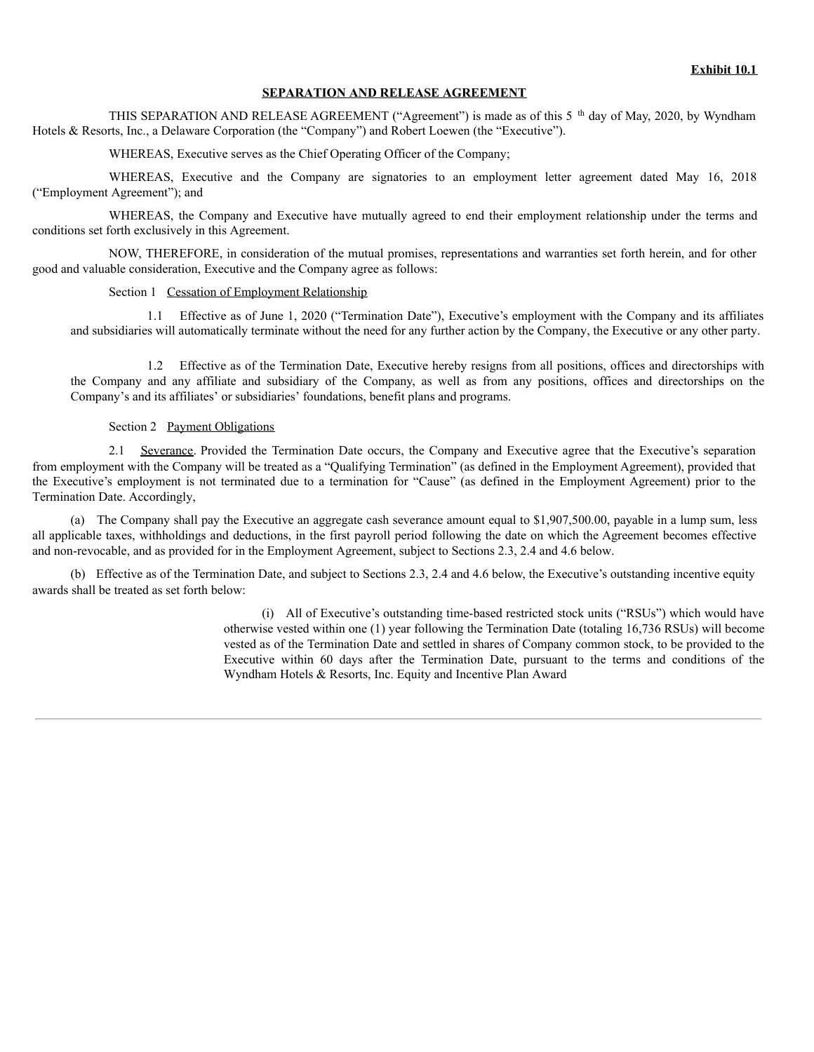# **SEPARATION AND RELEASE AGREEMENT**

THIS SEPARATION AND RELEASE AGREEMENT ("Agreement") is made as of this 5<sup>th</sup> day of May, 2020, by Wyndham Hotels & Resorts, Inc., a Delaware Corporation (the "Company") and Robert Loewen (the "Executive").

WHEREAS, Executive serves as the Chief Operating Officer of the Company;

WHEREAS, Executive and the Company are signatories to an employment letter agreement dated May 16, 2018 ("Employment Agreement"); and

WHEREAS, the Company and Executive have mutually agreed to end their employment relationship under the terms and conditions set forth exclusively in this Agreement.

NOW, THEREFORE, in consideration of the mutual promises, representations and warranties set forth herein, and for other good and valuable consideration, Executive and the Company agree as follows:

Section 1 Cessation of Employment Relationship

1.1 Effective as of June 1, 2020 ("Termination Date"), Executive's employment with the Company and its affiliates and subsidiaries will automatically terminate without the need for any further action by the Company, the Executive or any other party.

1.2 Effective as of the Termination Date, Executive hereby resigns from all positions, offices and directorships with the Company and any affiliate and subsidiary of the Company, as well as from any positions, offices and directorships on the Company's and its affiliates' or subsidiaries' foundations, benefit plans and programs.

# Section 2 Payment Obligations

2.1 Severance. Provided the Termination Date occurs, the Company and Executive agree that the Executive's separation from employment with the Company will be treated as a "Qualifying Termination" (as defined in the Employment Agreement), provided that the Executive's employment is not terminated due to a termination for "Cause" (as defined in the Employment Agreement) prior to the Termination Date. Accordingly,

(a) The Company shall pay the Executive an aggregate cash severance amount equal to \$1,907,500.00, payable in a lump sum, less all applicable taxes, withholdings and deductions, in the first payroll period following the date on which the Agreement becomes effective and non-revocable, and as provided for in the Employment Agreement, subject to Sections 2.3, 2.4 and 4.6 below.

(b) Effective as of the Termination Date, and subject to Sections 2.3, 2.4 and 4.6 below, the Executive's outstanding incentive equity awards shall be treated as set forth below:

> (i) All of Executive's outstanding time-based restricted stock units ("RSUs") which would have otherwise vested within one (1) year following the Termination Date (totaling 16,736 RSUs) will become vested as of the Termination Date and settled in shares of Company common stock, to be provided to the Executive within 60 days after the Termination Date, pursuant to the terms and conditions of the Wyndham Hotels & Resorts, Inc. Equity and Incentive Plan Award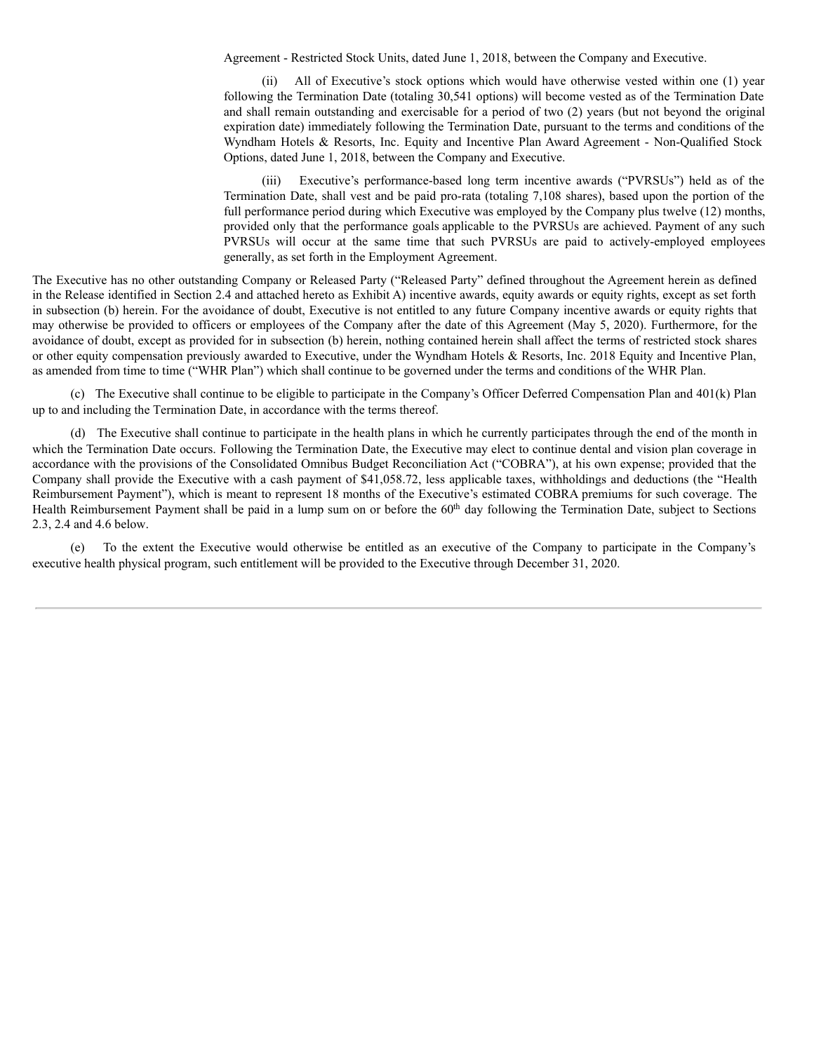Agreement - Restricted Stock Units, dated June 1, 2018, between the Company and Executive.

(ii) All of Executive's stock options which would have otherwise vested within one (1) year following the Termination Date (totaling 30,541 options) will become vested as of the Termination Date and shall remain outstanding and exercisable for a period of two (2) years (but not beyond the original expiration date) immediately following the Termination Date, pursuant to the terms and conditions of the Wyndham Hotels & Resorts, Inc. Equity and Incentive Plan Award Agreement - Non-Qualified Stock Options, dated June 1, 2018, between the Company and Executive.

(iii) Executive's performance-based long term incentive awards ("PVRSUs") held as of the Termination Date, shall vest and be paid pro-rata (totaling 7,108 shares), based upon the portion of the full performance period during which Executive was employed by the Company plus twelve (12) months, provided only that the performance goals applicable to the PVRSUs are achieved. Payment of any such PVRSUs will occur at the same time that such PVRSUs are paid to actively-employed employees generally, as set forth in the Employment Agreement.

The Executive has no other outstanding Company or Released Party ("Released Party" defined throughout the Agreement herein as defined in the Release identified in Section 2.4 and attached hereto as Exhibit A) incentive awards, equity awards or equity rights, except as set forth in subsection (b) herein. For the avoidance of doubt, Executive is not entitled to any future Company incentive awards or equity rights that may otherwise be provided to officers or employees of the Company after the date of this Agreement (May 5, 2020). Furthermore, for the avoidance of doubt, except as provided for in subsection (b) herein, nothing contained herein shall affect the terms of restricted stock shares or other equity compensation previously awarded to Executive, under the Wyndham Hotels & Resorts, Inc. 2018 Equity and Incentive Plan, as amended from time to time ("WHR Plan") which shall continue to be governed under the terms and conditions of the WHR Plan.

(c) The Executive shall continue to be eligible to participate in the Company's Officer Deferred Compensation Plan and 401(k) Plan up to and including the Termination Date, in accordance with the terms thereof.

(d) The Executive shall continue to participate in the health plans in which he currently participates through the end of the month in which the Termination Date occurs. Following the Termination Date, the Executive may elect to continue dental and vision plan coverage in accordance with the provisions of the Consolidated Omnibus Budget Reconciliation Act ("COBRA"), at his own expense; provided that the Company shall provide the Executive with a cash payment of \$41,058.72, less applicable taxes, withholdings and deductions (the "Health Reimbursement Payment"), which is meant to represent 18 months of the Executive's estimated COBRA premiums for such coverage. The Health Reimbursement Payment shall be paid in a lump sum on or before the 60<sup>th</sup> day following the Termination Date, subject to Sections 2.3, 2.4 and 4.6 below.

(e) To the extent the Executive would otherwise be entitled as an executive of the Company to participate in the Company's executive health physical program, such entitlement will be provided to the Executive through December 31, 2020.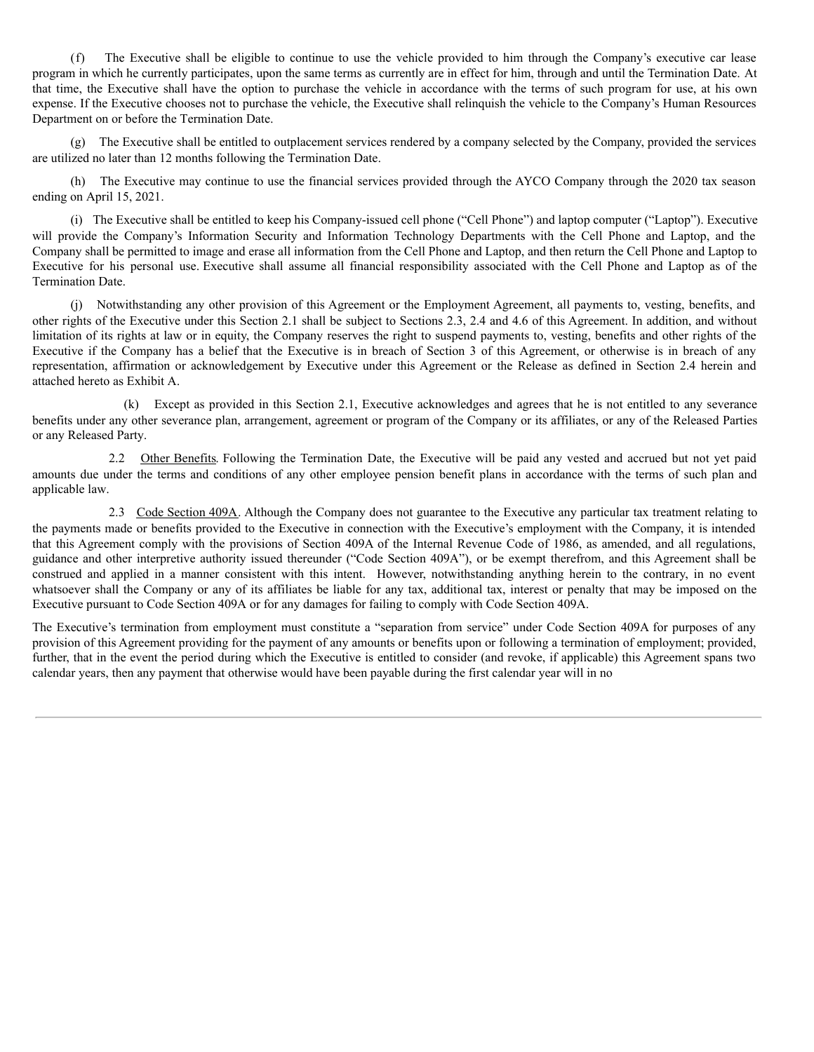(f) The Executive shall be eligible to continue to use the vehicle provided to him through the Company's executive car lease program in which he currently participates, upon the same terms as currently are in effect for him, through and until the Termination Date. At that time, the Executive shall have the option to purchase the vehicle in accordance with the terms of such program for use, at his own expense. If the Executive chooses not to purchase the vehicle, the Executive shall relinquish the vehicle to the Company's Human Resources Department on or before the Termination Date.

(g) The Executive shall be entitled to outplacement services rendered by a company selected by the Company, provided the services are utilized no later than 12 months following the Termination Date.

(h) The Executive may continue to use the financial services provided through the AYCO Company through the 2020 tax season ending on April 15, 2021.

(i) The Executive shall be entitled to keep his Company-issued cell phone ("Cell Phone") and laptop computer ("Laptop"). Executive will provide the Company's Information Security and Information Technology Departments with the Cell Phone and Laptop, and the Company shall be permitted to image and erase all information from the Cell Phone and Laptop, and then return the Cell Phone and Laptop to Executive for his personal use. Executive shall assume all financial responsibility associated with the Cell Phone and Laptop as of the Termination Date.

(j) Notwithstanding any other provision of this Agreement or the Employment Agreement, all payments to, vesting, benefits, and other rights of the Executive under this Section 2.1 shall be subject to Sections 2.3, 2.4 and 4.6 of this Agreement. In addition, and without limitation of its rights at law or in equity, the Company reserves the right to suspend payments to, vesting, benefits and other rights of the Executive if the Company has a belief that the Executive is in breach of Section 3 of this Agreement, or otherwise is in breach of any representation, affirmation or acknowledgement by Executive under this Agreement or the Release as defined in Section 2.4 herein and attached hereto as Exhibit A.

(k) Except as provided in this Section 2.1, Executive acknowledges and agrees that he is not entitled to any severance benefits under any other severance plan, arrangement, agreement or program of the Company or its affiliates, or any of the Released Parties or any Released Party.

2.2 Other Benefits. Following the Termination Date, the Executive will be paid any vested and accrued but not yet paid amounts due under the terms and conditions of any other employee pension benefit plans in accordance with the terms of such plan and applicable law.

2.3 Code Section 409A. Although the Company does not guarantee to the Executive any particular tax treatment relating to the payments made or benefits provided to the Executive in connection with the Executive's employment with the Company, it is intended that this Agreement comply with the provisions of Section 409A of the Internal Revenue Code of 1986, as amended, and all regulations, guidance and other interpretive authority issued thereunder ("Code Section 409A"), or be exempt therefrom, and this Agreement shall be construed and applied in a manner consistent with this intent. However, notwithstanding anything herein to the contrary, in no event whatsoever shall the Company or any of its affiliates be liable for any tax, additional tax, interest or penalty that may be imposed on the Executive pursuant to Code Section 409A or for any damages for failing to comply with Code Section 409A.

The Executive's termination from employment must constitute a "separation from service" under Code Section 409A for purposes of any provision of this Agreement providing for the payment of any amounts or benefits upon or following a termination of employment; provided, further, that in the event the period during which the Executive is entitled to consider (and revoke, if applicable) this Agreement spans two calendar years, then any payment that otherwise would have been payable during the first calendar year will in no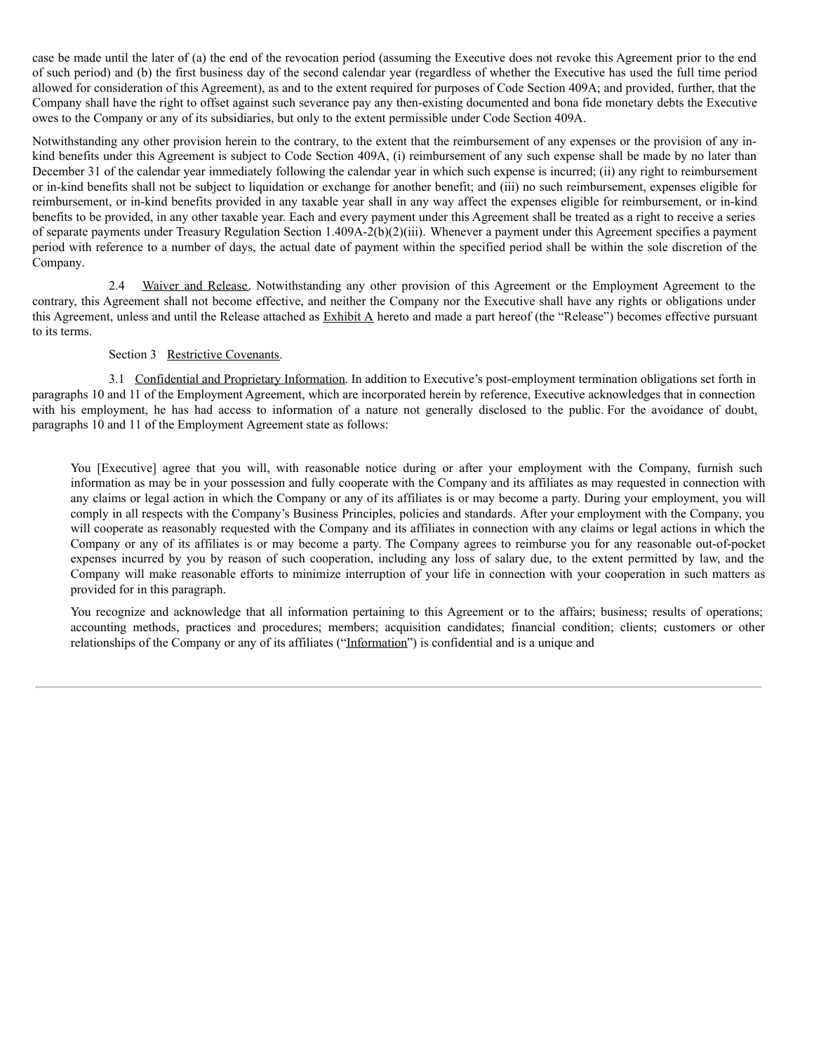case be made until the later of (a) the end of the revocation period (assuming the Executive does not revoke this Agreement prior to the end of such period) and (b) the first business day of the second calendar year (regardless of whether the Executive has used the full time period allowed for consideration of this Agreement), as and to the extent required for purposes of Code Section 409A; and provided, further, that the Company shall have the right to offset against such severance pay any then-existing documented and bona fide monetary debts the Executive owes to the Company or any of its subsidiaries, but only to the extent permissible under Code Section 409A.

Notwithstanding any other provision herein to the contrary, to the extent that the reimbursement of any expenses or the provision of any inkind benefits under this Agreement is subject to Code Section 409A, (i) reimbursement of any such expense shall be made by no later than December 31 of the calendar year immediately following the calendar year in which such expense is incurred; (ii) any right to reimbursement or in-kind benefits shall not be subject to liquidation or exchange for another benefit; and (iii) no such reimbursement, expenses eligible for reimbursement, or in-kind benefits provided in any taxable year shall in any way affect the expenses eligible for reimbursement, or in-kind benefits to be provided, in any other taxable year. Each and every payment under this Agreement shall be treated as a right to receive a series of separate payments under Treasury Regulation Section 1.409A-2(b)(2)(iii). Whenever a payment under this Agreement specifies a payment period with reference to a number of days, the actual date of payment within the specified period shall be within the sole discretion of the Company.

2.4 Waiver and Release. Notwithstanding any other provision of this Agreement or the Employment Agreement to the contrary, this Agreement shall not become effective, and neither the Company nor the Executive shall have any rights or obligations under this Agreement, unless and until the Release attached as Exhibit A hereto and made a part hereof (the "Release") becomes effective pursuant to its terms.

# Section 3 Restrictive Covenants.

3.1 Confidential and Proprietary Information. In addition to Executive's post-employment termination obligations set forth in paragraphs 10 and 11 of the Employment Agreement, which are incorporated herein by reference, Executive acknowledges that in connection with his employment, he has had access to information of a nature not generally disclosed to the public. For the avoidance of doubt, paragraphs 10 and 11 of the Employment Agreement state as follows:

You [Executive] agree that you will, with reasonable notice during or after your employment with the Company, furnish such information as may be in your possession and fully cooperate with the Company and its affiliates as may requested in connection with any claims or legal action in which the Company or any of its affiliates is or may become a party. During your employment, you will comply in all respects with the Company's Business Principles, policies and standards. After your employment with the Company, you will cooperate as reasonably requested with the Company and its affiliates in connection with any claims or legal actions in which the Company or any of its affiliates is or may become a party. The Company agrees to reimburse you for any reasonable out-of-pocket expenses incurred by you by reason of such cooperation, including any loss of salary due, to the extent permitted by law, and the Company will make reasonable efforts to minimize interruption of your life in connection with your cooperation in such matters as provided for in this paragraph.

You recognize and acknowledge that all information pertaining to this Agreement or to the affairs; business; results of operations; accounting methods, practices and procedures; members; acquisition candidates; financial condition; clients; customers or other relationships of the Company or any of its affiliates ("Information") is confidential and is a unique and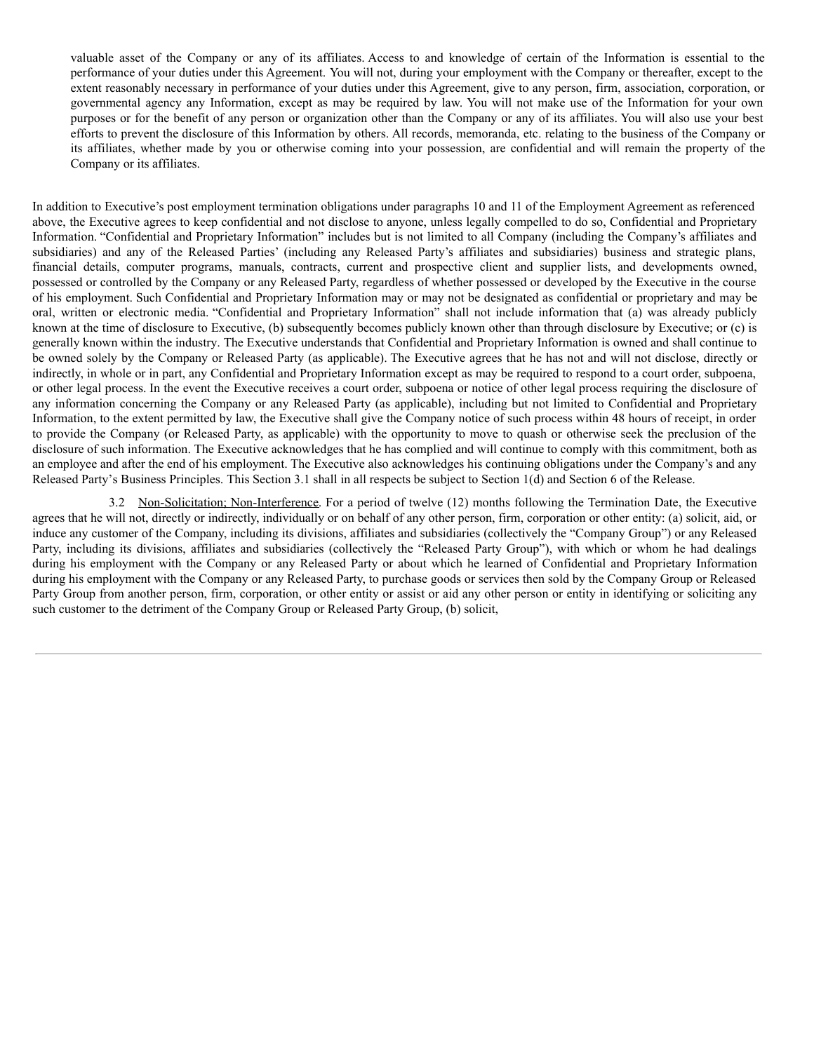valuable asset of the Company or any of its affiliates. Access to and knowledge of certain of the Information is essential to the performance of your duties under this Agreement. You will not, during your employment with the Company or thereafter, except to the extent reasonably necessary in performance of your duties under this Agreement, give to any person, firm, association, corporation, or governmental agency any Information, except as may be required by law. You will not make use of the Information for your own purposes or for the benefit of any person or organization other than the Company or any of its affiliates. You will also use your best efforts to prevent the disclosure of this Information by others. All records, memoranda, etc. relating to the business of the Company or its affiliates, whether made by you or otherwise coming into your possession, are confidential and will remain the property of the Company or its affiliates.

In addition to Executive's post employment termination obligations under paragraphs 10 and 11 of the Employment Agreement as referenced above, the Executive agrees to keep confidential and not disclose to anyone, unless legally compelled to do so, Confidential and Proprietary Information. "Confidential and Proprietary Information" includes but is not limited to all Company (including the Company's affiliates and subsidiaries) and any of the Released Parties' (including any Released Party's affiliates and subsidiaries) business and strategic plans, financial details, computer programs, manuals, contracts, current and prospective client and supplier lists, and developments owned, possessed or controlled by the Company or any Released Party, regardless of whether possessed or developed by the Executive in the course of his employment. Such Confidential and Proprietary Information may or may not be designated as confidential or proprietary and may be oral, written or electronic media. "Confidential and Proprietary Information" shall not include information that (a) was already publicly known at the time of disclosure to Executive, (b) subsequently becomes publicly known other than through disclosure by Executive; or (c) is generally known within the industry. The Executive understands that Confidential and Proprietary Information is owned and shall continue to be owned solely by the Company or Released Party (as applicable). The Executive agrees that he has not and will not disclose, directly or indirectly, in whole or in part, any Confidential and Proprietary Information except as may be required to respond to a court order, subpoena, or other legal process. In the event the Executive receives a court order, subpoena or notice of other legal process requiring the disclosure of any information concerning the Company or any Released Party (as applicable), including but not limited to Confidential and Proprietary Information, to the extent permitted by law, the Executive shall give the Company notice of such process within 48 hours of receipt, in order to provide the Company (or Released Party, as applicable) with the opportunity to move to quash or otherwise seek the preclusion of the disclosure of such information. The Executive acknowledges that he has complied and will continue to comply with this commitment, both as an employee and after the end of his employment. The Executive also acknowledges his continuing obligations under the Company's and any Released Party's Business Principles. This Section 3.1 shall in all respects be subject to Section 1(d) and Section 6 of the Release.

3.2 Non-Solicitation; Non-Interference. For a period of twelve (12) months following the Termination Date, the Executive agrees that he will not, directly or indirectly, individually or on behalf of any other person, firm, corporation or other entity: (a) solicit, aid, or induce any customer of the Company, including its divisions, affiliates and subsidiaries (collectively the "Company Group") or any Released Party, including its divisions, affiliates and subsidiaries (collectively the "Released Party Group"), with which or whom he had dealings during his employment with the Company or any Released Party or about which he learned of Confidential and Proprietary Information during his employment with the Company or any Released Party, to purchase goods or services then sold by the Company Group or Released Party Group from another person, firm, corporation, or other entity or assist or aid any other person or entity in identifying or soliciting any such customer to the detriment of the Company Group or Released Party Group, (b) solicit,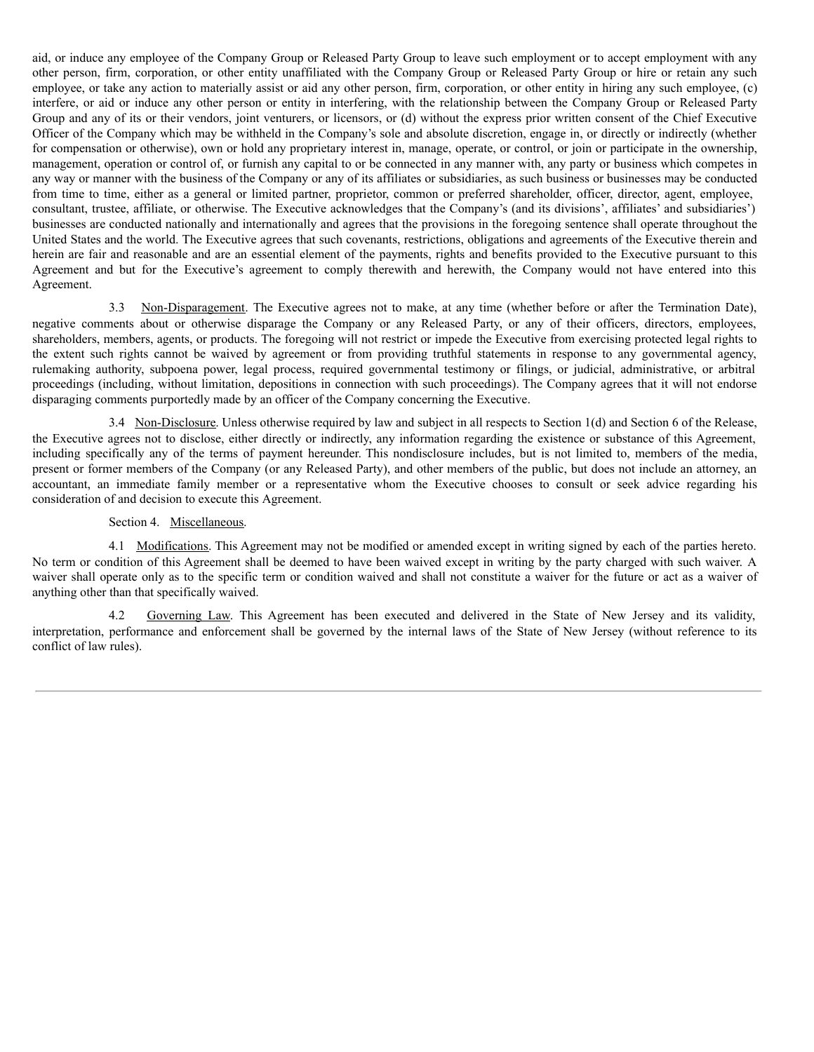aid, or induce any employee of the Company Group or Released Party Group to leave such employment or to accept employment with any other person, firm, corporation, or other entity unaffiliated with the Company Group or Released Party Group or hire or retain any such employee, or take any action to materially assist or aid any other person, firm, corporation, or other entity in hiring any such employee, (c) interfere, or aid or induce any other person or entity in interfering, with the relationship between the Company Group or Released Party Group and any of its or their vendors, joint venturers, or licensors, or (d) without the express prior written consent of the Chief Executive Officer of the Company which may be withheld in the Company's sole and absolute discretion, engage in, or directly or indirectly (whether for compensation or otherwise), own or hold any proprietary interest in, manage, operate, or control, or join or participate in the ownership, management, operation or control of, or furnish any capital to or be connected in any manner with, any party or business which competes in any way or manner with the business of the Company or any of its affiliates or subsidiaries, as such business or businesses may be conducted from time to time, either as a general or limited partner, proprietor, common or preferred shareholder, officer, director, agent, employee, consultant, trustee, affiliate, or otherwise. The Executive acknowledges that the Company's (and its divisions', affiliates' and subsidiaries') businesses are conducted nationally and internationally and agrees that the provisions in the foregoing sentence shall operate throughout the United States and the world. The Executive agrees that such covenants, restrictions, obligations and agreements of the Executive therein and herein are fair and reasonable and are an essential element of the payments, rights and benefits provided to the Executive pursuant to this Agreement and but for the Executive's agreement to comply therewith and herewith, the Company would not have entered into this Agreement.

3.3 Non-Disparagement. The Executive agrees not to make, at any time (whether before or after the Termination Date), negative comments about or otherwise disparage the Company or any Released Party, or any of their officers, directors, employees, shareholders, members, agents, or products. The foregoing will not restrict or impede the Executive from exercising protected legal rights to the extent such rights cannot be waived by agreement or from providing truthful statements in response to any governmental agency, rulemaking authority, subpoena power, legal process, required governmental testimony or filings, or judicial, administrative, or arbitral proceedings (including, without limitation, depositions in connection with such proceedings). The Company agrees that it will not endorse disparaging comments purportedly made by an officer of the Company concerning the Executive.

3.4 Non-Disclosure. Unless otherwise required by law and subject in all respects to Section 1(d) and Section 6 of the Release, the Executive agrees not to disclose, either directly or indirectly, any information regarding the existence or substance of this Agreement, including specifically any of the terms of payment hereunder. This nondisclosure includes, but is not limited to, members of the media, present or former members of the Company (or any Released Party), and other members of the public, but does not include an attorney, an accountant, an immediate family member or a representative whom the Executive chooses to consult or seek advice regarding his consideration of and decision to execute this Agreement.

# Section 4. Miscellaneous.

4.1 Modifications. This Agreement may not be modified or amended except in writing signed by each of the parties hereto. No term or condition of this Agreement shall be deemed to have been waived except in writing by the party charged with such waiver. A waiver shall operate only as to the specific term or condition waived and shall not constitute a waiver for the future or act as a waiver of anything other than that specifically waived.

4.2 Governing Law. This Agreement has been executed and delivered in the State of New Jersey and its validity, interpretation, performance and enforcement shall be governed by the internal laws of the State of New Jersey (without reference to its conflict of law rules).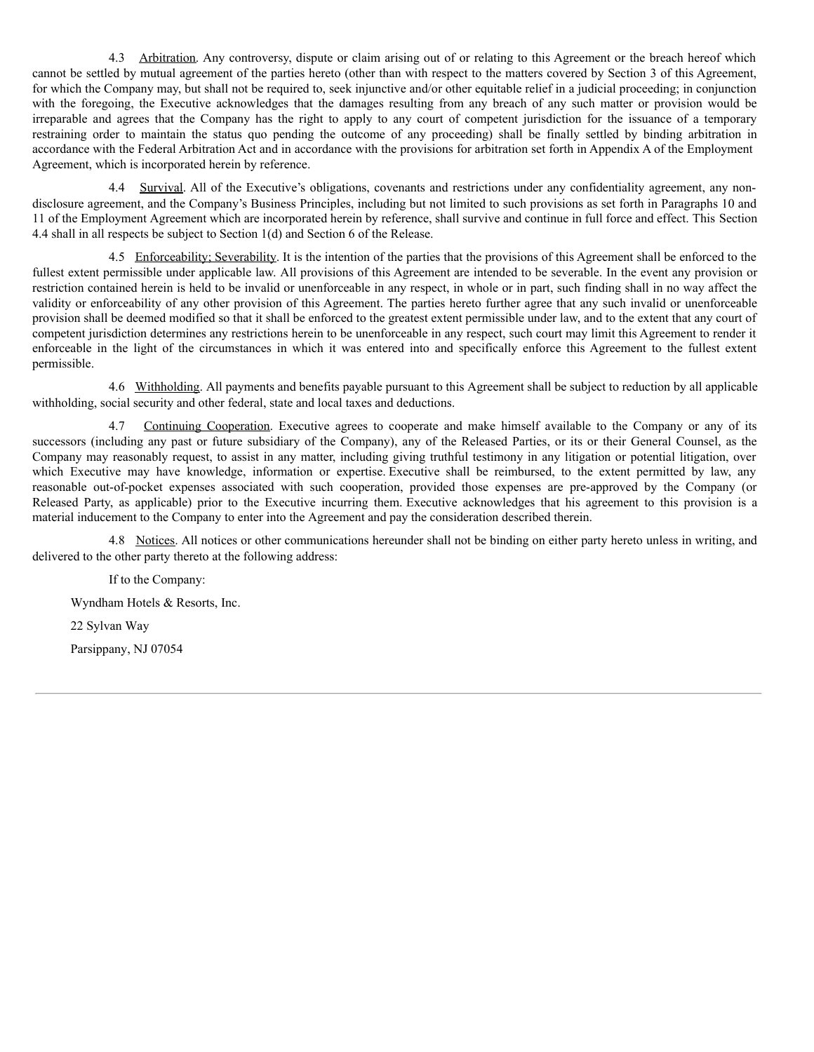4.3 Arbitration. Any controversy, dispute or claim arising out of or relating to this Agreement or the breach hereof which cannot be settled by mutual agreement of the parties hereto (other than with respect to the matters covered by Section 3 of this Agreement, for which the Company may, but shall not be required to, seek injunctive and/or other equitable relief in a judicial proceeding; in conjunction with the foregoing, the Executive acknowledges that the damages resulting from any breach of any such matter or provision would be irreparable and agrees that the Company has the right to apply to any court of competent jurisdiction for the issuance of a temporary restraining order to maintain the status quo pending the outcome of any proceeding) shall be finally settled by binding arbitration in accordance with the Federal Arbitration Act and in accordance with the provisions for arbitration set forth in Appendix A of the Employment Agreement, which is incorporated herein by reference.

4.4 Survival. All of the Executive's obligations, covenants and restrictions under any confidentiality agreement, any nondisclosure agreement, and the Company's Business Principles, including but not limited to such provisions as set forth in Paragraphs 10 and 11 of the Employment Agreement which are incorporated herein by reference, shall survive and continue in full force and effect. This Section 4.4 shall in all respects be subject to Section 1(d) and Section 6 of the Release.

4.5 Enforceability; Severability. It is the intention of the parties that the provisions of this Agreement shall be enforced to the fullest extent permissible under applicable law. All provisions of this Agreement are intended to be severable. In the event any provision or restriction contained herein is held to be invalid or unenforceable in any respect, in whole or in part, such finding shall in no way affect the validity or enforceability of any other provision of this Agreement. The parties hereto further agree that any such invalid or unenforceable provision shall be deemed modified so that it shall be enforced to the greatest extent permissible under law, and to the extent that any court of competent jurisdiction determines any restrictions herein to be unenforceable in any respect, such court may limit this Agreement to render it enforceable in the light of the circumstances in which it was entered into and specifically enforce this Agreement to the fullest extent permissible.

4.6 Withholding. All payments and benefits payable pursuant to this Agreement shall be subject to reduction by all applicable withholding, social security and other federal, state and local taxes and deductions.

4.7 Continuing Cooperation. Executive agrees to cooperate and make himself available to the Company or any of its successors (including any past or future subsidiary of the Company), any of the Released Parties, or its or their General Counsel, as the Company may reasonably request, to assist in any matter, including giving truthful testimony in any litigation or potential litigation, over which Executive may have knowledge, information or expertise. Executive shall be reimbursed, to the extent permitted by law, any reasonable out-of-pocket expenses associated with such cooperation, provided those expenses are pre-approved by the Company (or Released Party, as applicable) prior to the Executive incurring them. Executive acknowledges that his agreement to this provision is a material inducement to the Company to enter into the Agreement and pay the consideration described therein.

4.8 Notices. All notices or other communications hereunder shall not be binding on either party hereto unless in writing, and delivered to the other party thereto at the following address:

If to the Company:

Wyndham Hotels & Resorts, Inc.

22 Sylvan Way

Parsippany, NJ 07054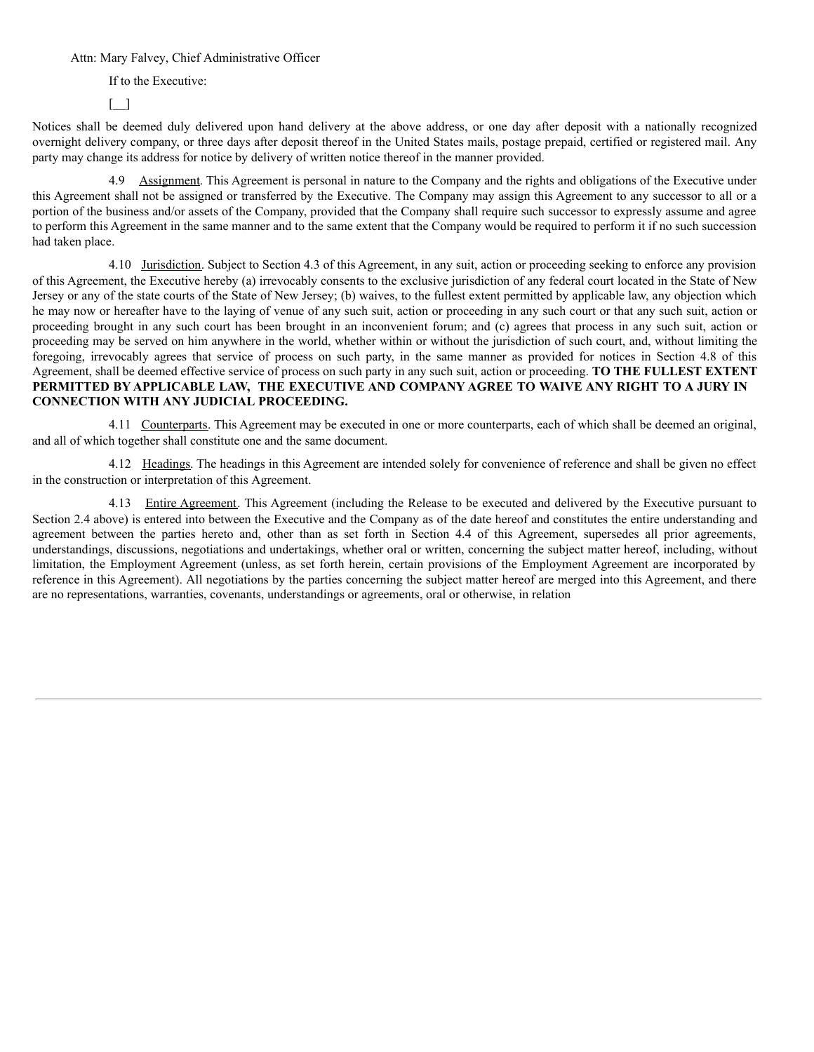<span id="page-50-0"></span>Attn: Mary Falvey, Chief Administrative Officer

If to the Executive:

 $\lceil \; \; \rceil$ 

Notices shall be deemed duly delivered upon hand delivery at the above address, or one day after deposit with a nationally recognized overnight delivery company, or three days after deposit thereof in the United States mails, postage prepaid, certified or registered mail. Any party may change its address for notice by delivery of written notice thereof in the manner provided.

4.9 Assignment. This Agreement is personal in nature to the Company and the rights and obligations of the Executive under this Agreement shall not be assigned or transferred by the Executive. The Company may assign this Agreement to any successor to all or a portion of the business and/or assets of the Company, provided that the Company shall require such successor to expressly assume and agree to perform this Agreement in the same manner and to the same extent that the Company would be required to perform it if no such succession had taken place.

4.10 Jurisdiction. Subject to Section 4.3 of this Agreement, in any suit, action or proceeding seeking to enforce any provision of this Agreement, the Executive hereby (a) irrevocably consents to the exclusive jurisdiction of any federal court located in the State of New Jersey or any of the state courts of the State of New Jersey; (b) waives, to the fullest extent permitted by applicable law, any objection which he may now or hereafter have to the laying of venue of any such suit, action or proceeding in any such court or that any such suit, action or proceeding brought in any such court has been brought in an inconvenient forum; and (c) agrees that process in any such suit, action or proceeding may be served on him anywhere in the world, whether within or without the jurisdiction of such court, and, without limiting the foregoing, irrevocably agrees that service of process on such party, in the same manner as provided for notices in Section 4.8 of this Agreement, shall be deemed effective service of process on such party in any such suit, action or proceeding. **TO THE FULLEST EXTENT PERMITTED BY APPLICABLE LAW, THE EXECUTIVE AND COMPANY AGREE TO WAIVE ANY RIGHT TO A JURY IN CONNECTION WITH ANY JUDICIAL PROCEEDING.**

4.11 Counterparts. This Agreement may be executed in one or more counterparts, each of which shall be deemed an original, and all of which together shall constitute one and the same document.

4.12 Headings. The headings in this Agreement are intended solely for convenience of reference and shall be given no effect in the construction or interpretation of this Agreement.

4.13 Entire Agreement. This Agreement (including the Release to be executed and delivered by the Executive pursuant to Section 2.4 above) is entered into between the Executive and the Company as of the date hereof and constitutes the entire understanding and agreement between the parties hereto and, other than as set forth in Section 4.4 of this Agreement, supersedes all prior agreements, understandings, discussions, negotiations and undertakings, whether oral or written, concerning the subject matter hereof, including, without limitation, the Employment Agreement (unless, as set forth herein, certain provisions of the Employment Agreement are incorporated by reference in this Agreement). All negotiations by the parties concerning the subject matter hereof are merged into this Agreement, and there are no representations, warranties, covenants, understandings or agreements, oral or otherwise, in relation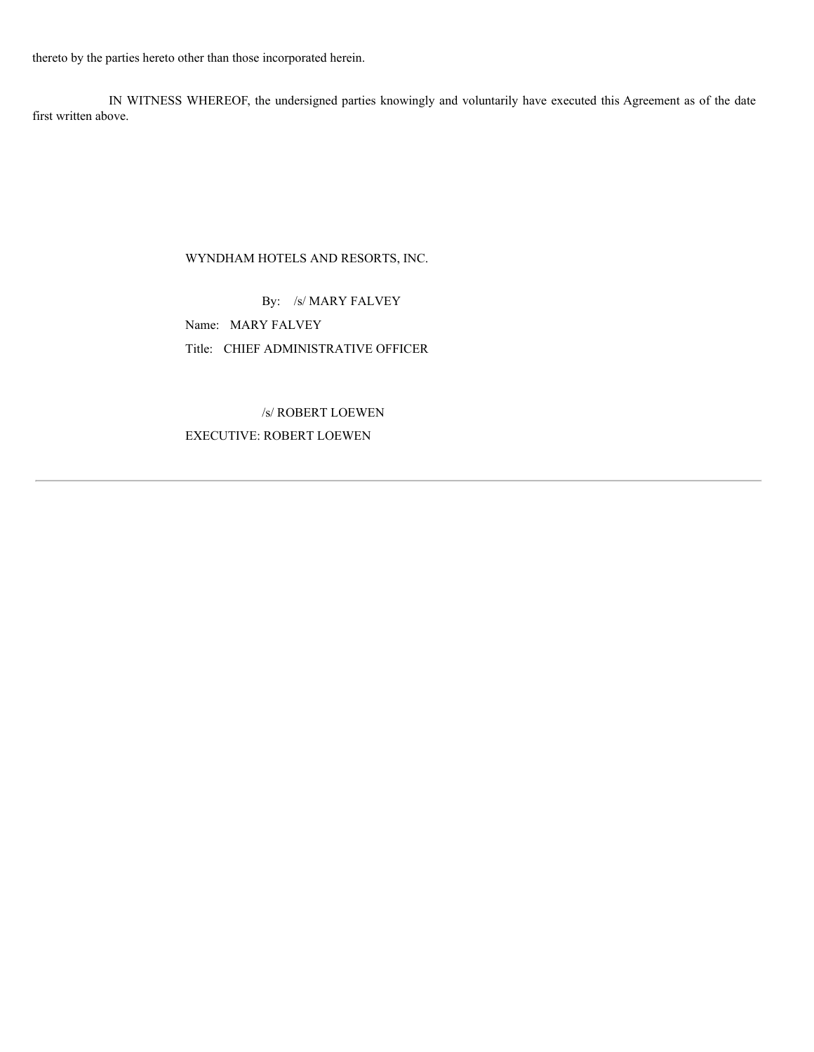thereto by the parties hereto other than those incorporated herein.

IN WITNESS WHEREOF, the undersigned parties knowingly and voluntarily have executed this Agreement as of the date first written above.

# WYNDHAM HOTELS AND RESORTS, INC.

By: /s/ MARY FALVEY Name: MARY FALVEY Title: CHIEF ADMINISTRATIVE OFFICER

# /s/ ROBERT LOEWEN EXECUTIVE: ROBERT LOEWEN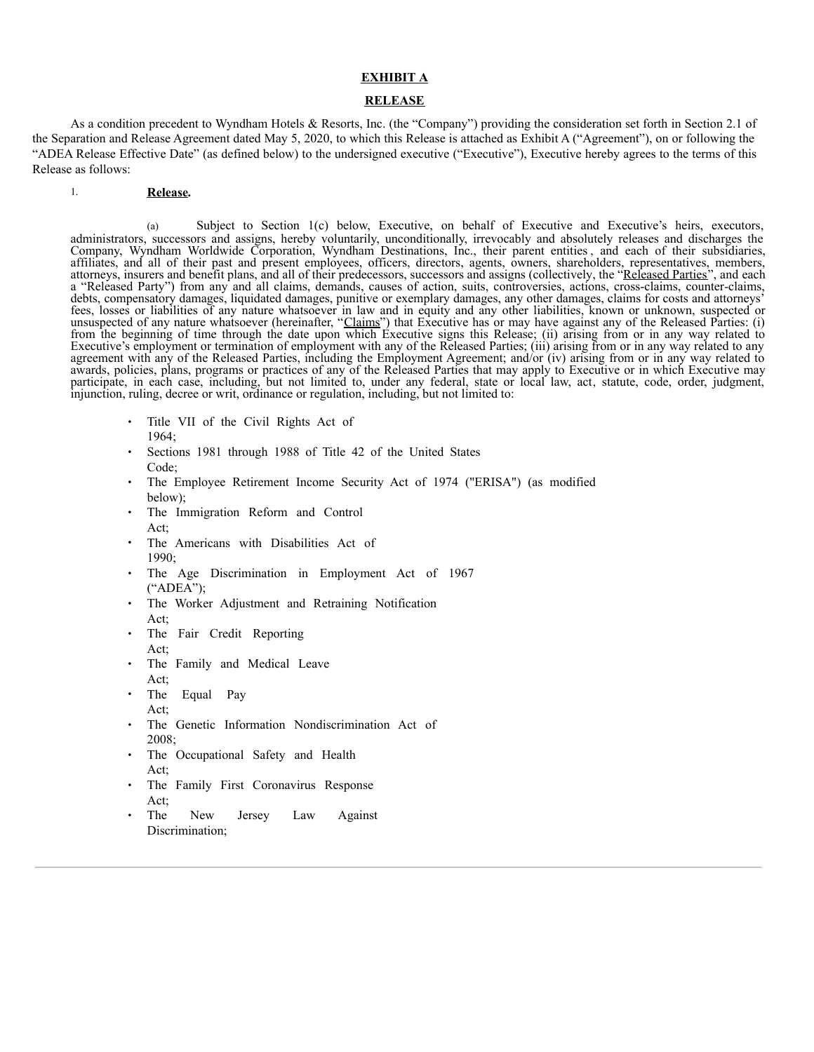# **EXHIBIT A**

# **RELEASE**

As a condition precedent to Wyndham Hotels & Resorts, Inc. (the "Company") providing the consideration set forth in Section 2.1 of the Separation and Release Agreement dated May 5, 2020, to which this Release is attached as Exhibit A ("Agreement"), on or following the "ADEA Release Effective Date" (as defined below) to the undersigned executive ("Executive"), Executive hereby agrees to the terms of this Release as follows:

# 1. **Release.**

(a) Subject to Section 1(c) below, Executive, on behalf of Executive and Executive's heirs, executors, administrators, successors and assigns, hereby voluntarily, unconditionally, irrevocably and absolutely releases and discharges the Company, Wyndham Worldwide Corporation, Wyndham Destinations, Inc., their parent entities , and each of their subsidiaries, affiliates, and all of their past and present employees, officers, directors, agents, owners, shareholders, representatives, members, attorneys, insurers and benefit plans, and all of their predecessors, successors and assigns (collectively, the "Released Parties", and each a "Released Party") from any and all claims, demands, causes of action, suits, controversies, actions, cross-claims, counter‑claims, debts, compensatory damages, liquidated damages, punitive or exemplary damages, any other damages, claims for costs and attorneys' fees, losses or liabilities of any nature whatsoever in law and in equity and any other liabilities, known or unknown, suspected or unsuspected of any nature whatsoever (hereinafter, "Claims") that Executive has or may have against any of the Released Parties: (i) from the beginning of time through the date upon which Executive signs this Release; (ii) arising from or in any way related to Executive's employment or termination of employment with any of the Released Parties; (iii) arising from or in any way related to any agreement with any of the Released Parties, including the Employment Agreement; and/or (iv) arising from or in any way related to awards, policies, plans, programs or practices of any of the Released Parties that may apply to Executive or in which Executive may participate, in each case, including, but not limited to, under any federal, state or local law, act, statute, code, order, judgment, injunction, ruling, decree or writ, ordinance or regulation, including, but not limited to:

- Title VII of the Civil Rights Act of 1964;
- Sections 1981 through 1988 of Title 42 of the United States Code;
- The Employee Retirement Income Security Act of 1974 ("ERISA") (as modified below);
- The Immigration Reform and Control Act;
- The Americans with Disabilities Act of 1990;
- The Age Discrimination in Employment Act of 1967 ("ADEA");
- The Worker Adjustment and Retraining Notification Act;
- The Fair Credit Reporting Act;
- The Family and Medical Leave Act;
- The Equal Pay Act;
- The Genetic Information Nondiscrimination Act of 2008;
- The Occupational Safety and Health Act;
- The Family First Coronavirus Response Act;
- The New Jersey Law Against Discrimination;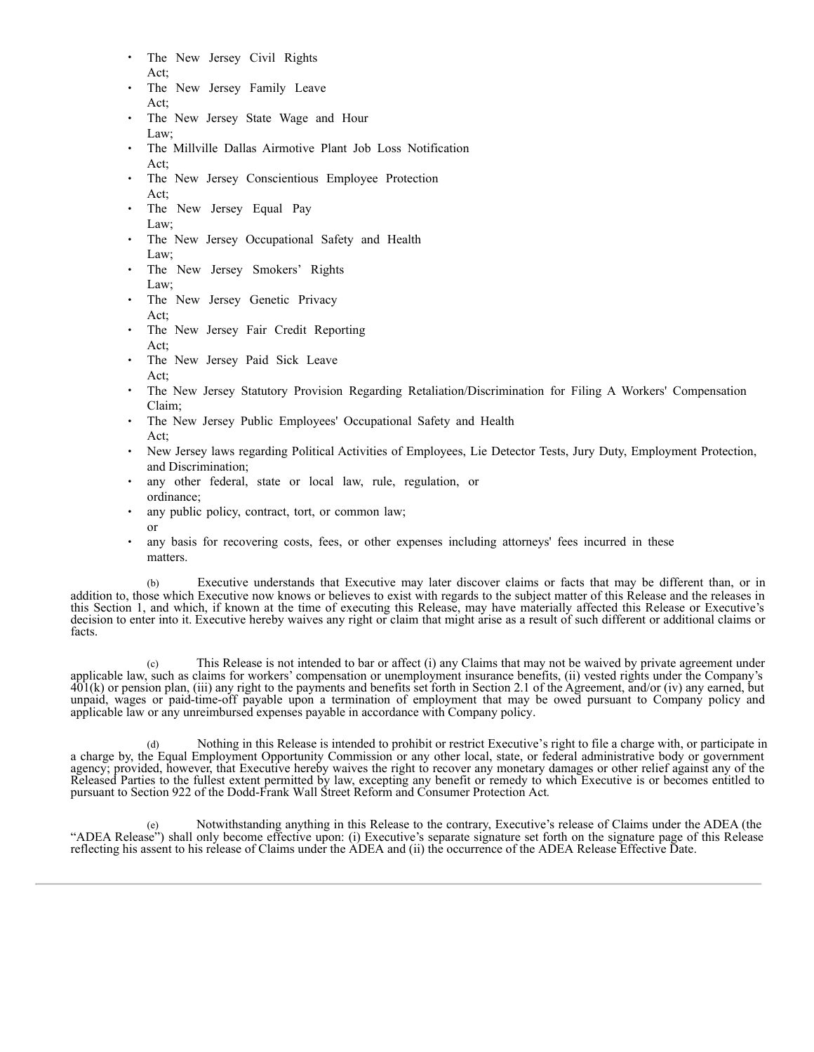- The New Jersey Civil Rights Act;
- The New Jersey Family Leave Act;
- The New Jersey State Wage and Hour Law;
- The Millville Dallas Airmotive Plant Job Loss Notification Act;
- The New Jersey Conscientious Employee Protection Act;
- The New Jersey Equal Pay Law;
- The New Jersey Occupational Safety and Health Law;
- The New Jersey Smokers' Rights Law;
- The New Jersey Genetic Privacy Act;
- The New Jersey Fair Credit Reporting Act;
- The New Jersey Paid Sick Leave Act;
- The New Jersey Statutory Provision Regarding Retaliation/Discrimination for Filing A Workers' Compensation Claim;
- The New Jersey Public Employees' Occupational Safety and Health Act;
- New Jersey laws regarding Political Activities of Employees, Lie Detector Tests, Jury Duty, Employment Protection, and Discrimination;
- any other federal, state or local law, rule, regulation, or ordinance;
- any public policy, contract, tort, or common law; or
- any basis for recovering costs, fees, or other expenses including attorneys' fees incurred in these matters.

Executive understands that Executive may later discover claims or facts that may be different than, or in addition to, those which Executive now knows or believes to exist with regards to the subject matter of this Release and the releases in this Section 1, and which, if known at the time of executing this Release, may have materially affected this Release or Executive's decision to enter into it. Executive hereby waives any right or claim that might arise as a result of such different or additional claims or facts.

(c) This Release is not intended to bar or affect (i) any Claims that may not be waived by private agreement under applicable law, such as claims for workers' compensation or unemployment insurance benefits, (ii) vested rights under the Company's 401(k) or pension plan, (iii) any right to the payments and benefits set forth in Section 2.1 of the Agreement, and/or (iv) any earned, but unpaid, wages or paid-time-off payable upon a termination of employment that may be owed pursuant to Company policy and applicable law or any unreimbursed expenses payable in accordance with Company policy.

(d) Nothing in this Release is intended to prohibit or restrict Executive's right to file a charge with, or participate in a charge by, the Equal Employment Opportunity Commission or any other local, state, or federal administrative body or government agency; provided, however, that Executive hereby waives the right to recover any monetary damages or other relief against any of the Released Parties to the fullest extent permitted by law, excepting any benefit or remedy to which Executive is or becomes entitled to pursuant to Section 922 of the Dodd-Frank Wall Street Reform and Consumer Protection Act.

(e) Notwithstanding anything in this Release to the contrary, Executive's release of Claims under the ADEA (the "ADEA Release") shall only become effective upon: (i) Executive's separate signature set forth on the signature page of this Release reflecting his assent to his release of Claims under the ADEA and (ii) the occurrence of the ADEA Release Effective Date.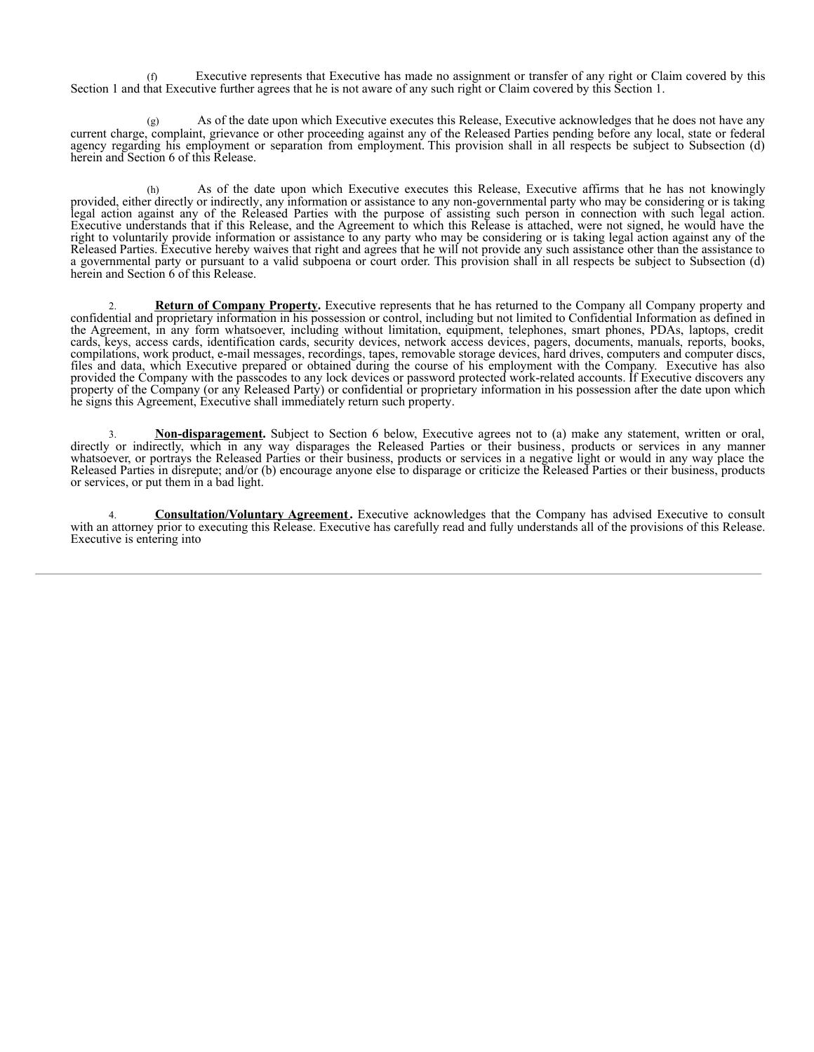(f) Executive represents that Executive has made no assignment or transfer of any right or Claim covered by this Section 1 and that Executive further agrees that he is not aware of any such right or Claim covered by this Section 1.

(g) As of the date upon which Executive executes this Release, Executive acknowledges that he does not have any current charge, complaint, grievance or other proceeding against any of the Released Parties pending before any local, state or federal agency regarding his employment or separation from employment. This provision shall in all respects be subject to Subsection (d) herein and Section 6 of this Release.

As of the date upon which Executive executes this Release, Executive affirms that he has not knowingly provided, either directly or indirectly, any information or assistance to any non-governmental party who may be considering or is taking legal action against any of the Released Parties with the purpose of assisting such person in connection with such legal action. Executive understands that if this Release, and the Agreement to which this Release is attached, were not signed, he would have the right to voluntarily provide information or assistance to any party who may be considering or is taking legal action against any of the Released Parties. Executive hereby waives that right and agrees that he will not provide any such assistance other than the assistance to a governmental party or pursuant to a valid subpoena or court order. This provision shall in all respects be subject to Subsection (d) herein and Section 6 of this Release.

2. **Return of Company Property.** Executive represents that he has returned to the Company all Company property and confidential and proprietary information in his possession or control, including but not limited to Confidential Information as defined in the Agreement, in any form whatsoever, including without limitation, equipment, telephones, smart phones, PDAs, laptops, credit cards, keys, access cards, identification cards, security devices, network access devices, pagers, documents, manuals, reports, books, compilations, work product, e-mail messages, recordings, tapes, removable storage devices, hard drives, computers and computer discs, files and data, which Executive prepared or obtained during the course of his employment with the Company. Executive has also provided the Company with the passcodes to any lock devices or password protected work-related accounts. If Executive discovers any property of the Company (or any Released Party) or confidential or proprietary information in his possession after the date upon which he signs this Agreement, Executive shall immediately return such property.

3. **Non-disparagement.** Subject to Section 6 below, Executive agrees not to (a) make any statement, written or oral, directly or indirectly, which in any way disparages the Released Parties or their business, products or services in any manner whatsoever, or portrays the Released Parties or their business, products or services in a negative light or would in any way place the Released Parties in disrepute; and/or (b) encourage anyone else to disparage or criticize the Released Parties or their business, products or services, or put them in a bad light.

4. **Consultation/Voluntary Agreement.** Executive acknowledges that the Company has advised Executive to consult with an attorney prior to executing this Release. Executive has carefully read and fully understands all of the provisions of this Release. Executive is entering into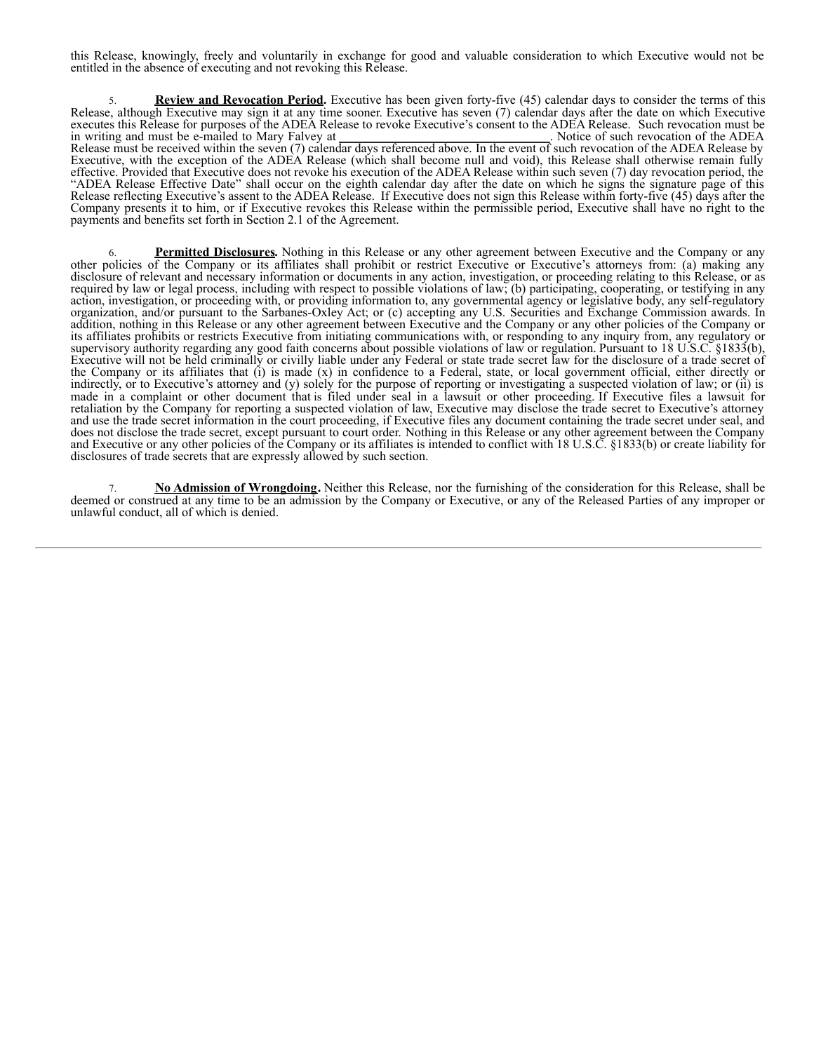this Release, knowingly, freely and voluntarily in exchange for good and valuable consideration to which Executive would not be entitled in the absence of executing and not revoking this Release.

5. **Review and Revocation Period.** Executive has been given forty-five (45) calendar days to consider the terms of this Release, although Executive may sign it at any time sooner. Executive has seven (7) calendar days after the date on which Executive executes this Release for purposes of the ADEA Release to revoke Executive's consent to the ADEA Release. Such revocation must be in writing and must be e-mailed to Mary Falvey at \_\_\_\_\_\_\_\_\_\_\_\_\_\_\_\_\_\_\_\_\_\_\_\_\_\_\_\_\_. Notice of such revocation of the ADEA Release must be received within the seven (7) calendar days referenced above. In the event of such revocation of the ADEA Release by Executive, with the exception of the ADEA Release (which shall become null and void), this Release shall otherwise remain fully effective. Provided that Executive does not revoke his execution of the ADEA Release within such seven (7) day revocation period, the "ADEA Release Effective Date" shall occur on the eighth calendar day after the date on which he signs the signature page of this Release reflecting Executive's assent to the ADEA Release. If Executive does not sign this Release within forty-five (45) days after the Company presents it to him, or if Executive revokes this Release within the permissible period, Executive shall have no right to the payments and benefits set forth in Section 2.1 of the Agreement.

**Permitted Disclosures.** Nothing in this Release or any other agreement between Executive and the Company or any other policies of the Company or its affiliates shall prohibit or restrict Executive or Executive's attorneys from: (a) making any disclosure of relevant and necessary information or documents in any action, investigation, or proceeding relating to this Release, or as required by law or legal process, including with respect to possible violations of law; (b) participating, cooperating, or testifying in any action, investigation, or proceeding with, or providing information to, any governmental agency or legislative body, any self-regulatory organization, and/or pursuant to the Sarbanes-Oxley Act; or (c) accepting any U.S. Securities and Exchange Commission awards. In addition, nothing in this Release or any other agreement between Executive and the Company or any other policies of the Company or its affiliates prohibits or restricts Executive from initiating communications with, or responding to any inquiry from, any regulatory or supervisory authority regarding any good faith concerns about possible violations of law or regulation. Pursuant to 18 U.S.C. §1833(b), Executive will not be held criminally or civilly liable under any Federal or state trade secret law for the disclosure of a trade secret of the Company or its affiliates that (i) is made (x) in confidence to a Federal, state, or local government official, either directly or indirectly, or to Executive's attorney and (y) solely for the purpose of reporting or investigating a suspected violation of law; or (ii) is made in a complaint or other document that is filed under seal in a lawsuit or ot made in a complaint or other document that is filed under seal in a lawsuit or other proceeding. If Executive files a lawsuit for retaliation by the Company for reporting a suspected violation of law, Executive may disclos and use the trade secret information in the court proceeding, if Executive files any document containing the trade secret under seal, and does not disclose the trade secret, except pursuant to court order. Nothing in this Release or any other agreement between the Company and Executive or any other policies of the Company or its affiliates is intended to conflict with 18 U.S.C. §1833(b) or create liability for disclosures of trade secrets that are expressly allowed by such section.

7. **No Admission of Wrongdoing.** Neither this Release, nor the furnishing of the consideration for this Release, shall be deemed or construed at any time to be an admission by the Company or Executive, or any of the Released Parties of any improper or unlawful conduct, all of which is denied.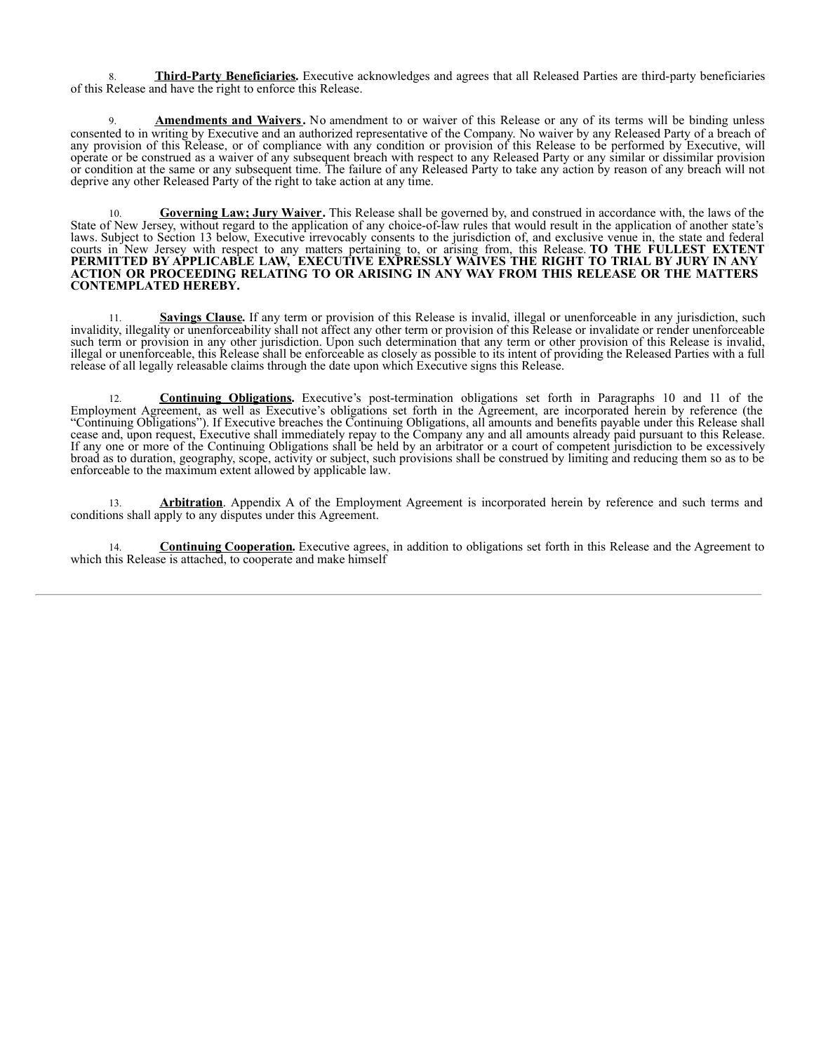8. **Third-Party Beneficiaries.** Executive acknowledges and agrees that all Released Parties are third-party beneficiaries of this Release and have the right to enforce this Release.

9. **Amendments and Waivers.** No amendment to or waiver of this Release or any of its terms will be binding unless consented to in writing by Executive and an authorized representative of the Company. No waiver by any Released Party of a breach of any provision of this Release, or of compliance with any condition or provision of this Release to be performed by Executive, will operate or be construed as a waiver of any subsequent breach with respect to any Released Party or any similar or dissimilar provision or condition at the same or any subsequent time. The failure of any Released Party to take any action by reason of any breach will not deprive any other Released Party of the right to take action at any time.

10. **Governing Law; Jury Waiver.** This Release shall be governed by, and construed in accordance with, the laws of the State of New Jersey, without regard to the application of any choice-of-law rules that would result in the application of another state's laws. Subject to Section 13 below, Executive irrevocably consents to the jurisdiction of, and exclusive venue in, the state and federal courts in New Jersey with respect to any matters pertaining to, or arising from, this Release. **TO THE FULLEST EXTENT PERMITTED BY APPLICABLE LAW, EXECUTIVE EXPRESSLY WAIVES THE RIGHT TO TRIAL BY JURY IN ANY ACTION OR PROCEEDING RELATING TO OR ARISING IN ANY WAY FROM THIS RELEASE OR THE MATTERS CONTEMPLATED HEREBY.**

11. **Savings Clause.** If any term or provision of this Release is invalid, illegal or unenforceable in any jurisdiction, such invalidity, illegality or unenforceability shall not affect any other term or provision of this Release or invalidate or render unenforceable such term or provision in any other jurisdiction. Upon such determination that any term or other provision of this Release is invalid, illegal or unenforceable, this Release shall be enforceable as closely as possible to its intent of providing the Released Parties with a full release of all legally releasable claims through the date upon which Executive signs this Release.

12. **Continuing Obligations.** Executive's post-termination obligations set forth in Paragraphs 10 and 11 of the Employment Agreement, as well as Executive's obligations set forth in the Agreement, are incorporated herein by reference (the "Continuing Obligations"). If Executive breaches the Continuing Obligations, all amounts and benefits payable under this Release shall cease and, upon request, Executive shall immediately repay to the Company any and all amounts already paid pursuant to this Release. If any one or more of the Continuing Obligations shall be held by an arbitrator or a court of competent jurisdiction to be excessively broad as to duration, geography, scope, activity or subject, such provisions shall be construed by limiting and reducing them so as to be enforceable to the maximum extent allowed by applicable law.

13. **Arbitration**. Appendix A of the Employment Agreement is incorporated herein by reference and such terms and conditions shall apply to any disputes under this Agreement.

14. **Continuing Cooperation.** Executive agrees, in addition to obligations set forth in this Release and the Agreement to which this Release is attached, to cooperate and make himself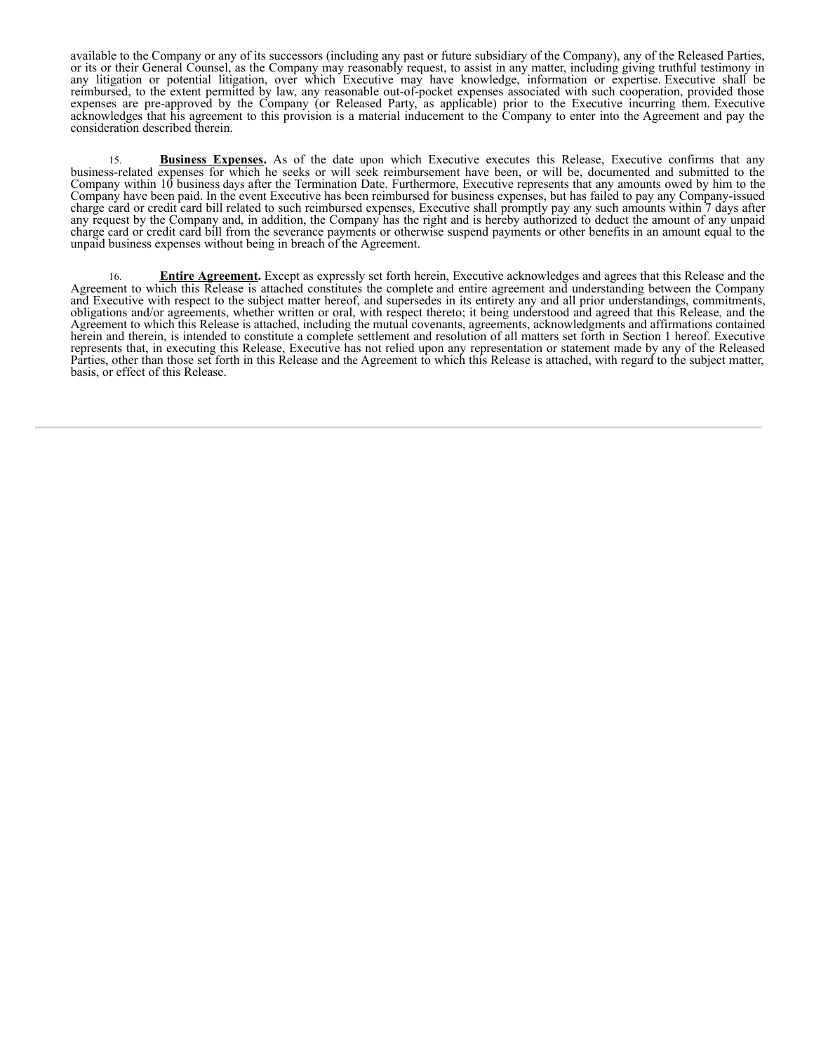available to the Company or any of its successors (including any past or future subsidiary of the Company), any of the Released Parties, or its or their General Counsel, as the Company may reasonably request, to assist in any matter, including giving truthful testimony in any litigation or potential litigation, over which Executive may have knowledge, information or expertise. Executive shall be reimbursed, to the extent permitted by law, any reasonable out-of-pocket expenses associated with such cooperation, provided those expenses are pre-approved by the Company (or Released Party, as applicable) prior to the Executive incurring them. Executive acknowledges that his agreement to this provision is a material inducement to the Company to enter into the Agreement and pay the consideration described therein.

15. **Business Expenses.** As of the date upon which Executive executes this Release, Executive confirms that any business-related expenses for which he seeks or will seek reimbursement have been, or will be, documented and submitted to the Company within 10 business days after the Termination Date. Furthermore, Executive represents that any amounts owed by him to the Company have been paid. In the event Executive has been reimbursed for business expenses, but has failed to pay any Company-issued charge card or credit card bill related to such reimbursed expenses, Executive shall promptly pay any such amounts within 7 days after any request by the Company and, in addition, the Company has the right and is hereby authorized to deduct the amount of any unpaid charge card or credit card bill from the severance payments or otherwise suspend payments or other benefits in an amount equal to the unpaid business expenses without being in breach of the Agreement.

16. **Entire Agreement.** Except as expressly set forth herein, Executive acknowledges and agrees that this Release and the Agreement to which this Release is attached constitutes the complete and entire agreement and understanding between the Company and Executive with respect to the subject matter hereof, and supersedes in its entirety any and all prior understandings, commitments, obligations and/or agreements, whether written or oral, with respect thereto; it being understood and agreed that this Release, and the Agreement to which this Release is attached, including the mutual covenants, agreements, acknowledgments and affirmations contained herein and therein, is intended to constitute a complete settlement and resolution of all matters set forth in Section 1 hereof. Executive represents that, in executing this Release, Executive has not relied upon any representation or statement made by any of the Released Parties, other than those set forth in this Release and the Agreement to which this Release is attached, with regard to the subject matter, basis, or effect of this Release.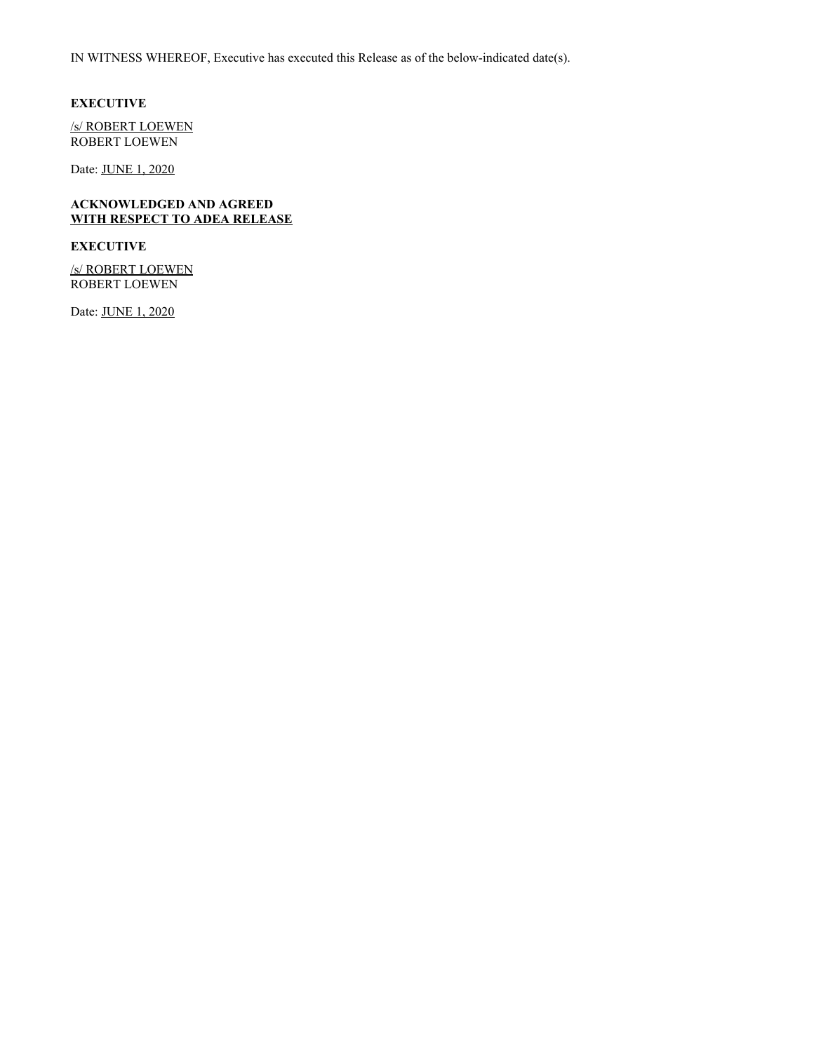IN WITNESS WHEREOF, Executive has executed this Release as of the below-indicated date(s).

# **EXECUTIVE**

/s/ ROBERT LOEWEN ROBERT LOEWEN

Date: JUNE 1, 2020

# **ACKNOWLEDGED AND AGREED WITH RESPECT TO ADEA RELEASE**

# **EXECUTIVE**

/s/ ROBERT LOEWEN ROBERT LOEWEN

Date: JUNE 1, 2020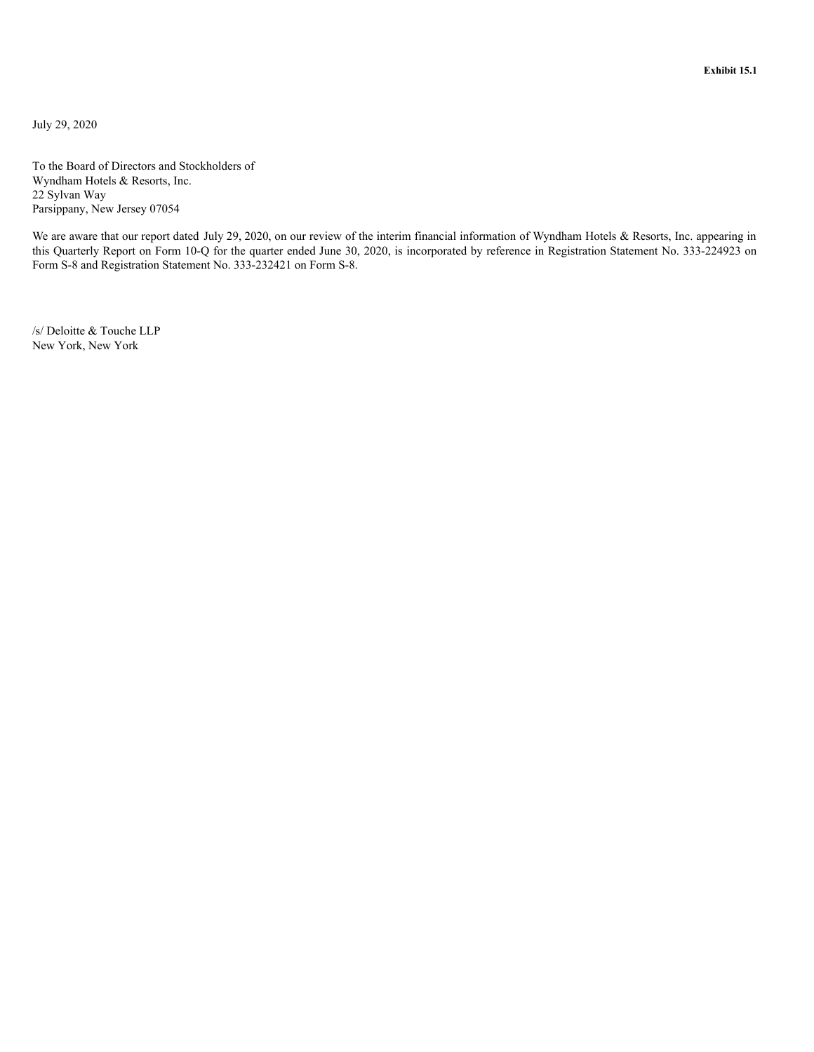**Exhibit 15.1**

<span id="page-59-0"></span>July 29, 2020

To the Board of Directors and Stockholders of Wyndham Hotels & Resorts, Inc. 22 Sylvan Way Parsippany, New Jersey 07054

We are aware that our report dated July 29, 2020, on our review of the interim financial information of Wyndham Hotels & Resorts, Inc. appearing in this Quarterly Report on Form 10-Q for the quarter ended June 30, 2020, is incorporated by reference in Registration Statement No. 333-224923 on Form S-8 and Registration Statement No. 333-232421 on Form S-8.

/s/ Deloitte & Touche LLP New York, New York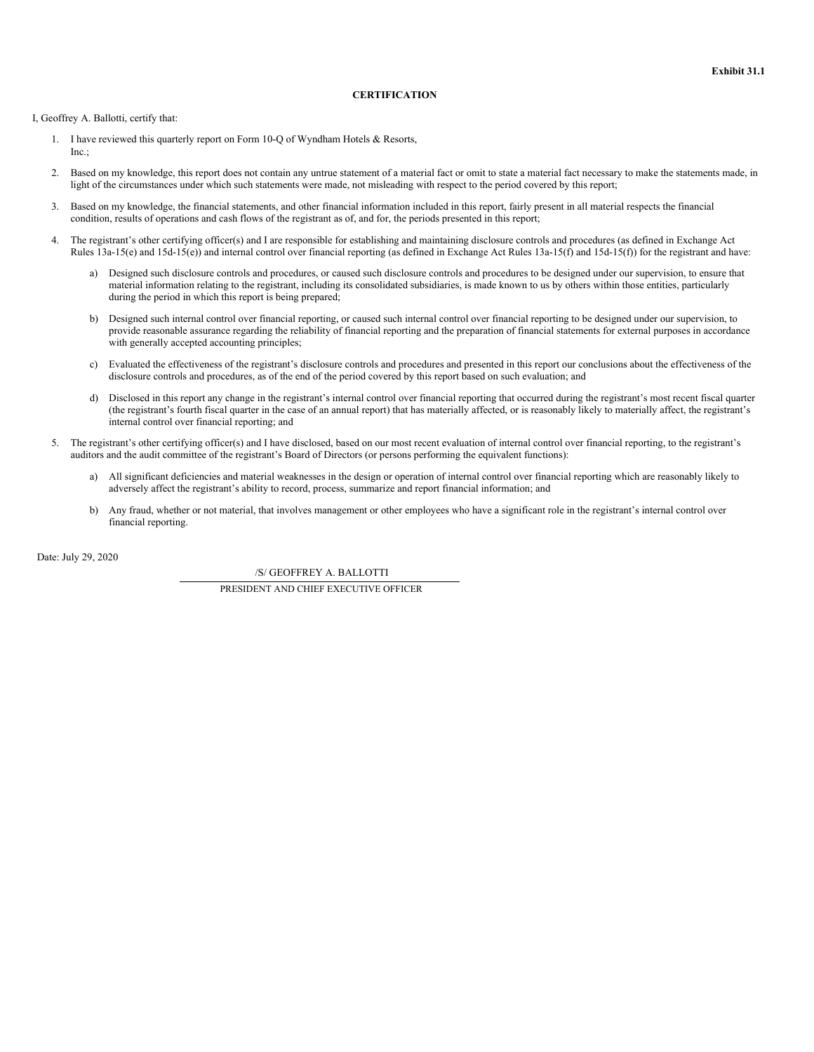# **CERTIFICATION**

<span id="page-60-0"></span>I, Geoffrey A. Ballotti, certify that:

- 1. I have reviewed this quarterly report on Form 10-Q of Wyndham Hotels & Resorts, Inc.;
- 2. Based on my knowledge, this report does not contain any untrue statement of a material fact or omit to state a material fact necessary to make the statements made, in light of the circumstances under which such statements were made, not misleading with respect to the period covered by this report;
- 3. Based on my knowledge, the financial statements, and other financial information included in this report, fairly present in all material respects the financial condition, results of operations and cash flows of the registrant as of, and for, the periods presented in this report;
- 4. The registrant's other certifying officer(s) and I are responsible for establishing and maintaining disclosure controls and procedures (as defined in Exchange Act Rules 13a-15(e) and 15d-15(e)) and internal control over financial reporting (as defined in Exchange Act Rules 13a-15(f) and 15d-15(f)) for the registrant and have:
	- a) Designed such disclosure controls and procedures, or caused such disclosure controls and procedures to be designed under our supervision, to ensure that material information relating to the registrant, including its consolidated subsidiaries, is made known to us by others within those entities, particularly during the period in which this report is being prepared;
	- b) Designed such internal control over financial reporting, or caused such internal control over financial reporting to be designed under our supervision, to provide reasonable assurance regarding the reliability of financial reporting and the preparation of financial statements for external purposes in accordance with generally accepted accounting principles;
	- c) Evaluated the effectiveness of the registrant's disclosure controls and procedures and presented in this report our conclusions about the effectiveness of the disclosure controls and procedures, as of the end of the period covered by this report based on such evaluation; and
	- d) Disclosed in this report any change in the registrant's internal control over financial reporting that occurred during the registrant's most recent fiscal quarter (the registrant's fourth fiscal quarter in the case of an annual report) that has materially affected, or is reasonably likely to materially affect, the registrant's internal control over financial reporting; and
- 5. The registrant's other certifying officer(s) and I have disclosed, based on our most recent evaluation of internal control over financial reporting, to the registrant's auditors and the audit committee of the registrant's Board of Directors (or persons performing the equivalent functions):
	- a) All significant deficiencies and material weaknesses in the design or operation of internal control over financial reporting which are reasonably likely to adversely affect the registrant's ability to record, process, summarize and report financial information; and
	- b) Any fraud, whether or not material, that involves management or other employees who have a significant role in the registrant's internal control over financial reporting.

Date: July 29, 2020

/S/ GEOFFREY A. BALLOTTI

PRESIDENT AND CHIEF EXECUTIVE OFFICER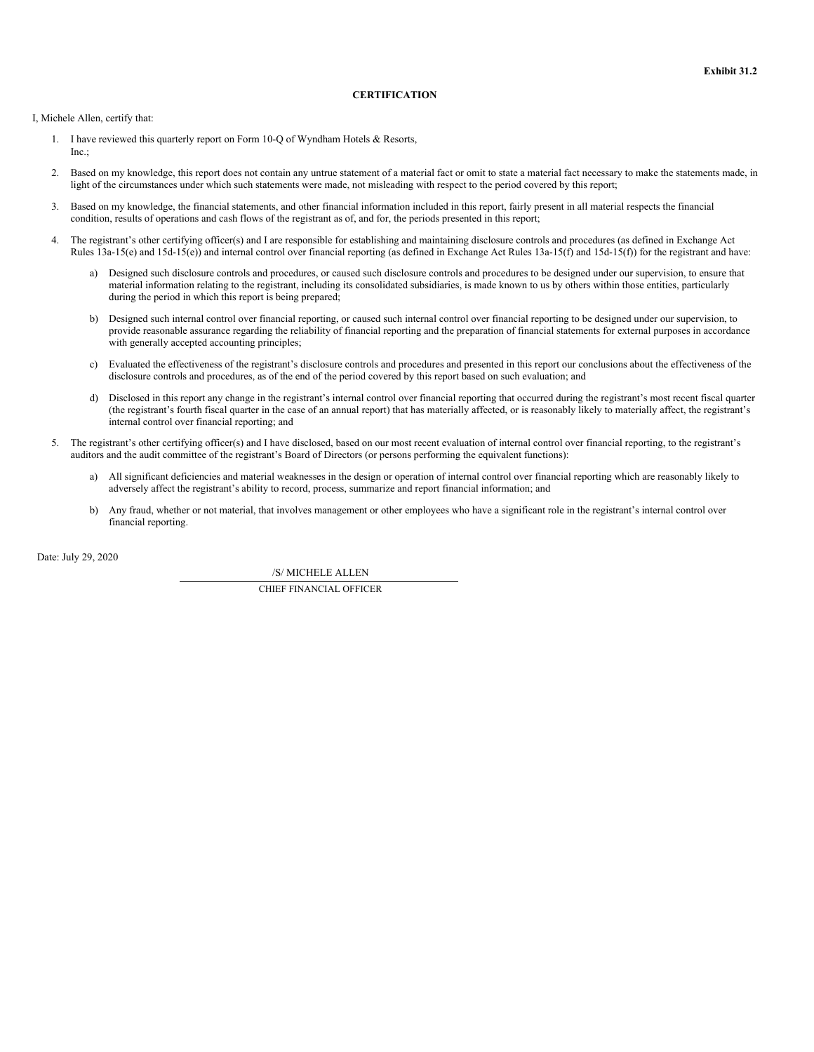# **CERTIFICATION**

<span id="page-61-0"></span>I, Michele Allen, certify that:

- 1. I have reviewed this quarterly report on Form 10-Q of Wyndham Hotels & Resorts, Inc.;
- 2. Based on my knowledge, this report does not contain any untrue statement of a material fact or omit to state a material fact necessary to make the statements made, in light of the circumstances under which such statements were made, not misleading with respect to the period covered by this report;
- 3. Based on my knowledge, the financial statements, and other financial information included in this report, fairly present in all material respects the financial condition, results of operations and cash flows of the registrant as of, and for, the periods presented in this report;
- 4. The registrant's other certifying officer(s) and I are responsible for establishing and maintaining disclosure controls and procedures (as defined in Exchange Act Rules 13a-15(e) and 15d-15(e)) and internal control over financial reporting (as defined in Exchange Act Rules 13a-15(f) and 15d-15(f)) for the registrant and have:
	- a) Designed such disclosure controls and procedures, or caused such disclosure controls and procedures to be designed under our supervision, to ensure that material information relating to the registrant, including its consolidated subsidiaries, is made known to us by others within those entities, particularly during the period in which this report is being prepared;
	- b) Designed such internal control over financial reporting, or caused such internal control over financial reporting to be designed under our supervision, to provide reasonable assurance regarding the reliability of financial reporting and the preparation of financial statements for external purposes in accordance with generally accepted accounting principles;
	- c) Evaluated the effectiveness of the registrant's disclosure controls and procedures and presented in this report our conclusions about the effectiveness of the disclosure controls and procedures, as of the end of the period covered by this report based on such evaluation; and
	- d) Disclosed in this report any change in the registrant's internal control over financial reporting that occurred during the registrant's most recent fiscal quarter (the registrant's fourth fiscal quarter in the case of an annual report) that has materially affected, or is reasonably likely to materially affect, the registrant's internal control over financial reporting; and
- 5. The registrant's other certifying officer(s) and I have disclosed, based on our most recent evaluation of internal control over financial reporting, to the registrant's auditors and the audit committee of the registrant's Board of Directors (or persons performing the equivalent functions):
	- a) All significant deficiencies and material weaknesses in the design or operation of internal control over financial reporting which are reasonably likely to adversely affect the registrant's ability to record, process, summarize and report financial information; and
	- b) Any fraud, whether or not material, that involves management or other employees who have a significant role in the registrant's internal control over financial reporting.

Date: July 29, 2020

/S/ MICHELE ALLEN

CHIEF FINANCIAL OFFICER